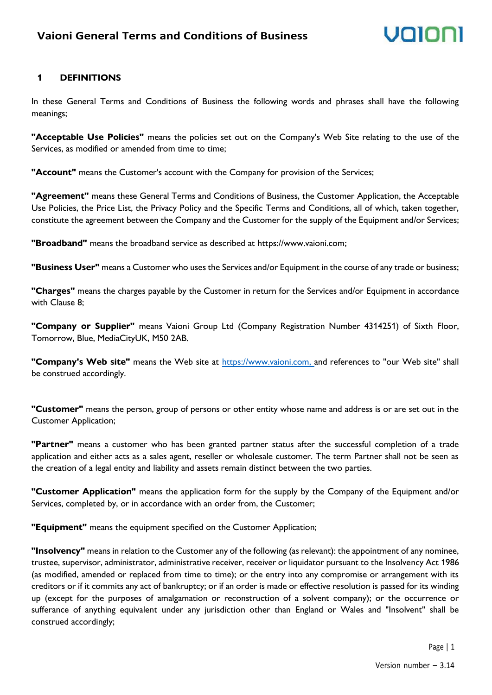# Volor

### **1 DEFINITIONS**

In these General Terms and Conditions of Business the following words and phrases shall have the following meanings;

**"Acceptable Use Policies"** means the policies set out on the Company's Web Site relating to the use of the Services, as modified or amended from time to time;

**"Account"** means the Customer's account with the Company for provision of the Services;

**"Agreement"** means these General Terms and Conditions of Business, the Customer Application, the Acceptable Use Policies, the Price List, the Privacy Policy and the Specific Terms and Conditions, all of which, taken together, constitute the agreement between the Company and the Customer for the supply of the Equipment and/or Services;

**"Broadband"** means the broadband service as described at https://www.vaioni.com;

**"Business User"** means a Customer who uses the Services and/or Equipment in the course of any trade or business;

**"Charges"** means the charges payable by the Customer in return for the Services and/or Equipment in accordance with Clause 8;

**"Company or Supplier"** means Vaioni Group Ltd (Company Registration Number 4314251) of Sixth Floor, Tomorrow, Blue, MediaCityUK, M50 2AB.

**"Company's Web site"** means the Web site at [https://www.vaioni.com, a](https://www.vaioni.com,/)nd references to "our Web site" shall be construed accordingly.

**"Customer"** means the person, group of persons or other entity whose name and address is or are set out in the Customer Application;

**"Partner"** means a customer who has been granted partner status after the successful completion of a trade application and either acts as a sales agent, reseller or wholesale customer. The term Partner shall not be seen as the creation of a legal entity and liability and assets remain distinct between the two parties.

**"Customer Application"** means the application form for the supply by the Company of the Equipment and/or Services, completed by, or in accordance with an order from, the Customer;

**"Equipment"** means the equipment specified on the Customer Application;

**"Insolvency"** means in relation to the Customer any of the following (as relevant): the appointment of any nominee, trustee, supervisor, administrator, administrative receiver, receiver or liquidator pursuant to the Insolvency Act 1986 (as modified, amended or replaced from time to time); or the entry into any compromise or arrangement with its creditors or if it commits any act of bankruptcy; or if an order is made or effective resolution is passed for its winding up (except for the purposes of amalgamation or reconstruction of a solvent company); or the occurrence or sufferance of anything equivalent under any jurisdiction other than England or Wales and "Insolvent" shall be construed accordingly;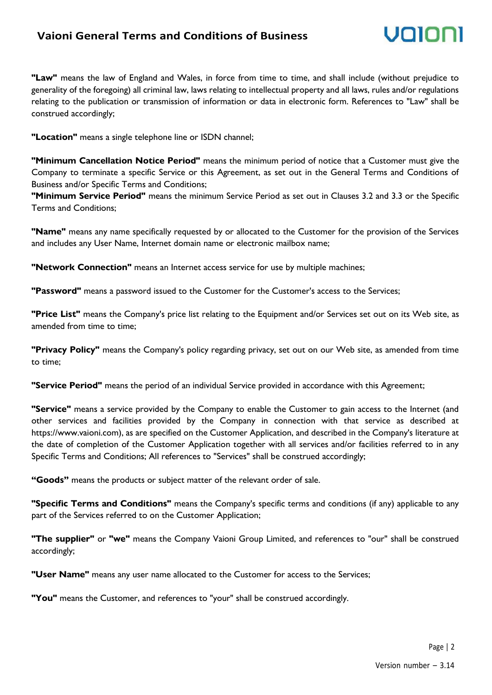### **Vaioni General Terms and Conditions of Business**



**"Law"** means the law of England and Wales, in force from time to time, and shall include (without prejudice to generality of the foregoing) all criminal law, laws relating to intellectual property and all laws, rules and/or regulations relating to the publication or transmission of information or data in electronic form. References to "Law" shall be construed accordingly;

**"Location"** means a single telephone line or ISDN channel;

**"Minimum Cancellation Notice Period"** means the minimum period of notice that a Customer must give the Company to terminate a specific Service or this Agreement, as set out in the General Terms and Conditions of Business and/or Specific Terms and Conditions;

**"Minimum Service Period"** means the minimum Service Period as set out in Clauses 3.2 and 3.3 or the Specific Terms and Conditions;

**"Name"** means any name specifically requested by or allocated to the Customer for the provision of the Services and includes any User Name, Internet domain name or electronic mailbox name;

**"Network Connection"** means an Internet access service for use by multiple machines;

**"Password"** means a password issued to the Customer for the Customer's access to the Services;

**"Price List"** means the Company's price list relating to the Equipment and/or Services set out on its Web site, as amended from time to time;

**"Privacy Policy"** means the Company's policy regarding privacy, set out on our Web site, as amended from time to time;

**"Service Period"** means the period of an individual Service provided in accordance with this Agreement;

**"Service"** means a service provided by the Company to enable the Customer to gain access to the Internet (and other services and facilities provided by the Company in connection with that service as described at https://www.vaioni.com), as are specified on the Customer Application, and described in the Company's literature at the date of completion of the Customer Application together with all services and/or facilities referred to in any Specific Terms and Conditions; All references to "Services" shall be construed accordingly;

**"Goods"** means the products or subject matter of the relevant order of sale.

**"Specific Terms and Conditions"** means the Company's specific terms and conditions (if any) applicable to any part of the Services referred to on the Customer Application;

**"The supplier"** or **"we"** means the Company Vaioni Group Limited, and references to "our" shall be construed accordingly;

**"User Name"** means any user name allocated to the Customer for access to the Services;

**"You"** means the Customer, and references to "your" shall be construed accordingly.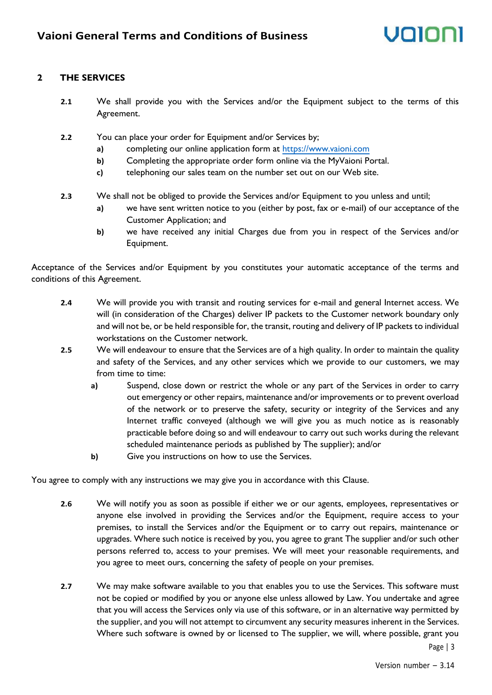# unini

#### **2 THE SERVICES**

- **2.1** We shall provide you with the Services and/or the Equipment subject to the terms of this Agreement.
- **2.2** You can place your order for Equipment and/or Services by;
	- **a)** completing our online application form at [https://www.vaioni.com](https://www.vaioni.com/)
	- **b)** Completing the appropriate order form online via the MyVaioni Portal.
	- **c)** telephoning our sales team on the number set out on our Web site.
- **2.3** We shall not be obliged to provide the Services and/or Equipment to you unless and until;
	- **a)** we have sent written notice to you (either by post, fax or e-mail) of our acceptance of the Customer Application; and
	- **b)** we have received any initial Charges due from you in respect of the Services and/or Equipment.

Acceptance of the Services and/or Equipment by you constitutes your automatic acceptance of the terms and conditions of this Agreement.

- **2.4** We will provide you with transit and routing services for e-mail and general Internet access. We will (in consideration of the Charges) deliver IP packets to the Customer network boundary only and will not be, or be held responsible for, the transit, routing and delivery of IP packets to individual workstations on the Customer network.
- **2.5** We will endeavour to ensure that the Services are of a high quality. In order to maintain the quality and safety of the Services, and any other services which we provide to our customers, we may from time to time:
	- **a)** Suspend, close down or restrict the whole or any part of the Services in order to carry out emergency or other repairs, maintenance and/or improvements or to prevent overload of the network or to preserve the safety, security or integrity of the Services and any Internet traffic conveyed (although we will give you as much notice as is reasonably practicable before doing so and will endeavour to carry out such works during the relevant scheduled maintenance periods as published by The supplier); and/or
	- **b)** Give you instructions on how to use the Services.

You agree to comply with any instructions we may give you in accordance with this Clause.

- **2.6** We will notify you as soon as possible if either we or our agents, employees, representatives or anyone else involved in providing the Services and/or the Equipment, require access to your premises, to install the Services and/or the Equipment or to carry out repairs, maintenance or upgrades. Where such notice is received by you, you agree to grant The supplier and/or such other persons referred to, access to your premises. We will meet your reasonable requirements, and you agree to meet ours, concerning the safety of people on your premises.
- Page | 3 **2.7** We may make software available to you that enables you to use the Services. This software must not be copied or modified by you or anyone else unless allowed by Law. You undertake and agree that you will access the Services only via use of this software, or in an alternative way permitted by the supplier, and you will not attempt to circumvent any security measures inherent in the Services. Where such software is owned by or licensed to The supplier, we will, where possible, grant you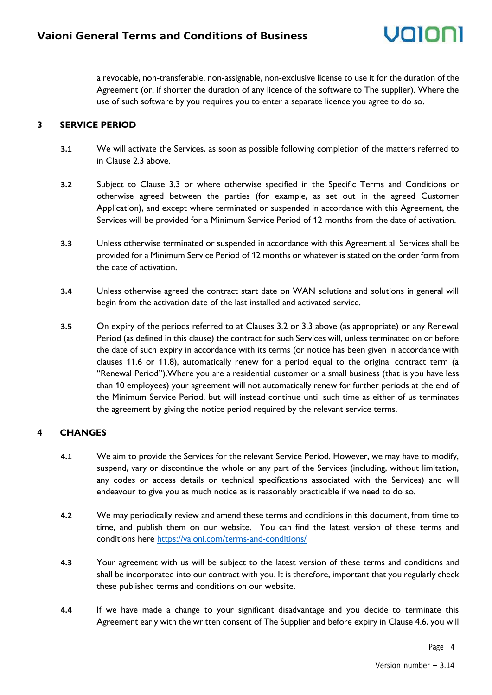a revocable, non-transferable, non-assignable, non-exclusive license to use it for the duration of the Agreement (or, if shorter the duration of any licence of the software to The supplier). Where the use of such software by you requires you to enter a separate licence you agree to do so.

#### **3 SERVICE PERIOD**

- **3.1** We will activate the Services, as soon as possible following completion of the matters referred to in Clause 2.3 above.
- **3.2** Subject to Clause 3.3 or where otherwise specified in the Specific Terms and Conditions or otherwise agreed between the parties (for example, as set out in the agreed Customer Application), and except where terminated or suspended in accordance with this Agreement, the Services will be provided for a Minimum Service Period of 12 months from the date of activation.
- **3.3** Unless otherwise terminated or suspended in accordance with this Agreement all Services shall be provided for a Minimum Service Period of 12 months or whatever is stated on the order form from the date of activation.
- **3.4** Unless otherwise agreed the contract start date on WAN solutions and solutions in general will begin from the activation date of the last installed and activated service.
- **3.5** On expiry of the periods referred to at Clauses 3.2 or 3.3 above (as appropriate) or any Renewal Period (as defined in this clause) the contract for such Services will, unless terminated on or before the date of such expiry in accordance with its terms (or notice has been given in accordance with clauses 11.6 or 11.8), automatically renew for a period equal to the original contract term (a "Renewal Period").Where you are a residential customer or a small business (that is you have less than 10 employees) your agreement will not automatically renew for further periods at the end of the Minimum Service Period, but will instead continue until such time as either of us terminates the agreement by giving the notice period required by the relevant service terms.

#### **4 CHANGES**

- **4.1** We aim to provide the Services for the relevant Service Period. However, we may have to modify, suspend, vary or discontinue the whole or any part of the Services (including, without limitation, any codes or access details or technical specifications associated with the Services) and will endeavour to give you as much notice as is reasonably practicable if we need to do so.
- **4.2** We may periodically review and amend these terms and conditions in this document, from time to time, and publish them on our website. You can find the latest version of these terms and conditions here <https://vaioni.com/terms-and-conditions/>
- **4.3** Your agreement with us will be subject to the latest version of these terms and conditions and shall be incorporated into our contract with you. It is therefore, important that you regularly check these published terms and conditions on our website.
- **4.4** If we have made a change to your significant disadvantage and you decide to terminate this Agreement early with the written consent of The Supplier and before expiry in Clause 4.6, you will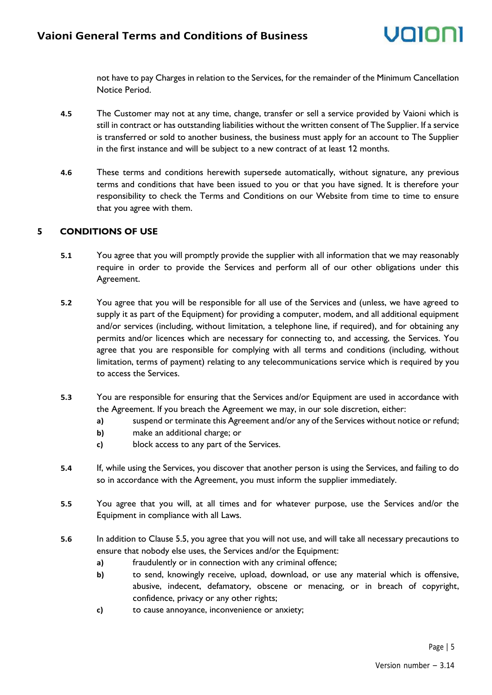not have to pay Charges in relation to the Services, for the remainder of the Minimum Cancellation Notice Period.

- **4.5** The Customer may not at any time, change, transfer or sell a service provided by Vaioni which is still in contract or has outstanding liabilities without the written consent of The Supplier. If a service is transferred or sold to another business, the business must apply for an account to The Supplier in the first instance and will be subject to a new contract of at least 12 months.
- **4.6** These terms and conditions herewith supersede automatically, without signature, any previous terms and conditions that have been issued to you or that you have signed. It is therefore your responsibility to check the Terms and Conditions on our Website from time to time to ensure that you agree with them.

#### **5 CONDITIONS OF USE**

- **5.1** You agree that you will promptly provide the supplier with all information that we may reasonably require in order to provide the Services and perform all of our other obligations under this Agreement.
- **5.2** You agree that you will be responsible for all use of the Services and (unless, we have agreed to supply it as part of the Equipment) for providing a computer, modem, and all additional equipment and/or services (including, without limitation, a telephone line, if required), and for obtaining any permits and/or licences which are necessary for connecting to, and accessing, the Services. You agree that you are responsible for complying with all terms and conditions (including, without limitation, terms of payment) relating to any telecommunications service which is required by you to access the Services.
- **5.3** You are responsible for ensuring that the Services and/or Equipment are used in accordance with the Agreement. If you breach the Agreement we may, in our sole discretion, either:
	- **a)** suspend or terminate this Agreement and/or any of the Services without notice or refund;
	- **b)** make an additional charge; or
	- **c)** block access to any part of the Services.
- **5.4** If, while using the Services, you discover that another person is using the Services, and failing to do so in accordance with the Agreement, you must inform the supplier immediately.
- **5.5** You agree that you will, at all times and for whatever purpose, use the Services and/or the Equipment in compliance with all Laws.
- **5.6** In addition to Clause 5.5, you agree that you will not use, and will take all necessary precautions to ensure that nobody else uses, the Services and/or the Equipment:
	- **a)** fraudulently or in connection with any criminal offence;
	- **b)** to send, knowingly receive, upload, download, or use any material which is offensive, abusive, indecent, defamatory, obscene or menacing, or in breach of copyright, confidence, privacy or any other rights;
	- **c)** to cause annoyance, inconvenience or anxiety;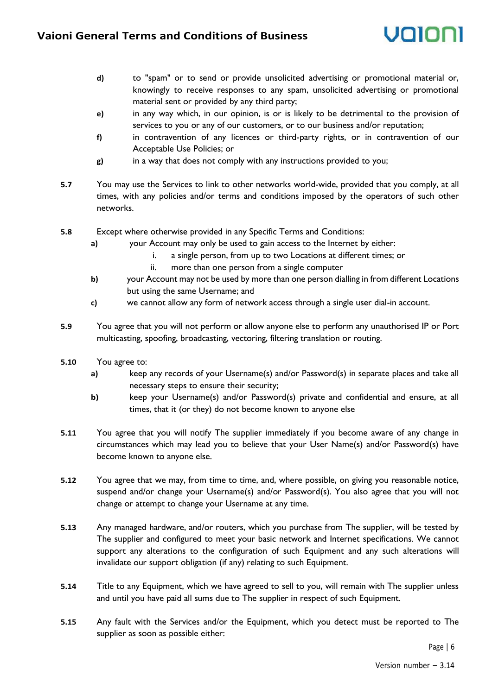

- **d)** to "spam" or to send or provide unsolicited advertising or promotional material or, knowingly to receive responses to any spam, unsolicited advertising or promotional material sent or provided by any third party;
- **e)** in any way which, in our opinion, is or is likely to be detrimental to the provision of services to you or any of our customers, or to our business and/or reputation;
- **f)** in contravention of any licences or third-party rights, or in contravention of our Acceptable Use Policies; or
- **g)** in a way that does not comply with any instructions provided to you;
- **5.7** You may use the Services to link to other networks world-wide, provided that you comply, at all times, with any policies and/or terms and conditions imposed by the operators of such other networks.
- **5.8** Except where otherwise provided in any Specific Terms and Conditions:
	- **a)** your Account may only be used to gain access to the Internet by either:
		- i. a single person, from up to two Locations at different times; or
			- ii. more than one person from a single computer
	- **b)** your Account may not be used by more than one person dialling in from different Locations but using the same Username; and
	- **c)** we cannot allow any form of network access through a single user dial-in account.
- **5.9** You agree that you will not perform or allow anyone else to perform any unauthorised IP or Port multicasting, spoofing, broadcasting, vectoring, filtering translation or routing.
- **5.10** You agree to:
	- **a)** keep any records of your Username(s) and/or Password(s) in separate places and take all necessary steps to ensure their security;
	- **b)** keep your Username(s) and/or Password(s) private and confidential and ensure, at all times, that it (or they) do not become known to anyone else
- **5.11** You agree that you will notify The supplier immediately if you become aware of any change in circumstances which may lead you to believe that your User Name(s) and/or Password(s) have become known to anyone else.
- **5.12** You agree that we may, from time to time, and, where possible, on giving you reasonable notice, suspend and/or change your Username(s) and/or Password(s). You also agree that you will not change or attempt to change your Username at any time.
- **5.13** Any managed hardware, and/or routers, which you purchase from The supplier, will be tested by The supplier and configured to meet your basic network and Internet specifications. We cannot support any alterations to the configuration of such Equipment and any such alterations will invalidate our support obligation (if any) relating to such Equipment.
- **5.14** Title to any Equipment, which we have agreed to sell to you, will remain with The supplier unless and until you have paid all sums due to The supplier in respect of such Equipment.
- **5.15** Any fault with the Services and/or the Equipment, which you detect must be reported to The supplier as soon as possible either: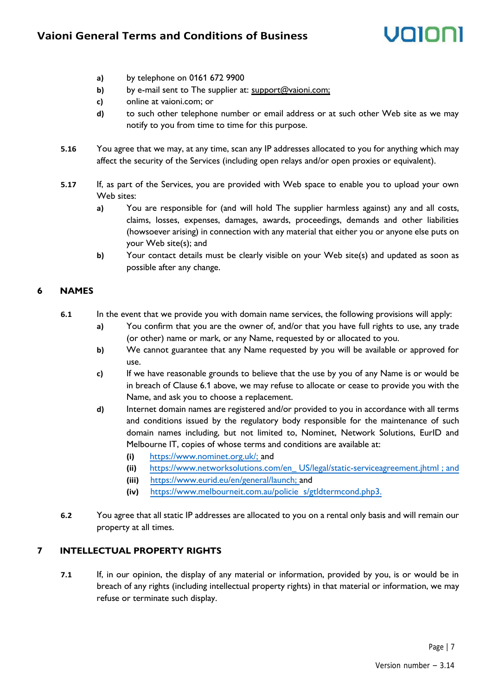### **Vaioni General Terms and Conditions of Business**

# unini

- **a)** by telephone on 0161 672 9900
- **b)** by e-mail sent to The supplier at: support@vaioni.com;
- **c)** online at vaioni.com; or
- **d)** to such other telephone number or email address or at such other Web site as we may notify to you from time to time for this purpose.
- **5.16** You agree that we may, at any time, scan any IP addresses allocated to you for anything which may affect the security of the Services (including open relays and/or open proxies or equivalent).
- **5.17** If, as part of the Services, you are provided with Web space to enable you to upload your own Web sites:
	- **a)** You are responsible for (and will hold The supplier harmless against) any and all costs, claims, losses, expenses, damages, awards, proceedings, demands and other liabilities (howsoever arising) in connection with any material that either you or anyone else puts on your Web site(s); and
	- **b)** Your contact details must be clearly visible on your Web site(s) and updated as soon as possible after any change.

#### **6 NAMES**

- **6.1** In the event that we provide you with domain name services, the following provisions will apply:
	- **a)** You confirm that you are the owner of, and/or that you have full rights to use, any trade (or other) name or mark, or any Name, requested by or allocated to you.
	- **b)** We cannot guarantee that any Name requested by you will be available or approved for use.
	- **c)** If we have reasonable grounds to believe that the use by you of any Name is or would be in breach of Clause 6.1 above, we may refuse to allocate or cease to provide you with the Name, and ask you to choose a replacement.
	- **d)** Internet domain names are registered and/or provided to you in accordance with all terms and conditions issued by the regulatory body responsible for the maintenance of such domain names including, but not limited to, Nominet, Network Solutions, EurID and Melbourne IT, copies of whose terms and conditions are available at:
		- **(i)** [https://www.nominet.org.uk/; a](http://www.nominet.org.uk/;)nd
		- **(ii)** [https://www.networksolutions.com/en\\_](http://www.networksolutions.com/en_) [US/legal/static-serviceagreement.jhtml ; and](http://www.networksolutions.com/en_US/legal/static-service-agreement.jhtml)
		- **(iii)** [https://www.eurid.eu/en/general/launch; a](http://www.eurid.eu/en/general/launch;)nd
		- **(iv)** [https://www.melbourneit.com.au/policie](http://www.melbourneit.com.au/policie) [s/gtldtermcond.php3.](http://www.melbourneit.com.au/policies/gtldtermcond.php3)
- **6.2** You agree that all static IP addresses are allocated to you on a rental only basis and will remain our property at all times.

#### **7 INTELLECTUAL PROPERTY RIGHTS**

**7.1** If, in our opinion, the display of any material or information, provided by you, is or would be in breach of any rights (including intellectual property rights) in that material or information, we may refuse or terminate such display.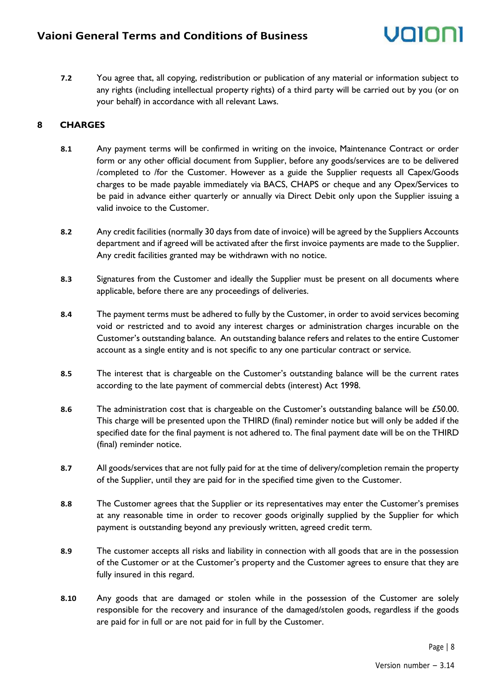**7.2** You agree that, all copying, redistribution or publication of any material or information subject to any rights (including intellectual property rights) of a third party will be carried out by you (or on your behalf) in accordance with all relevant Laws.

### **8 CHARGES**

- **8.1** Any payment terms will be confirmed in writing on the invoice, Maintenance Contract or order form or any other official document from Supplier, before any goods/services are to be delivered /completed to /for the Customer. However as a guide the Supplier requests all Capex/Goods charges to be made payable immediately via BACS, CHAPS or cheque and any Opex/Services to be paid in advance either quarterly or annually via Direct Debit only upon the Supplier issuing a valid invoice to the Customer.
- **8.2** Any credit facilities (normally 30 days from date of invoice) will be agreed by the Suppliers Accounts department and if agreed will be activated after the first invoice payments are made to the Supplier. Any credit facilities granted may be withdrawn with no notice.
- **8.3** Signatures from the Customer and ideally the Supplier must be present on all documents where applicable, before there are any proceedings of deliveries.
- **8.4** The payment terms must be adhered to fully by the Customer, in order to avoid services becoming void or restricted and to avoid any interest charges or administration charges incurable on the Customer's outstanding balance. An outstanding balance refers and relates to the entire Customer account as a single entity and is not specific to any one particular contract or service.
- **8.5** The interest that is chargeable on the Customer's outstanding balance will be the current rates according to the late payment of commercial debts (interest) Act 1998.
- **8.6** The administration cost that is chargeable on the Customer's outstanding balance will be £50.00. This charge will be presented upon the THIRD (final) reminder notice but will only be added if the specified date for the final payment is not adhered to. The final payment date will be on the THIRD (final) reminder notice.
- **8.7** All goods/services that are not fully paid for at the time of delivery/completion remain the property of the Supplier, until they are paid for in the specified time given to the Customer.
- **8.8** The Customer agrees that the Supplier or its representatives may enter the Customer's premises at any reasonable time in order to recover goods originally supplied by the Supplier for which payment is outstanding beyond any previously written, agreed credit term.
- **8.9** The customer accepts all risks and liability in connection with all goods that are in the possession of the Customer or at the Customer's property and the Customer agrees to ensure that they are fully insured in this regard.
- **8.10** Any goods that are damaged or stolen while in the possession of the Customer are solely responsible for the recovery and insurance of the damaged/stolen goods, regardless if the goods are paid for in full or are not paid for in full by the Customer.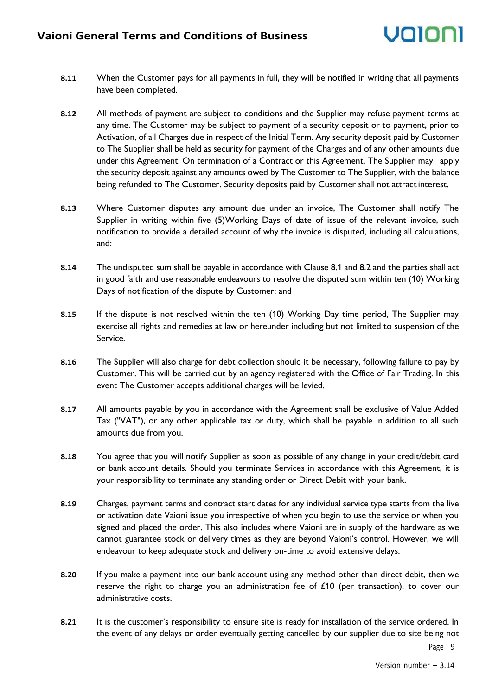- **8.11** When the Customer pays for all payments in full, they will be notified in writing that all payments have been completed.
- **8.12** All methods of payment are subject to conditions and the Supplier may refuse payment terms at any time. The Customer may be subject to payment of a security deposit or to payment, prior to Activation, of all Charges due in respect of the Initial Term. Any security deposit paid by Customer to The Supplier shall be held as security for payment of the Charges and of any other amounts due under this Agreement. On termination of a Contract or this Agreement, The Supplier may apply the security deposit against any amounts owed by The Customer to The Supplier, with the balance being refunded to The Customer. Security deposits paid by Customer shall not attractinterest.
- **8.13** Where Customer disputes any amount due under an invoice, The Customer shall notify The Supplier in writing within five (5)Working Days of date of issue of the relevant invoice, such notification to provide a detailed account of why the invoice is disputed, including all calculations, and:
- **8.14** The undisputed sum shall be payable in accordance with Clause 8.1 and 8.2 and the parties shall act in good faith and use reasonable endeavours to resolve the disputed sum within ten (10) Working Days of notification of the dispute by Customer; and
- **8.15** If the dispute is not resolved within the ten (10) Working Day time period, The Supplier may exercise all rights and remedies at law or hereunder including but not limited to suspension of the Service.
- **8.16** The Supplier will also charge for debt collection should it be necessary, following failure to pay by Customer. This will be carried out by an agency registered with the Office of Fair Trading. In this event The Customer accepts additional charges will be levied.
- **8.17** All amounts payable by you in accordance with the Agreement shall be exclusive of Value Added Tax ("VAT"), or any other applicable tax or duty, which shall be payable in addition to all such amounts due from you.
- **8.18** You agree that you will notify Supplier as soon as possible of any change in your credit/debit card or bank account details. Should you terminate Services in accordance with this Agreement, it is your responsibility to terminate any standing order or Direct Debit with your bank.
- **8.19** Charges, payment terms and contract start dates for any individual service type starts from the live or activation date Vaioni issue you irrespective of when you begin to use the service or when you signed and placed the order. This also includes where Vaioni are in supply of the hardware as we cannot guarantee stock or delivery times as they are beyond Vaioni's control. However, we will endeavour to keep adequate stock and delivery on-time to avoid extensive delays.
- **8.20** If you make a payment into our bank account using any method other than direct debit, then we reserve the right to charge you an administration fee of £10 (per transaction), to cover our administrative costs.
- Page | 9 **8.21** It is the customer's responsibility to ensure site is ready for installation of the service ordered. In the event of any delays or order eventually getting cancelled by our supplier due to site being not

Version number – 3.14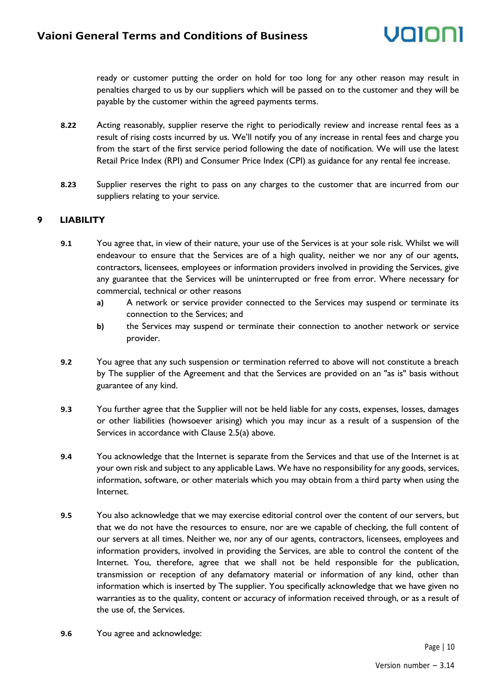ready or customer putting the order on hold for too long for any other reason may result in penalties charged to us by our suppliers which will be passed on to the customer and they will be payable by the customer within the agreed payments terms.

- **8.22** Acting reasonably, supplier reserve the right to periodically review and increase rental fees as a result of rising costs incurred by us. We'll notify you of any increase in rental fees and charge you from the start of the first service period following the date of notification. We will use the latest Retail Price Index (RPI) and Consumer Price Index (CPI) as guidance for any rental fee increase.
- **8.23** Supplier reserves the right to pass on any charges to the customer that are incurred from our suppliers relating to your service.

#### **9 LIABILITY**

- **9.1** You agree that, in view of their nature, your use of the Services is at your sole risk. Whilst we will endeavour to ensure that the Services are of a high quality, neither we nor any of our agents, contractors, licensees, employees or information providers involved in providing the Services, give any guarantee that the Services will be uninterrupted or free from error. Where necessary for commercial, technical or other reasons
	- **a)** A network or service provider connected to the Services may suspend or terminate its connection to the Services; and
	- **b)** the Services may suspend or terminate their connection to another network or service provider.
- **9.2** You agree that any such suspension or termination referred to above will not constitute a breach by The supplier of the Agreement and that the Services are provided on an "as is" basis without guarantee of any kind.
- **9.3** You further agree that the Supplier will not be held liable for any costs, expenses, losses, damages or other liabilities (howsoever arising) which you may incur as a result of a suspension of the Services in accordance with Clause 2.5(a) above.
- **9.4** You acknowledge that the Internet is separate from the Services and that use of the Internet is at your own risk and subject to any applicable Laws. We have no responsibility for any goods, services, information, software, or other materials which you may obtain from a third party when using the Internet.
- **9.5** You also acknowledge that we may exercise editorial control over the content of our servers, but that we do not have the resources to ensure, nor are we capable of checking, the full content of our servers at all times. Neither we, nor any of our agents, contractors, licensees, employees and information providers, involved in providing the Services, are able to control the content of the Internet. You, therefore, agree that we shall not be held responsible for the publication, transmission or reception of any defamatory material or information of any kind, other than information which is inserted by The supplier. You specifically acknowledge that we have given no warranties as to the quality, content or accuracy of information received through, or as a result of the use of, the Services.
- **9.6** You agree and acknowledge: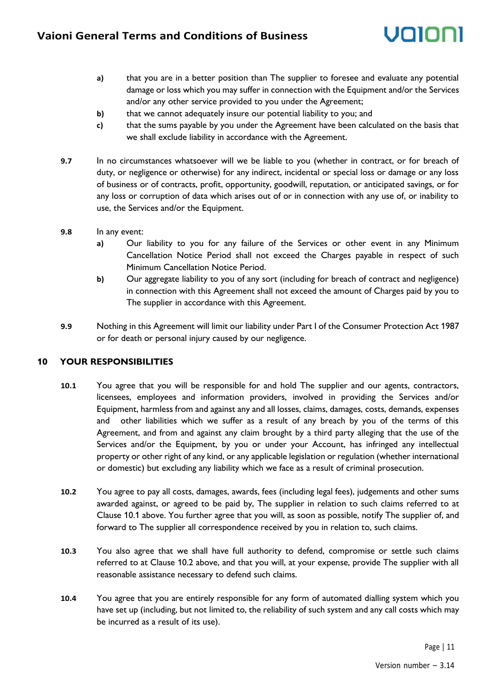# valo

- **a)** that you are in a better position than The supplier to foresee and evaluate any potential damage or loss which you may suffer in connection with the Equipment and/or the Services and/or any other service provided to you under the Agreement;
- **b)** that we cannot adequately insure our potential liability to you; and
- **c)** that the sums payable by you under the Agreement have been calculated on the basis that we shall exclude liability in accordance with the Agreement.
- **9.7** In no circumstances whatsoever will we be liable to you (whether in contract, or for breach of duty, or negligence or otherwise) for any indirect, incidental or special loss or damage or any loss of business or of contracts, profit, opportunity, goodwill, reputation, or anticipated savings, or for any loss or corruption of data which arises out of or in connection with any use of, or inability to use, the Services and/or the Equipment.
- **9.8** In any event:
	- **a)** Our liability to you for any failure of the Services or other event in any Minimum Cancellation Notice Period shall not exceed the Charges payable in respect of such Minimum Cancellation Notice Period.
	- **b)** Our aggregate liability to you of any sort (including for breach of contract and negligence) in connection with this Agreement shall not exceed the amount of Charges paid by you to The supplier in accordance with this Agreement.
- **9.9** Nothing in this Agreement will limit our liability under Part I of the Consumer Protection Act 1987 or for death or personal injury caused by our negligence.

#### **10 YOUR RESPONSIBILITIES**

- **10.1** You agree that you will be responsible for and hold The supplier and our agents, contractors, licensees, employees and information providers, involved in providing the Services and/or Equipment, harmless from and against any and all losses, claims, damages, costs, demands, expenses and other liabilities which we suffer as a result of any breach by you of the terms of this Agreement, and from and against any claim brought by a third party alleging that the use of the Services and/or the Equipment, by you or under your Account, has infringed any intellectual property or other right of any kind, or any applicable legislation or regulation (whether international or domestic) but excluding any liability which we face as a result of criminal prosecution.
- **10.2** You agree to pay all costs, damages, awards, fees (including legal fees), judgements and other sums awarded against, or agreed to be paid by, The supplier in relation to such claims referred to at Clause 10.1 above. You further agree that you will, as soon as possible, notify The supplier of, and forward to The supplier all correspondence received by you in relation to, such claims.
- **10.3** You also agree that we shall have full authority to defend, compromise or settle such claims referred to at Clause 10.2 above, and that you will, at your expense, provide The supplier with all reasonable assistance necessary to defend such claims.
- **10.4** You agree that you are entirely responsible for any form of automated dialling system which you have set up (including, but not limited to, the reliability of such system and any call costs which may be incurred as a result of its use).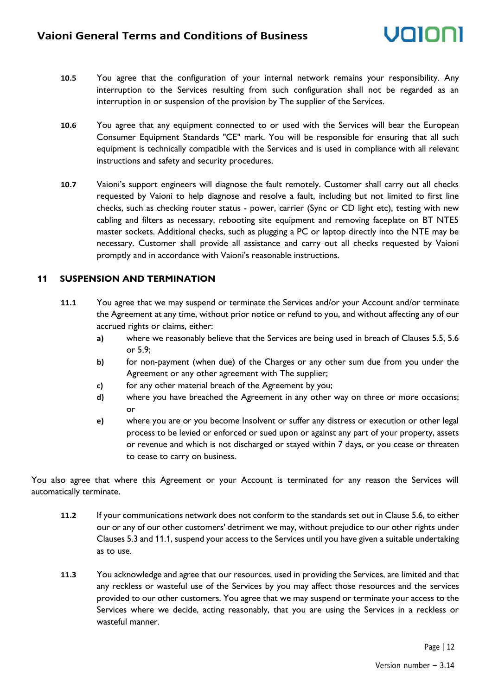- **10.5** You agree that the configuration of your internal network remains your responsibility. Any interruption to the Services resulting from such configuration shall not be regarded as an interruption in or suspension of the provision by The supplier of the Services.
- **10.6** You agree that any equipment connected to or used with the Services will bear the European Consumer Equipment Standards "CE" mark. You will be responsible for ensuring that all such equipment is technically compatible with the Services and is used in compliance with all relevant instructions and safety and security procedures.
- **10.7** Vaioni's support engineers will diagnose the fault remotely. Customer shall carry out all checks requested by Vaioni to help diagnose and resolve a fault, including but not limited to first line checks, such as checking router status - power, carrier (Sync or CD light etc), testing with new cabling and filters as necessary, rebooting site equipment and removing faceplate on BT NTE5 master sockets. Additional checks, such as plugging a PC or laptop directly into the NTE may be necessary. Customer shall provide all assistance and carry out all checks requested by Vaioni promptly and in accordance with Vaioni's reasonable instructions.

#### **11 SUSPENSION AND TERMINATION**

- **11.1** You agree that we may suspend or terminate the Services and/or your Account and/or terminate the Agreement at any time, without prior notice or refund to you, and without affecting any of our accrued rights or claims, either:
	- **a)** where we reasonably believe that the Services are being used in breach of Clauses 5.5, 5.6 or 5.9;
	- **b)** for non-payment (when due) of the Charges or any other sum due from you under the Agreement or any other agreement with The supplier;
	- **c)** for any other material breach of the Agreement by you;
	- **d)** where you have breached the Agreement in any other way on three or more occasions; or
	- **e)** where you are or you become Insolvent or suffer any distress or execution or other legal process to be levied or enforced or sued upon or against any part of your property, assets or revenue and which is not discharged or stayed within 7 days, or you cease or threaten to cease to carry on business.

You also agree that where this Agreement or your Account is terminated for any reason the Services will automatically terminate.

- **11.2** If your communications network does not conform to the standards set out in Clause 5.6, to either our or any of our other customers' detriment we may, without prejudice to our other rights under Clauses 5.3 and 11.1, suspend your access to the Services until you have given a suitable undertaking as to use.
- **11.3** You acknowledge and agree that our resources, used in providing the Services, are limited and that any reckless or wasteful use of the Services by you may affect those resources and the services provided to our other customers. You agree that we may suspend or terminate your access to the Services where we decide, acting reasonably, that you are using the Services in a reckless or wasteful manner.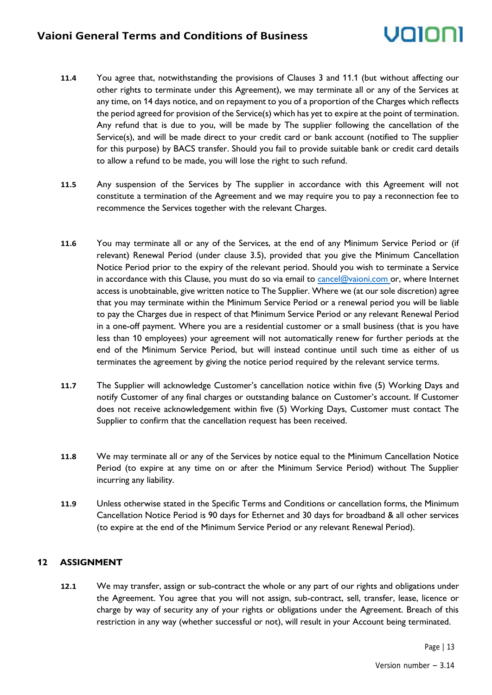- **11.4** You agree that, notwithstanding the provisions of Clauses 3 and 11.1 (but without affecting our other rights to terminate under this Agreement), we may terminate all or any of the Services at any time, on 14 days notice, and on repayment to you of a proportion of the Charges which reflects the period agreed for provision of the Service(s) which has yet to expire at the point of termination. Any refund that is due to you, will be made by The supplier following the cancellation of the Service(s), and will be made direct to your credit card or bank account (notified to The supplier for this purpose) by BACS transfer. Should you fail to provide suitable bank or credit card details to allow a refund to be made, you will lose the right to such refund.
- **11.5** Any suspension of the Services by The supplier in accordance with this Agreement will not constitute a termination of the Agreement and we may require you to pay a reconnection fee to recommence the Services together with the relevant Charges.
- **11.6** You may terminate all or any of the Services, at the end of any Minimum Service Period or (if relevant) Renewal Period (under clause 3.5), provided that you give the Minimum Cancellation Notice Period prior to the expiry of the relevant period. Should you wish to terminate a Service in accordance with this Clause, you must do so via email to [cancel@vaioni.com o](mailto:cancel@vaioni.com)r, where Internet access is unobtainable, give written notice to The Supplier. Where we (at our sole discretion) agree that you may terminate within the Minimum Service Period or a renewal period you will be liable to pay the Charges due in respect of that Minimum Service Period or any relevant Renewal Period in a one-off payment. Where you are a residential customer or a small business (that is you have less than 10 employees) your agreement will not automatically renew for further periods at the end of the Minimum Service Period, but will instead continue until such time as either of us terminates the agreement by giving the notice period required by the relevant service terms.
- **11.7** The Supplier will acknowledge Customer's cancellation notice within five (5) Working Days and notify Customer of any final charges or outstanding balance on Customer's account. If Customer does not receive acknowledgement within five (5) Working Days, Customer must contact The Supplier to confirm that the cancellation request has been received.
- **11.8** We may terminate all or any of the Services by notice equal to the Minimum Cancellation Notice Period (to expire at any time on or after the Minimum Service Period) without The Supplier incurring any liability.
- **11.9** Unless otherwise stated in the Specific Terms and Conditions or cancellation forms, the Minimum Cancellation Notice Period is 90 days for Ethernet and 30 days for broadband & all other services (to expire at the end of the Minimum Service Period or any relevant Renewal Period).

#### **12 ASSIGNMENT**

**12.1** We may transfer, assign or sub-contract the whole or any part of our rights and obligations under the Agreement. You agree that you will not assign, sub-contract, sell, transfer, lease, licence or charge by way of security any of your rights or obligations under the Agreement. Breach of this restriction in any way (whether successful or not), will result in your Account being terminated.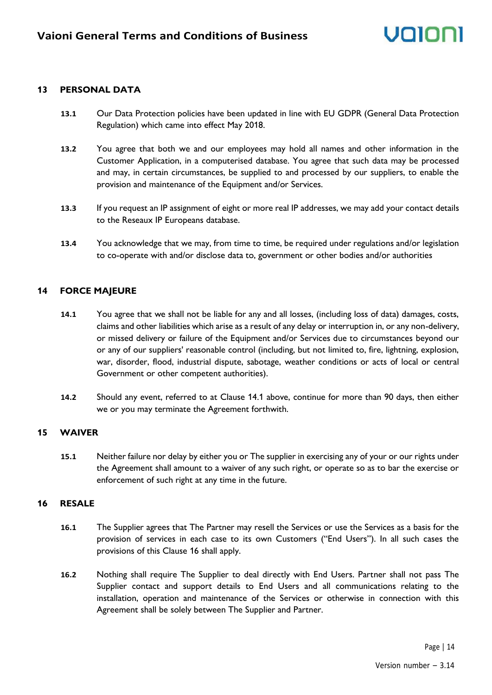#### **13 PERSONAL DATA**

- **13.1** Our Data Protection policies have been updated in line with EU GDPR (General Data Protection Regulation) which came into effect May 2018.
- **13.2** You agree that both we and our employees may hold all names and other information in the Customer Application, in a computerised database. You agree that such data may be processed and may, in certain circumstances, be supplied to and processed by our suppliers, to enable the provision and maintenance of the Equipment and/or Services.
- **13.3** If you request an IP assignment of eight or more real IP addresses, we may add your contact details to the Reseaux IP Europeans database.
- **13.4** You acknowledge that we may, from time to time, be required under regulations and/or legislation to co-operate with and/or disclose data to, government or other bodies and/or authorities

#### **14 FORCE MAJEURE**

- **14.1** You agree that we shall not be liable for any and all losses, (including loss of data) damages, costs, claims and other liabilities which arise as a result of any delay or interruption in, or any non-delivery, or missed delivery or failure of the Equipment and/or Services due to circumstances beyond our or any of our suppliers' reasonable control (including, but not limited to, fire, lightning, explosion, war, disorder, flood, industrial dispute, sabotage, weather conditions or acts of local or central Government or other competent authorities).
- **14.2** Should any event, referred to at Clause 14.1 above, continue for more than 90 days, then either we or you may terminate the Agreement forthwith.

#### **15 WAIVER**

**15.1** Neither failure nor delay by either you or The supplier in exercising any of your or our rights under the Agreement shall amount to a waiver of any such right, or operate so as to bar the exercise or enforcement of such right at any time in the future.

#### **16 RESALE**

- **16.1** The Supplier agrees that The Partner may resell the Services or use the Services as a basis for the provision of services in each case to its own Customers ("End Users"). In all such cases the provisions of this Clause 16 shall apply.
- **16.2** Nothing shall require The Supplier to deal directly with End Users. Partner shall not pass The Supplier contact and support details to End Users and all communications relating to the installation, operation and maintenance of the Services or otherwise in connection with this Agreement shall be solely between The Supplier and Partner.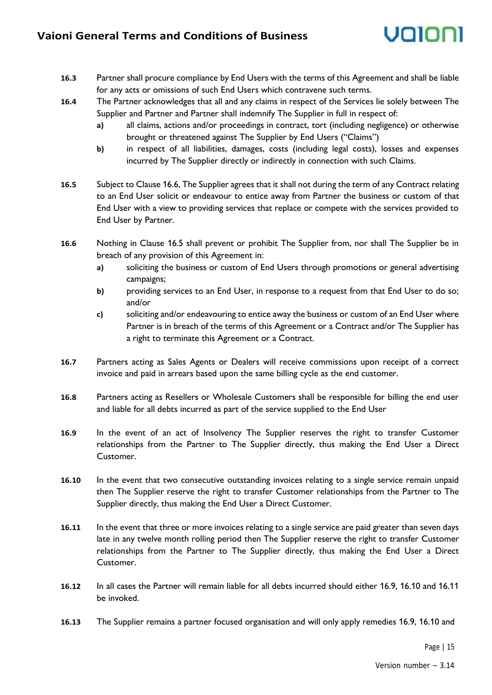- **16.3** Partner shall procure compliance by End Users with the terms of this Agreement and shall be liable for any acts or omissions of such End Users which contravene such terms.
- **16.4** The Partner acknowledges that all and any claims in respect of the Services lie solely between The Supplier and Partner and Partner shall indemnify The Supplier in full in respect of:
	- **a)** all claims, actions and/or proceedings in contract, tort (including negligence) or otherwise brought or threatened against The Supplier by End Users ("Claims")
	- **b)** in respect of all liabilities, damages, costs (including legal costs), losses and expenses incurred by The Supplier directly or indirectly in connection with such Claims.
- **16.5** Subject to Clause 16.6, The Supplier agrees that it shall not during the term of any Contract relating to an End User solicit or endeavour to entice away from Partner the business or custom of that End User with a view to providing services that replace or compete with the services provided to End User by Partner.
- **16.6** Nothing in Clause 16.5 shall prevent or prohibit The Supplier from, nor shall The Supplier be in breach of any provision of this Agreement in:
	- **a)** soliciting the business or custom of End Users through promotions or general advertising campaigns;
	- **b)** providing services to an End User, in response to a request from that End User to do so; and/or
	- **c)** soliciting and/or endeavouring to entice away the business or custom of an End User where Partner is in breach of the terms of this Agreement or a Contract and/or The Supplier has a right to terminate this Agreement or a Contract.
- **16.7** Partners acting as Sales Agents or Dealers will receive commissions upon receipt of a correct invoice and paid in arrears based upon the same billing cycle as the end customer.
- **16.8** Partners acting as Resellers or Wholesale Customers shall be responsible for billing the end user and liable for all debts incurred as part of the service supplied to the End User
- **16.9** In the event of an act of Insolvency The Supplier reserves the right to transfer Customer relationships from the Partner to The Supplier directly, thus making the End User a Direct Customer.
- **16.10** In the event that two consecutive outstanding invoices relating to a single service remain unpaid then The Supplier reserve the right to transfer Customer relationships from the Partner to The Supplier directly, thus making the End User a Direct Customer.
- **16.11** In the event that three or more invoices relating to a single service are paid greater than seven days late in any twelve month rolling period then The Supplier reserve the right to transfer Customer relationships from the Partner to The Supplier directly, thus making the End User a Direct Customer.
- **16.12** In all cases the Partner will remain liable for all debts incurred should either 16.9, 16.10 and 16.11 be invoked.
- **16.13** The Supplier remains a partner focused organisation and will only apply remedies 16.9, 16.10 and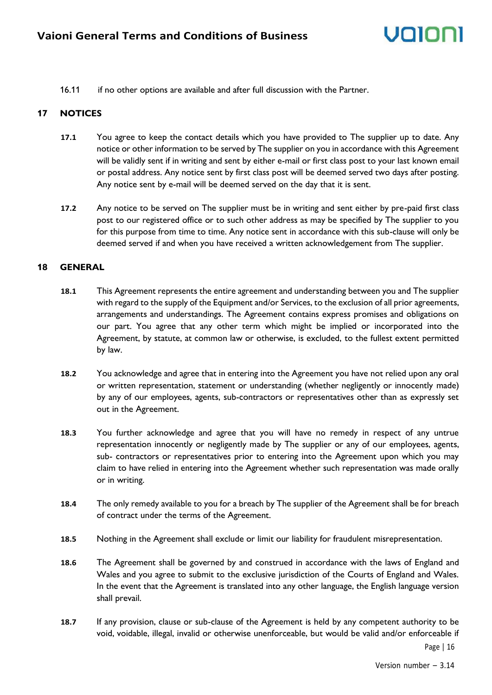16.11 if no other options are available and after full discussion with the Partner.

#### **17 NOTICES**

- **17.1** You agree to keep the contact details which you have provided to The supplier up to date. Any notice or other information to be served by The supplier on you in accordance with this Agreement will be validly sent if in writing and sent by either e-mail or first class post to your last known email or postal address. Any notice sent by first class post will be deemed served two days after posting. Any notice sent by e-mail will be deemed served on the day that it is sent.
- **17.2** Any notice to be served on The supplier must be in writing and sent either by pre-paid first class post to our registered office or to such other address as may be specified by The supplier to you for this purpose from time to time. Any notice sent in accordance with this sub-clause will only be deemed served if and when you have received a written acknowledgement from The supplier.

#### **18 GENERAL**

- **18.1** This Agreement represents the entire agreement and understanding between you and The supplier with regard to the supply of the Equipment and/or Services, to the exclusion of all prior agreements, arrangements and understandings. The Agreement contains express promises and obligations on our part. You agree that any other term which might be implied or incorporated into the Agreement, by statute, at common law or otherwise, is excluded, to the fullest extent permitted by law.
- **18.2** You acknowledge and agree that in entering into the Agreement you have not relied upon any oral or written representation, statement or understanding (whether negligently or innocently made) by any of our employees, agents, sub-contractors or representatives other than as expressly set out in the Agreement.
- **18.3** You further acknowledge and agree that you will have no remedy in respect of any untrue representation innocently or negligently made by The supplier or any of our employees, agents, sub- contractors or representatives prior to entering into the Agreement upon which you may claim to have relied in entering into the Agreement whether such representation was made orally or in writing.
- **18.4** The only remedy available to you for a breach by The supplier of the Agreement shall be for breach of contract under the terms of the Agreement.
- **18.5** Nothing in the Agreement shall exclude or limit our liability for fraudulent misrepresentation.
- **18.6** The Agreement shall be governed by and construed in accordance with the laws of England and Wales and you agree to submit to the exclusive jurisdiction of the Courts of England and Wales. In the event that the Agreement is translated into any other language, the English language version shall prevail.
- **18.7** If any provision, clause or sub-clause of the Agreement is held by any competent authority to be void, voidable, illegal, invalid or otherwise unenforceable, but would be valid and/or enforceable if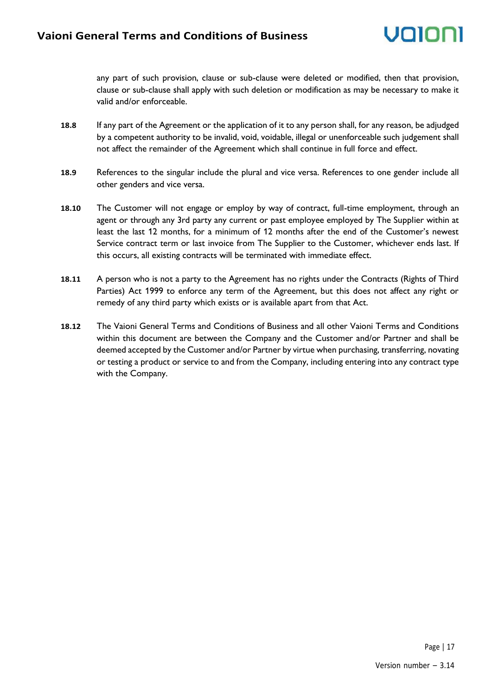any part of such provision, clause or sub-clause were deleted or modified, then that provision, clause or sub-clause shall apply with such deletion or modification as may be necessary to make it valid and/or enforceable.

- **18.8** If any part of the Agreement or the application of it to any person shall, for any reason, be adjudged by a competent authority to be invalid, void, voidable, illegal or unenforceable such judgement shall not affect the remainder of the Agreement which shall continue in full force and effect.
- **18.9** References to the singular include the plural and vice versa. References to one gender include all other genders and vice versa.
- **18.10** The Customer will not engage or employ by way of contract, full-time employment, through an agent or through any 3rd party any current or past employee employed by The Supplier within at least the last 12 months, for a minimum of 12 months after the end of the Customer's newest Service contract term or last invoice from The Supplier to the Customer, whichever ends last. If this occurs, all existing contracts will be terminated with immediate effect.
- **18.11** A person who is not a party to the Agreement has no rights under the Contracts (Rights of Third Parties) Act 1999 to enforce any term of the Agreement, but this does not affect any right or remedy of any third party which exists or is available apart from that Act.
- **18.12** The Vaioni General Terms and Conditions of Business and all other Vaioni Terms and Conditions within this document are between the Company and the Customer and/or Partner and shall be deemed accepted by the Customer and/or Partner by virtue when purchasing, transferring, novating or testing a product or service to and from the Company, including entering into any contract type with the Company.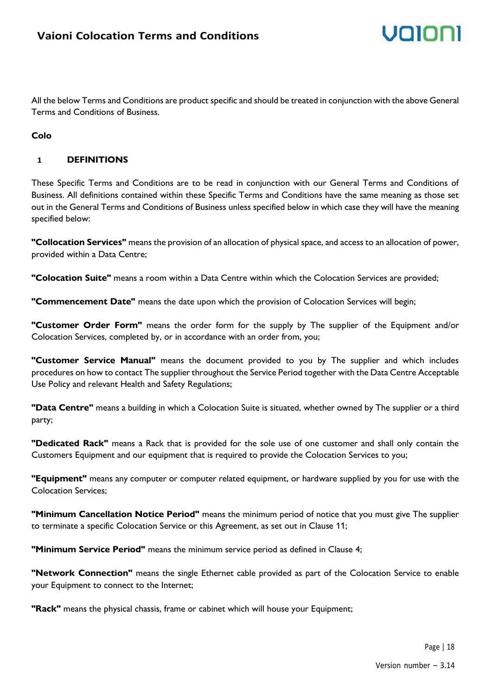All the below Terms and Conditions are product specific and should be treated in conjunction with the above General Terms and Conditions of Business.

#### **Colo**

#### **1 DEFINITIONS**

These Specific Terms and Conditions are to be read in conjunction with our General Terms and Conditions of Business. All definitions contained within these Specific Terms and Conditions have the same meaning as those set out in the General Terms and Conditions of Business unless specified below in which case they will have the meaning specified below:

**"Collocation Services"** means the provision of an allocation of physical space, and access to an allocation of power, provided within a Data Centre;

**"Colocation Suite"** means a room within a Data Centre within which the Colocation Services are provided;

**"Commencement Date"** means the date upon which the provision of Colocation Services will begin;

**"Customer Order Form"** means the order form for the supply by The supplier of the Equipment and/or Colocation Services, completed by, or in accordance with an order from, you;

**"Customer Service Manual"** means the document provided to you by The supplier and which includes procedures on how to contact The supplier throughout the Service Period together with the Data Centre Acceptable Use Policy and relevant Health and Safety Regulations;

**"Data Centre"** means a building in which a Colocation Suite is situated, whether owned by The supplier or a third party;

**"Dedicated Rack"** means a Rack that is provided for the sole use of one customer and shall only contain the Customers Equipment and our equipment that is required to provide the Colocation Services to you;

**"Equipment"** means any computer or computer related equipment, or hardware supplied by you for use with the Colocation Services;

**"Minimum Cancellation Notice Period"** means the minimum period of notice that you must give The supplier to terminate a specific Colocation Service or this Agreement, as set out in Clause 11;

**"Minimum Service Period"** means the minimum service period as defined in Clause 4;

**"Network Connection"** means the single Ethernet cable provided as part of the Colocation Service to enable your Equipment to connect to the Internet;

**"Rack"** means the physical chassis, frame or cabinet which will house your Equipment;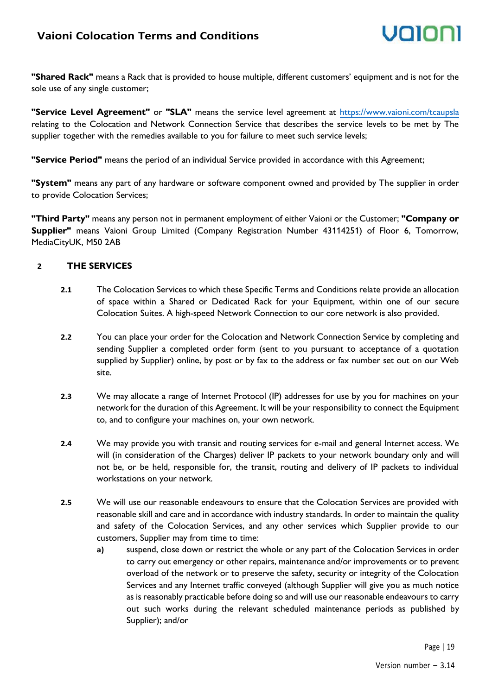## **Vaioni Colocation Terms and Conditions**

**"Shared Rack"** means a Rack that is provided to house multiple, different customers' equipment and is not for the sole use of any single customer;

**"Service Level Agreement"** or **"SLA"** means the service level agreement at<https://www.vaioni.com/tcaupsla> relating to the Colocation and Network Connection Service that describes the service levels to be met by The supplier together with the remedies available to you for failure to meet such service levels;

**"Service Period"** means the period of an individual Service provided in accordance with this Agreement;

**"System"** means any part of any hardware or software component owned and provided by The supplier in order to provide Colocation Services;

**"Third Party"** means any person not in permanent employment of either Vaioni or the Customer; **"Company or Supplier"** means Vaioni Group Limited (Company Registration Number 43114251) of Floor 6, Tomorrow, MediaCityUK, M50 2AB

#### **2 THE SERVICES**

- **2.1** The Colocation Services to which these Specific Terms and Conditions relate provide an allocation of space within a Shared or Dedicated Rack for your Equipment, within one of our secure Colocation Suites. A high-speed Network Connection to our core network is also provided.
- **2.2** You can place your order for the Colocation and Network Connection Service by completing and sending Supplier a completed order form (sent to you pursuant to acceptance of a quotation supplied by Supplier) online, by post or by fax to the address or fax number set out on our Web site.
- **2.3** We may allocate a range of Internet Protocol (IP) addresses for use by you for machines on your network for the duration of this Agreement. It will be your responsibility to connect the Equipment to, and to configure your machines on, your own network.
- **2.4** We may provide you with transit and routing services for e-mail and general Internet access. We will (in consideration of the Charges) deliver IP packets to your network boundary only and will not be, or be held, responsible for, the transit, routing and delivery of IP packets to individual workstations on your network.
- **2.5** We will use our reasonable endeavours to ensure that the Colocation Services are provided with reasonable skill and care and in accordance with industry standards. In order to maintain the quality and safety of the Colocation Services, and any other services which Supplier provide to our customers, Supplier may from time to time:
	- **a)** suspend, close down or restrict the whole or any part of the Colocation Services in order to carry out emergency or other repairs, maintenance and/or improvements or to prevent overload of the network or to preserve the safety, security or integrity of the Colocation Services and any Internet traffic conveyed (although Supplier will give you as much notice as is reasonably practicable before doing so and will use our reasonable endeavours to carry out such works during the relevant scheduled maintenance periods as published by Supplier); and/or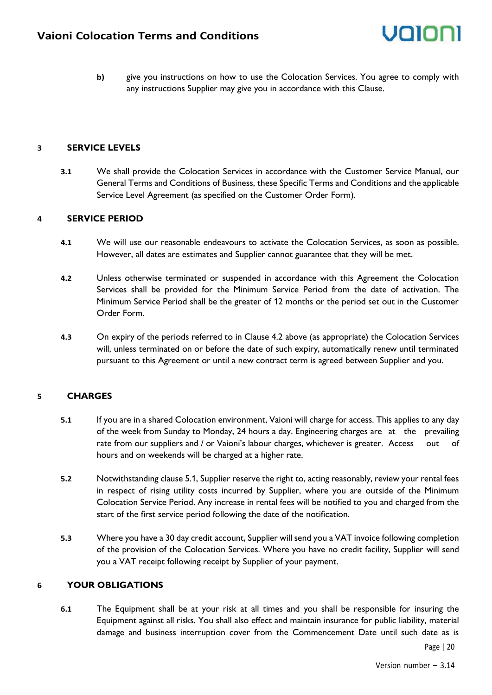**b)** give you instructions on how to use the Colocation Services. You agree to comply with any instructions Supplier may give you in accordance with this Clause.

#### **3 SERVICE LEVELS**

**3.1** We shall provide the Colocation Services in accordance with the Customer Service Manual, our General Terms and Conditions of Business, these Specific Terms and Conditions and the applicable Service Level Agreement (as specified on the Customer Order Form).

#### **4 SERVICE PERIOD**

- **4.1** We will use our reasonable endeavours to activate the Colocation Services, as soon as possible. However, all dates are estimates and Supplier cannot guarantee that they will be met.
- **4.2** Unless otherwise terminated or suspended in accordance with this Agreement the Colocation Services shall be provided for the Minimum Service Period from the date of activation. The Minimum Service Period shall be the greater of 12 months or the period set out in the Customer Order Form.
- **4.3** On expiry of the periods referred to in Clause 4.2 above (as appropriate) the Colocation Services will, unless terminated on or before the date of such expiry, automatically renew until terminated pursuant to this Agreement or until a new contract term is agreed between Supplier and you.

#### **5 CHARGES**

- **5.1** If you are in a shared Colocation environment, Vaioni will charge for access. This applies to any day of the week from Sunday to Monday, 24 hours a day. Engineering charges are at the prevailing rate from our suppliers and / or Vaioni's labour charges, whichever is greater. Access out of hours and on weekends will be charged at a higher rate.
- **5.2** Notwithstanding clause 5.1, Supplier reserve the right to, acting reasonably, review your rental fees in respect of rising utility costs incurred by Supplier, where you are outside of the Minimum Colocation Service Period. Any increase in rental fees will be notified to you and charged from the start of the first service period following the date of the notification.
- **5.3** Where you have a 30 day credit account, Supplier will send you a VAT invoice following completion of the provision of the Colocation Services. Where you have no credit facility, Supplier will send you a VAT receipt following receipt by Supplier of your payment.

#### **6 YOUR OBLIGATIONS**

**6.1** The Equipment shall be at your risk at all times and you shall be responsible for insuring the Equipment against all risks. You shall also effect and maintain insurance for public liability, material damage and business interruption cover from the Commencement Date until such date as is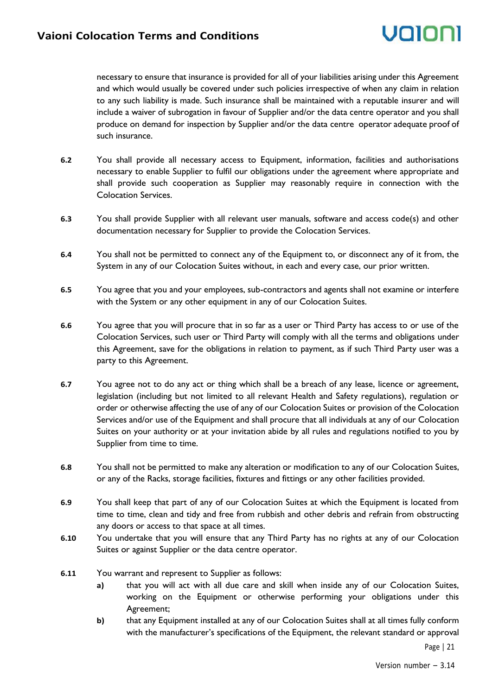

necessary to ensure that insurance is provided for all of your liabilities arising under this Agreement and which would usually be covered under such policies irrespective of when any claim in relation to any such liability is made. Such insurance shall be maintained with a reputable insurer and will include a waiver of subrogation in favour of Supplier and/or the data centre operator and you shall produce on demand for inspection by Supplier and/or the data centre operator adequate proof of such insurance.

- **6.2** You shall provide all necessary access to Equipment, information, facilities and authorisations necessary to enable Supplier to fulfil our obligations under the agreement where appropriate and shall provide such cooperation as Supplier may reasonably require in connection with the Colocation Services.
- **6.3** You shall provide Supplier with all relevant user manuals, software and access code(s) and other documentation necessary for Supplier to provide the Colocation Services.
- **6.4** You shall not be permitted to connect any of the Equipment to, or disconnect any of it from, the System in any of our Colocation Suites without, in each and every case, our prior written.
- **6.5** You agree that you and your employees, sub-contractors and agents shall not examine or interfere with the System or any other equipment in any of our Colocation Suites.
- **6.6** You agree that you will procure that in so far as a user or Third Party has access to or use of the Colocation Services, such user or Third Party will comply with all the terms and obligations under this Agreement, save for the obligations in relation to payment, as if such Third Party user was a party to this Agreement.
- **6.7** You agree not to do any act or thing which shall be a breach of any lease, licence or agreement, legislation (including but not limited to all relevant Health and Safety regulations), regulation or order or otherwise affecting the use of any of our Colocation Suites or provision of the Colocation Services and/or use of the Equipment and shall procure that all individuals at any of our Colocation Suites on your authority or at your invitation abide by all rules and regulations notified to you by Supplier from time to time.
- **6.8** You shall not be permitted to make any alteration or modification to any of our Colocation Suites, or any of the Racks, storage facilities, fixtures and fittings or any other facilities provided.
- **6.9** You shall keep that part of any of our Colocation Suites at which the Equipment is located from time to time, clean and tidy and free from rubbish and other debris and refrain from obstructing any doors or access to that space at all times.
- **6.10** You undertake that you will ensure that any Third Party has no rights at any of our Colocation Suites or against Supplier or the data centre operator.
- **6.11** You warrant and represent to Supplier as follows:
	- **a)** that you will act with all due care and skill when inside any of our Colocation Suites, working on the Equipment or otherwise performing your obligations under this Agreement;
	- **b)** that any Equipment installed at any of our Colocation Suites shall at all times fully conform with the manufacturer's specifications of the Equipment, the relevant standard or approval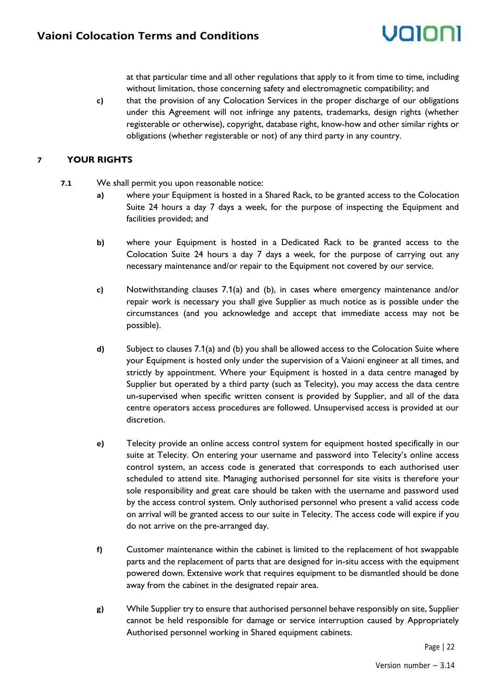at that particular time and all other regulations that apply to it from time to time, including without limitation, those concerning safety and electromagnetic compatibility; and

**c)** that the provision of any Colocation Services in the proper discharge of our obligations under this Agreement will not infringe any patents, trademarks, design rights (whether registerable or otherwise), copyright, database right, know-how and other similar rights or obligations (whether registerable or not) of any third party in any country.

#### **7 YOUR RIGHTS**

- **7.1** We shall permit you upon reasonable notice:
	- **a)** where your Equipment is hosted in a Shared Rack, to be granted access to the Colocation Suite 24 hours a day 7 days a week, for the purpose of inspecting the Equipment and facilities provided; and
	- **b)** where your Equipment is hosted in a Dedicated Rack to be granted access to the Colocation Suite 24 hours a day 7 days a week, for the purpose of carrying out any necessary maintenance and/or repair to the Equipment not covered by our service.
	- **c)** Notwithstanding clauses 7.1(a) and (b), in cases where emergency maintenance and/or repair work is necessary you shall give Supplier as much notice as is possible under the circumstances (and you acknowledge and accept that immediate access may not be possible).
	- **d)** Subject to clauses 7.1(a) and (b) you shall be allowed access to the Colocation Suite where your Equipment is hosted only under the supervision of a Vaioni engineer at all times, and strictly by appointment. Where your Equipment is hosted in a data centre managed by Supplier but operated by a third party (such as Telecity), you may access the data centre un-supervised when specific written consent is provided by Supplier, and all of the data centre operators access procedures are followed. Unsupervised access is provided at our discretion.
	- **e)** Telecity provide an online access control system for equipment hosted specifically in our suite at Telecity. On entering your username and password into Telecity's online access control system, an access code is generated that corresponds to each authorised user scheduled to attend site. Managing authorised personnel for site visits is therefore your sole responsibility and great care should be taken with the username and password used by the access control system. Only authorised personnel who present a valid access code on arrival will be granted access to our suite in Telecity. The access code will expire if you do not arrive on the pre-arranged day.
	- **f)** Customer maintenance within the cabinet is limited to the replacement of hot swappable parts and the replacement of parts that are designed for in-situ access with the equipment powered down. Extensive work that requires equipment to be dismantled should be done away from the cabinet in the designated repair area.
	- **g)** While Supplier try to ensure that authorised personnel behave responsibly on site, Supplier cannot be held responsible for damage or service interruption caused by Appropriately Authorised personnel working in Shared equipment cabinets.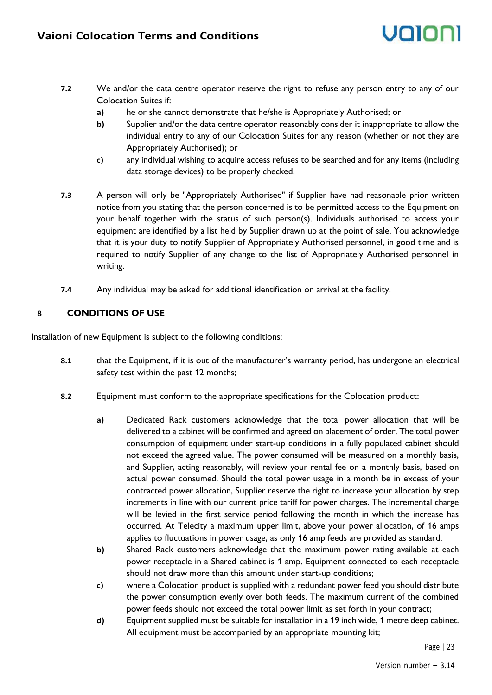- voloni
- **7.2** We and/or the data centre operator reserve the right to refuse any person entry to any of our Colocation Suites if:
	- **a)** he or she cannot demonstrate that he/she is Appropriately Authorised; or
	- **b)** Supplier and/or the data centre operator reasonably consider it inappropriate to allow the individual entry to any of our Colocation Suites for any reason (whether or not they are Appropriately Authorised); or
	- **c)** any individual wishing to acquire access refuses to be searched and for any items (including data storage devices) to be properly checked.
- **7.3** A person will only be "Appropriately Authorised" if Supplier have had reasonable prior written notice from you stating that the person concerned is to be permitted access to the Equipment on your behalf together with the status of such person(s). Individuals authorised to access your equipment are identified by a list held by Supplier drawn up at the point of sale. You acknowledge that it is your duty to notify Supplier of Appropriately Authorised personnel, in good time and is required to notify Supplier of any change to the list of Appropriately Authorised personnel in writing.
- **7.4** Any individual may be asked for additional identification on arrival at the facility.

#### **8 CONDITIONS OF USE**

Installation of new Equipment is subject to the following conditions:

- **8.1** that the Equipment, if it is out of the manufacturer's warranty period, has undergone an electrical safety test within the past 12 months;
- **8.2** Equipment must conform to the appropriate specifications for the Colocation product:
	- **a)** Dedicated Rack customers acknowledge that the total power allocation that will be delivered to a cabinet will be confirmed and agreed on placement of order. The total power consumption of equipment under start-up conditions in a fully populated cabinet should not exceed the agreed value. The power consumed will be measured on a monthly basis, and Supplier, acting reasonably, will review your rental fee on a monthly basis, based on actual power consumed. Should the total power usage in a month be in excess of your contracted power allocation, Supplier reserve the right to increase your allocation by step increments in line with our current price tariff for power charges. The incremental charge will be levied in the first service period following the month in which the increase has occurred. At Telecity a maximum upper limit, above your power allocation, of 16 amps applies to fluctuations in power usage, as only 16 amp feeds are provided as standard.
	- **b)** Shared Rack customers acknowledge that the maximum power rating available at each power receptacle in a Shared cabinet is 1 amp. Equipment connected to each receptacle should not draw more than this amount under start-up conditions;
	- **c)** where a Colocation product is supplied with a redundant power feed you should distribute the power consumption evenly over both feeds. The maximum current of the combined power feeds should not exceed the total power limit as set forth in your contract;
	- **d)** Equipment supplied must be suitable for installation in a 19 inch wide, 1 metre deep cabinet. All equipment must be accompanied by an appropriate mounting kit;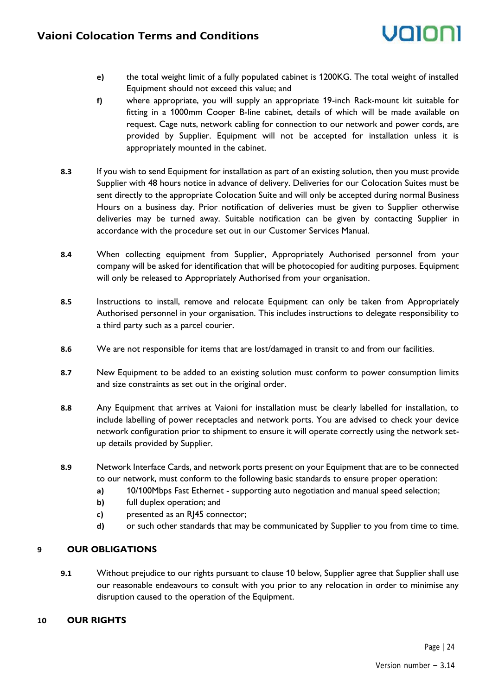- **e)** the total weight limit of a fully populated cabinet is 1200KG. The total weight of installed Equipment should not exceed this value; and
- **f)** where appropriate, you will supply an appropriate 19-inch Rack-mount kit suitable for fitting in a 1000mm Cooper B-line cabinet, details of which will be made available on request. Cage nuts, network cabling for connection to our network and power cords, are provided by Supplier. Equipment will not be accepted for installation unless it is appropriately mounted in the cabinet.
- **8.3** If you wish to send Equipment for installation as part of an existing solution, then you must provide Supplier with 48 hours notice in advance of delivery. Deliveries for our Colocation Suites must be sent directly to the appropriate Colocation Suite and will only be accepted during normal Business Hours on a business day. Prior notification of deliveries must be given to Supplier otherwise deliveries may be turned away. Suitable notification can be given by contacting Supplier in accordance with the procedure set out in our Customer Services Manual.
- **8.4** When collecting equipment from Supplier, Appropriately Authorised personnel from your company will be asked for identification that will be photocopied for auditing purposes. Equipment will only be released to Appropriately Authorised from your organisation.
- **8.5** Instructions to install, remove and relocate Equipment can only be taken from Appropriately Authorised personnel in your organisation. This includes instructions to delegate responsibility to a third party such as a parcel courier.
- **8.6** We are not responsible for items that are lost/damaged in transit to and from our facilities.
- **8.7** New Equipment to be added to an existing solution must conform to power consumption limits and size constraints as set out in the original order.
- **8.8** Any Equipment that arrives at Vaioni for installation must be clearly labelled for installation, to include labelling of power receptacles and network ports. You are advised to check your device network configuration prior to shipment to ensure it will operate correctly using the network setup details provided by Supplier.
- **8.9** Network Interface Cards, and network ports present on your Equipment that are to be connected to our network, must conform to the following basic standards to ensure proper operation:
	- **a)** 10/100Mbps Fast Ethernet supporting auto negotiation and manual speed selection;
	- **b)** full duplex operation; and
	- **c)** presented as an RJ45 connector;
	- **d)** or such other standards that may be communicated by Supplier to you from time to time.

#### **9 OUR OBLIGATIONS**

**9.1** Without prejudice to our rights pursuant to clause 10 below, Supplier agree that Supplier shall use our reasonable endeavours to consult with you prior to any relocation in order to minimise any disruption caused to the operation of the Equipment.

#### **10 OUR RIGHTS**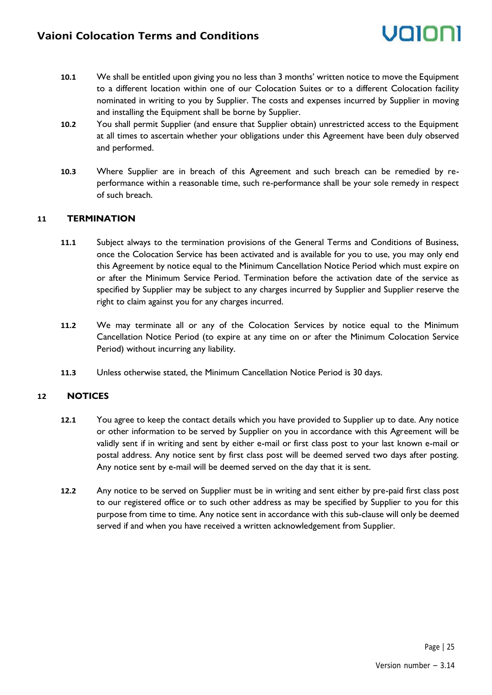

- **10.1** We shall be entitled upon giving you no less than 3 months' written notice to move the Equipment to a different location within one of our Colocation Suites or to a different Colocation facility nominated in writing to you by Supplier. The costs and expenses incurred by Supplier in moving and installing the Equipment shall be borne by Supplier.
- **10.2** You shall permit Supplier (and ensure that Supplier obtain) unrestricted access to the Equipment at all times to ascertain whether your obligations under this Agreement have been duly observed and performed.
- **10.3** Where Supplier are in breach of this Agreement and such breach can be remedied by reperformance within a reasonable time, such re-performance shall be your sole remedy in respect of such breach.

#### **11 TERMINATION**

- **11.1** Subject always to the termination provisions of the General Terms and Conditions of Business, once the Colocation Service has been activated and is available for you to use, you may only end this Agreement by notice equal to the Minimum Cancellation Notice Period which must expire on or after the Minimum Service Period. Termination before the activation date of the service as specified by Supplier may be subject to any charges incurred by Supplier and Supplier reserve the right to claim against you for any charges incurred.
- **11.2** We may terminate all or any of the Colocation Services by notice equal to the Minimum Cancellation Notice Period (to expire at any time on or after the Minimum Colocation Service Period) without incurring any liability.
- **11.3** Unless otherwise stated, the Minimum Cancellation Notice Period is 30 days.

#### **12 NOTICES**

- **12.1** You agree to keep the contact details which you have provided to Supplier up to date. Any notice or other information to be served by Supplier on you in accordance with this Agreement will be validly sent if in writing and sent by either e-mail or first class post to your last known e-mail or postal address. Any notice sent by first class post will be deemed served two days after posting. Any notice sent by e-mail will be deemed served on the day that it is sent.
- **12.2** Any notice to be served on Supplier must be in writing and sent either by pre-paid first class post to our registered office or to such other address as may be specified by Supplier to you for this purpose from time to time. Any notice sent in accordance with this sub-clause will only be deemed served if and when you have received a written acknowledgement from Supplier.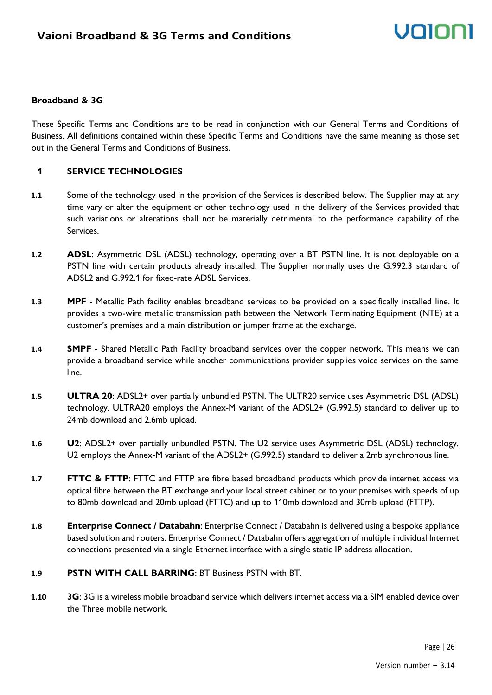#### **Broadband & 3G**

These Specific Terms and Conditions are to be read in conjunction with our General Terms and Conditions of Business. All definitions contained within these Specific Terms and Conditions have the same meaning as those set out in the General Terms and Conditions of Business.

#### **1 SERVICE TECHNOLOGIES**

- **1.1** Some of the technology used in the provision of the Services is described below. The Supplier may at any time vary or alter the equipment or other technology used in the delivery of the Services provided that such variations or alterations shall not be materially detrimental to the performance capability of the Services.
- **1.2 ADSL**: Asymmetric DSL (ADSL) technology, operating over a BT PSTN line. It is not deployable on a PSTN line with certain products already installed. The Supplier normally uses the G.992.3 standard of ADSL2 and G.992.1 for fixed-rate ADSL Services.
- **1.3 MPF**  Metallic Path facility enables broadband services to be provided on a specifically installed line. It provides a two-wire metallic transmission path between the Network Terminating Equipment (NTE) at a customer's premises and a main distribution or jumper frame at the exchange.
- **1.4 SMPF**  Shared Metallic Path Facility broadband services over the copper network. This means we can provide a broadband service while another communications provider supplies voice services on the same line.
- **1.5 ULTRA 20**: ADSL2+ over partially unbundled PSTN. The ULTR20 service uses Asymmetric DSL (ADSL) technology. ULTRA20 employs the Annex-M variant of the ADSL2+ (G.992.5) standard to deliver up to 24mb download and 2.6mb upload.
- **1.6 U2**: ADSL2+ over partially unbundled PSTN. The U2 service uses Asymmetric DSL (ADSL) technology. U2 employs the Annex-M variant of the ADSL2+ (G.992.5) standard to deliver a 2mb synchronous line.
- **1.7 FTTC & FTTP**: FTTC and FTTP are fibre based broadband products which provide internet access via optical fibre between the BT exchange and your local street cabinet or to your premises with speeds of up to 80mb download and 20mb upload (FTTC) and up to 110mb download and 30mb upload (FTTP).
- **1.8 Enterprise Connect / Databahn**: Enterprise Connect / Databahn is delivered using a bespoke appliance based solution and routers. Enterprise Connect / Databahn offers aggregation of multiple individual Internet connections presented via a single Ethernet interface with a single static IP address allocation.
- **1.9 PSTN WITH CALL BARRING**: BT Business PSTN with BT.
- **1.10 3G**: 3G is a wireless mobile broadband service which delivers internet access via a SIM enabled device over the Three mobile network.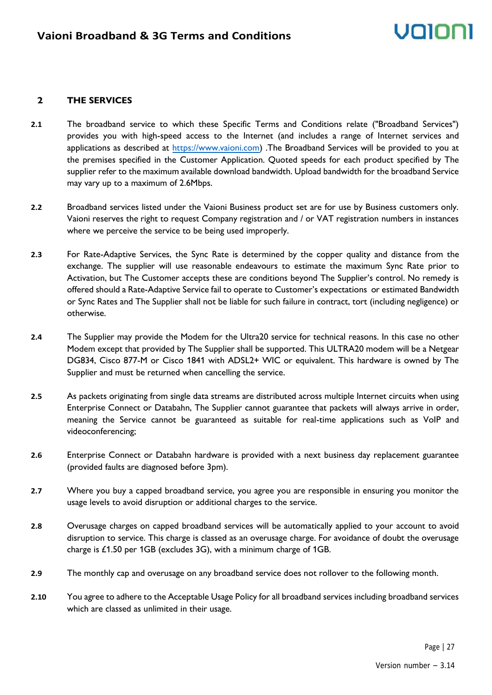#### **2 THE SERVICES**

- **2.1** The broadband service to which these Specific Terms and Conditions relate ("Broadband Services") provides you with high-speed access to the Internet (and includes a range of Internet services and applications as described at [https://www.vaioni.com\)](https://www.vaioni.com/) .The Broadband Services will be provided to you at the premises specified in the Customer Application. Quoted speeds for each product specified by The supplier refer to the maximum available download bandwidth. Upload bandwidth for the broadband Service may vary up to a maximum of 2.6Mbps.
- **2.2** Broadband services listed under the Vaioni Business product set are for use by Business customers only. Vaioni reserves the right to request Company registration and / or VAT registration numbers in instances where we perceive the service to be being used improperly.
- **2.3** For Rate-Adaptive Services, the Sync Rate is determined by the copper quality and distance from the exchange. The supplier will use reasonable endeavours to estimate the maximum Sync Rate prior to Activation, but The Customer accepts these are conditions beyond The Supplier's control. No remedy is offered should a Rate-Adaptive Service fail to operate to Customer's expectations or estimated Bandwidth or Sync Rates and The Supplier shall not be liable for such failure in contract, tort (including negligence) or otherwise.
- **2.4** The Supplier may provide the Modem for the Ultra20 service for technical reasons. In this case no other Modem except that provided by The Supplier shall be supported. This ULTRA20 modem will be a Netgear DG834, Cisco 877-M or Cisco 1841 with ADSL2+ WIC or equivalent. This hardware is owned by The Supplier and must be returned when cancelling the service.
- **2.5** As packets originating from single data streams are distributed across multiple Internet circuits when using Enterprise Connect or Databahn, The Supplier cannot guarantee that packets will always arrive in order, meaning the Service cannot be guaranteed as suitable for real-time applications such as VoIP and videoconferencing;
- **2.6** Enterprise Connect or Databahn hardware is provided with a next business day replacement guarantee (provided faults are diagnosed before 3pm).
- **2.7** Where you buy a capped broadband service, you agree you are responsible in ensuring you monitor the usage levels to avoid disruption or additional charges to the service.
- **2.8** Overusage charges on capped broadband services will be automatically applied to your account to avoid disruption to service. This charge is classed as an overusage charge. For avoidance of doubt the overusage charge is £1.50 per 1GB (excludes 3G), with a minimum charge of 1GB.
- **2.9** The monthly cap and overusage on any broadband service does not rollover to the following month.
- **2.10** You agree to adhere to the Acceptable Usage Policy for all broadband services including broadband services which are classed as unlimited in their usage.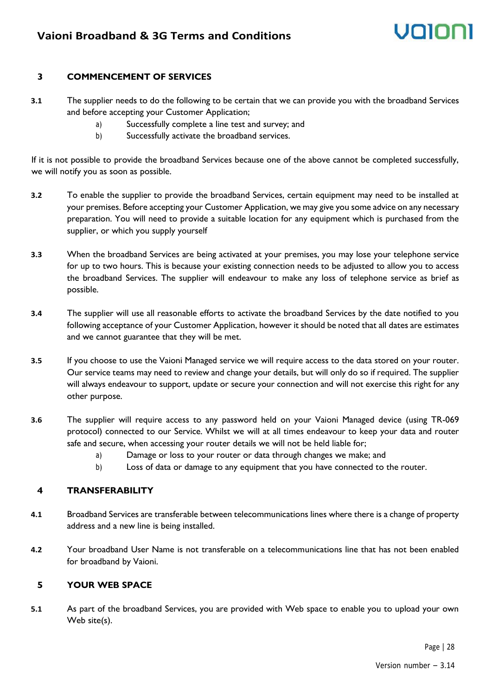#### **3 COMMENCEMENT OF SERVICES**

- **3.1** The supplier needs to do the following to be certain that we can provide you with the broadband Services and before accepting your Customer Application;
	- a) Successfully complete a line test and survey; and
	- b) Successfully activate the broadband services.

If it is not possible to provide the broadband Services because one of the above cannot be completed successfully, we will notify you as soon as possible.

- **3.2** To enable the supplier to provide the broadband Services, certain equipment may need to be installed at your premises. Before accepting your Customer Application, we may give you some advice on any necessary preparation. You will need to provide a suitable location for any equipment which is purchased from the supplier, or which you supply yourself
- **3.3** When the broadband Services are being activated at your premises, you may lose your telephone service for up to two hours. This is because your existing connection needs to be adjusted to allow you to access the broadband Services. The supplier will endeavour to make any loss of telephone service as brief as possible.
- **3.4** The supplier will use all reasonable efforts to activate the broadband Services by the date notified to you following acceptance of your Customer Application, however it should be noted that all dates are estimates and we cannot guarantee that they will be met.
- **3.5** If you choose to use the Vaioni Managed service we will require access to the data stored on your router. Our service teams may need to review and change your details, but will only do so if required. The supplier will always endeavour to support, update or secure your connection and will not exercise this right for any other purpose.
- **3.6** The supplier will require access to any password held on your Vaioni Managed device (using TR-069 protocol) connected to our Service. Whilst we will at all times endeavour to keep your data and router safe and secure, when accessing your router details we will not be held liable for;
	- a) Damage or loss to your router or data through changes we make; and
	- b) Loss of data or damage to any equipment that you have connected to the router.

#### **4 TRANSFERABILITY**

- **4.1** Broadband Services are transferable between telecommunications lines where there is a change of property address and a new line is being installed.
- **4.2** Your broadband User Name is not transferable on a telecommunications line that has not been enabled for broadband by Vaioni.

#### **5 YOUR WEB SPACE**

**5.1** As part of the broadband Services, you are provided with Web space to enable you to upload your own Web site(s).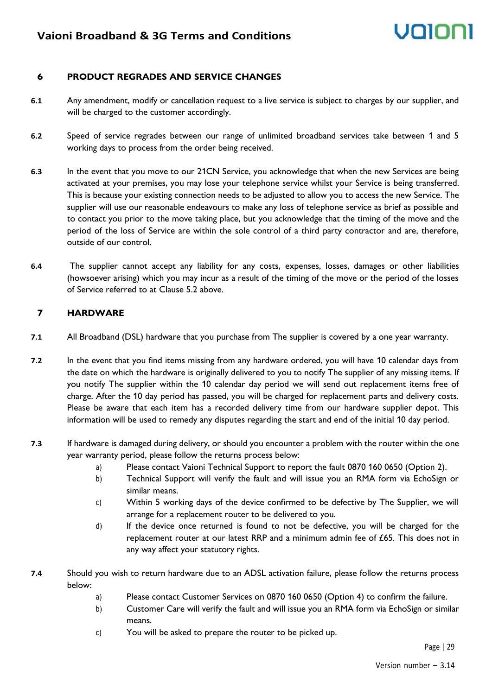# voin

#### **6 PRODUCT REGRADES AND SERVICE CHANGES**

- **6.1** Any amendment, modify or cancellation request to a live service is subject to charges by our supplier, and will be charged to the customer accordingly.
- **6.2** Speed of service regrades between our range of unlimited broadband services take between 1 and 5 working days to process from the order being received.
- **6.3** In the event that you move to our 21CN Service, you acknowledge that when the new Services are being activated at your premises, you may lose your telephone service whilst your Service is being transferred. This is because your existing connection needs to be adjusted to allow you to access the new Service. The supplier will use our reasonable endeavours to make any loss of telephone service as brief as possible and to contact you prior to the move taking place, but you acknowledge that the timing of the move and the period of the loss of Service are within the sole control of a third party contractor and are, therefore, outside of our control.
- **6.4** The supplier cannot accept any liability for any costs, expenses, losses, damages or other liabilities (howsoever arising) which you may incur as a result of the timing of the move or the period of the losses of Service referred to at Clause 5.2 above.

#### **7 HARDWARE**

- **7.1** All Broadband (DSL) hardware that you purchase from The supplier is covered by a one year warranty.
- **7.2** In the event that you find items missing from any hardware ordered, you will have 10 calendar days from the date on which the hardware is originally delivered to you to notify The supplier of any missing items. If you notify The supplier within the 10 calendar day period we will send out replacement items free of charge. After the 10 day period has passed, you will be charged for replacement parts and delivery costs. Please be aware that each item has a recorded delivery time from our hardware supplier depot. This information will be used to remedy any disputes regarding the start and end of the initial 10 day period.
- **7.3** If hardware is damaged during delivery, or should you encounter a problem with the router within the one year warranty period, please follow the returns process below:
	- a) Please contact Vaioni Technical Support to report the fault 0870 160 0650 (Option 2).
	- b) Technical Support will verify the fault and will issue you an RMA form via EchoSign or similar means.
	- c) Within 5 working days of the device confirmed to be defective by The Supplier, we will arrange for a replacement router to be delivered to you.
	- d) If the device once returned is found to not be defective, you will be charged for the replacement router at our latest RRP and a minimum admin fee of £65. This does not in any way affect your statutory rights.
- **7.4** Should you wish to return hardware due to an ADSL activation failure, please follow the returns process below:
	- a) Please contact Customer Services on 0870 160 0650 (Option 4) to confirm the failure.
	- b) Customer Care will verify the fault and will issue you an RMA form via EchoSign or similar means.
	- c) You will be asked to prepare the router to be picked up.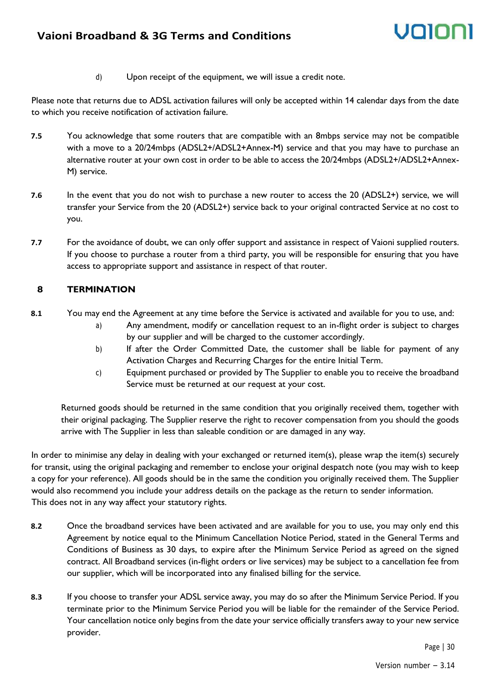d) Upon receipt of the equipment, we will issue a credit note.

Please note that returns due to ADSL activation failures will only be accepted within 14 calendar days from the date to which you receive notification of activation failure.

- **7.5** You acknowledge that some routers that are compatible with an 8mbps service may not be compatible with a move to a 20/24mbps (ADSL2+/ADSL2+Annex-M) service and that you may have to purchase an alternative router at your own cost in order to be able to access the 20/24mbps (ADSL2+/ADSL2+Annex-M) service.
- **7.6** In the event that you do not wish to purchase a new router to access the 20 (ADSL2+) service, we will transfer your Service from the 20 (ADSL2+) service back to your original contracted Service at no cost to you.
- **7.7** For the avoidance of doubt, we can only offer support and assistance in respect of Vaioni supplied routers. If you choose to purchase a router from a third party, you will be responsible for ensuring that you have access to appropriate support and assistance in respect of that router.

#### **8 TERMINATION**

- **8.1** You may end the Agreement at any time before the Service is activated and available for you to use, and:
	- a) Any amendment, modify or cancellation request to an in-flight order is subject to charges by our supplier and will be charged to the customer accordingly.
	- b) If after the Order Committed Date, the customer shall be liable for payment of any Activation Charges and Recurring Charges for the entire Initial Term.
	- c) Equipment purchased or provided by The Supplier to enable you to receive the broadband Service must be returned at our request at your cost.

Returned goods should be returned in the same condition that you originally received them, together with their original packaging. The Supplier reserve the right to recover compensation from you should the goods arrive with The Supplier in less than saleable condition or are damaged in any way.

In order to minimise any delay in dealing with your exchanged or returned item(s), please wrap the item(s) securely for transit, using the original packaging and remember to enclose your original despatch note (you may wish to keep a copy for your reference). All goods should be in the same the condition you originally received them. The Supplier would also recommend you include your address details on the package as the return to sender information. This does not in any way affect your statutory rights.

- **8.2** Once the broadband services have been activated and are available for you to use, you may only end this Agreement by notice equal to the Minimum Cancellation Notice Period, stated in the General Terms and Conditions of Business as 30 days, to expire after the Minimum Service Period as agreed on the signed contract. All Broadband services (in-flight orders or live services) may be subject to a cancellation fee from our supplier, which will be incorporated into any finalised billing for the service.
- **8.3** If you choose to transfer your ADSL service away, you may do so after the Minimum Service Period. If you terminate prior to the Minimum Service Period you will be liable for the remainder of the Service Period. Your cancellation notice only begins from the date your service officially transfers away to your new service provider.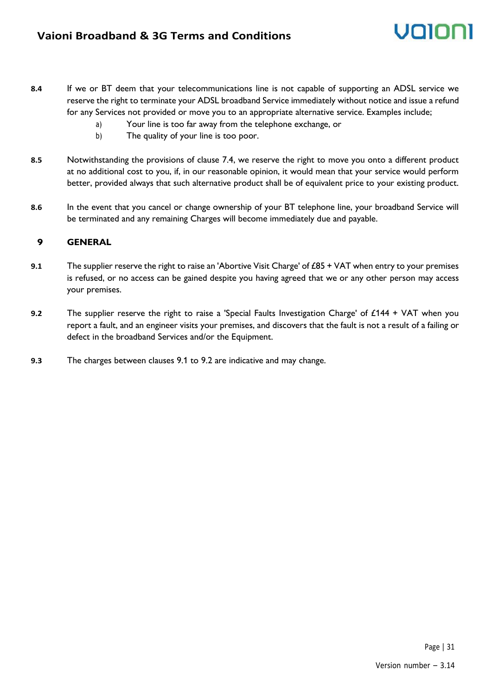- **8.4** If we or BT deem that your telecommunications line is not capable of supporting an ADSL service we reserve the right to terminate your ADSL broadband Service immediately without notice and issue a refund for any Services not provided or move you to an appropriate alternative service. Examples include;
	- a) Your line is too far away from the telephone exchange, or
	- b) The quality of your line is too poor.
- **8.5** Notwithstanding the provisions of clause 7.4, we reserve the right to move you onto a different product at no additional cost to you, if, in our reasonable opinion, it would mean that your service would perform better, provided always that such alternative product shall be of equivalent price to your existing product.
- **8.6** In the event that you cancel or change ownership of your BT telephone line, your broadband Service will be terminated and any remaining Charges will become immediately due and payable.

#### **9 GENERAL**

- **9.1** The supplier reserve the right to raise an 'Abortive Visit Charge' of £85 + VAT when entry to your premises is refused, or no access can be gained despite you having agreed that we or any other person may access your premises.
- **9.2** The supplier reserve the right to raise a 'Special Faults Investigation Charge' of £144 + VAT when you report a fault, and an engineer visits your premises, and discovers that the fault is not a result of a failing or defect in the broadband Services and/or the Equipment.
- **9.3** The charges between clauses 9.1 to 9.2 are indicative and may change.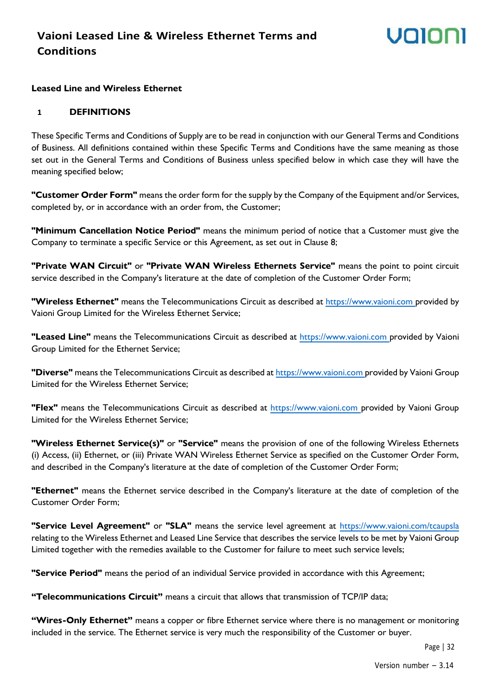# volor

#### **Leased Line and Wireless Ethernet**

#### **1 DEFINITIONS**

These Specific Terms and Conditions of Supply are to be read in conjunction with our General Terms and Conditions of Business. All definitions contained within these Specific Terms and Conditions have the same meaning as those set out in the General Terms and Conditions of Business unless specified below in which case they will have the meaning specified below;

**"Customer Order Form"** means the order form for the supply by the Company of the Equipment and/or Services, completed by, or in accordance with an order from, the Customer;

**"Minimum Cancellation Notice Period"** means the minimum period of notice that a Customer must give the Company to terminate a specific Service or this Agreement, as set out in Clause 8;

**"Private WAN Circuit"** or **"Private WAN Wireless Ethernets Service"** means the point to point circuit service described in the Company's literature at the date of completion of the Customer Order Form;

**"Wireless Ethernet"** means the Telecommunications Circuit as described at [https://www.vaioni.com p](https://www.vaioni.com/)rovided by Vaioni Group Limited for the Wireless Ethernet Service;

**"Leased Line"** means the Telecommunications Circuit as described at [https://www.vaioni.com p](https://www.vaioni.com/)rovided by Vaioni Group Limited for the Ethernet Service;

**"Diverse"** means the Telecommunications Circuit as described a[t https://www.vaioni.com p](https://www.vaioni.com/)rovided by Vaioni Group Limited for the Wireless Ethernet Service;

**"Flex"** means the Telecommunications Circuit as described at [https://www.vaioni.com p](https://www.vaioni.com/)rovided by Vaioni Group Limited for the Wireless Ethernet Service;

**"Wireless Ethernet Service(s)"** or **"Service"** means the provision of one of the following Wireless Ethernets (i) Access, (ii) Ethernet, or (iii) Private WAN Wireless Ethernet Service as specified on the Customer Order Form, and described in the Company's literature at the date of completion of the Customer Order Form;

**"Ethernet"** means the Ethernet service described in the Company's literature at the date of completion of the Customer Order Form;

**"Service Level Agreement"** or **"SLA"** means the service level agreement at<https://www.vaioni.com/tcaupsla> relating to the Wireless Ethernet and Leased Line Service that describes the service levels to be met by Vaioni Group Limited together with the remedies available to the Customer for failure to meet such service levels;

**"Service Period"** means the period of an individual Service provided in accordance with this Agreement;

**"Telecommunications Circuit"** means a circuit that allows that transmission of TCP/IP data;

**"Wires-Only Ethernet"** means a copper or fibre Ethernet service where there is no management or monitoring included in the service. The Ethernet service is very much the responsibility of the Customer or buyer.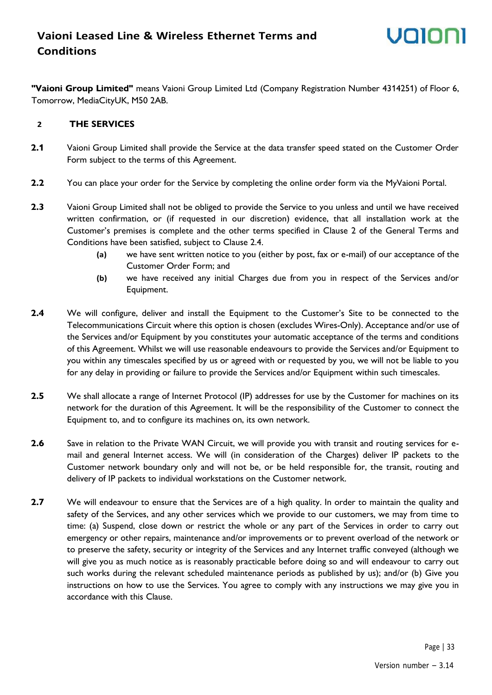**"Vaioni Group Limited"** means Vaioni Group Limited Ltd (Company Registration Number 4314251) of Floor 6, Tomorrow, MediaCityUK, M50 2AB.

#### **2 THE SERVICES**

- **2.1** Vaioni Group Limited shall provide the Service at the data transfer speed stated on the Customer Order Form subject to the terms of this Agreement.
- **2.2** You can place your order for the Service by completing the online order form via the MyVaioni Portal.
- **2.3** Vaioni Group Limited shall not be obliged to provide the Service to you unless and until we have received written confirmation, or (if requested in our discretion) evidence, that all installation work at the Customer's premises is complete and the other terms specified in Clause 2 of the General Terms and Conditions have been satisfied, subject to Clause 2.4.
	- **(a)** we have sent written notice to you (either by post, fax or e-mail) of our acceptance of the Customer Order Form; and
	- **(b)** we have received any initial Charges due from you in respect of the Services and/or Equipment.
- **2.4** We will configure, deliver and install the Equipment to the Customer's Site to be connected to the Telecommunications Circuit where this option is chosen (excludes Wires-Only). Acceptance and/or use of the Services and/or Equipment by you constitutes your automatic acceptance of the terms and conditions of this Agreement. Whilst we will use reasonable endeavours to provide the Services and/or Equipment to you within any timescales specified by us or agreed with or requested by you, we will not be liable to you for any delay in providing or failure to provide the Services and/or Equipment within such timescales.
- **2.5** We shall allocate a range of Internet Protocol (IP) addresses for use by the Customer for machines on its network for the duration of this Agreement. It will be the responsibility of the Customer to connect the Equipment to, and to configure its machines on, its own network.
- **2.6** Save in relation to the Private WAN Circuit, we will provide you with transit and routing services for email and general Internet access. We will (in consideration of the Charges) deliver IP packets to the Customer network boundary only and will not be, or be held responsible for, the transit, routing and delivery of IP packets to individual workstations on the Customer network.
- **2.7** We will endeavour to ensure that the Services are of a high quality. In order to maintain the quality and safety of the Services, and any other services which we provide to our customers, we may from time to time: (a) Suspend, close down or restrict the whole or any part of the Services in order to carry out emergency or other repairs, maintenance and/or improvements or to prevent overload of the network or to preserve the safety, security or integrity of the Services and any Internet traffic conveyed (although we will give you as much notice as is reasonably practicable before doing so and will endeavour to carry out such works during the relevant scheduled maintenance periods as published by us); and/or (b) Give you instructions on how to use the Services. You agree to comply with any instructions we may give you in accordance with this Clause.

Page | 33

volor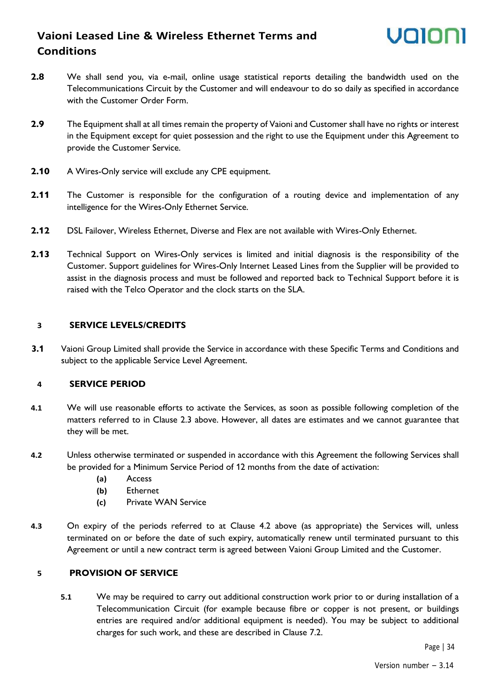## **Vaioni Leased Line & Wireless Ethernet Terms and Conditions**



- **2.8** We shall send you, via e-mail, online usage statistical reports detailing the bandwidth used on the Telecommunications Circuit by the Customer and will endeavour to do so daily as specified in accordance with the Customer Order Form.
- **2.9** The Equipment shall at all times remain the property of Vaioni and Customer shall have no rights or interest in the Equipment except for quiet possession and the right to use the Equipment under this Agreement to provide the Customer Service.
- **2.10** A Wires-Only service will exclude any CPE equipment.
- **2.11** The Customer is responsible for the configuration of a routing device and implementation of any intelligence for the Wires-Only Ethernet Service.
- 2.12 DSL Failover, Wireless Ethernet, Diverse and Flex are not available with Wires-Only Ethernet.
- **2.13** Technical Support on Wires-Only services is limited and initial diagnosis is the responsibility of the Customer. Support guidelines for Wires-Only Internet Leased Lines from the Supplier will be provided to assist in the diagnosis process and must be followed and reported back to Technical Support before it is raised with the Telco Operator and the clock starts on the SLA.

#### **3 SERVICE LEVELS/CREDITS**

**3.1** Vaioni Group Limited shall provide the Service in accordance with these Specific Terms and Conditions and subject to the applicable Service Level Agreement.

#### **4 SERVICE PERIOD**

- **4.1** We will use reasonable efforts to activate the Services, as soon as possible following completion of the matters referred to in Clause 2.3 above. However, all dates are estimates and we cannot guarantee that they will be met.
- **4.2** Unless otherwise terminated or suspended in accordance with this Agreement the following Services shall be provided for a Minimum Service Period of 12 months from the date of activation:
	- **(a)** Access
	- **(b)** Ethernet
	- **(c)** Private WAN Service
- **4.3** On expiry of the periods referred to at Clause 4.2 above (as appropriate) the Services will, unless terminated on or before the date of such expiry, automatically renew until terminated pursuant to this Agreement or until a new contract term is agreed between Vaioni Group Limited and the Customer.

#### **5 PROVISION OF SERVICE**

**5.1** We may be required to carry out additional construction work prior to or during installation of a Telecommunication Circuit (for example because fibre or copper is not present, or buildings entries are required and/or additional equipment is needed). You may be subject to additional charges for such work, and these are described in Clause 7.2.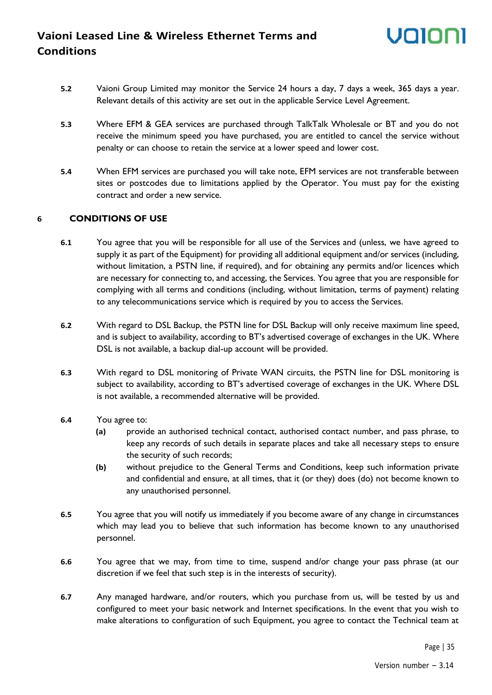## **Vaioni Leased Line & Wireless Ethernet Terms and Conditions**

- **5.2** Vaioni Group Limited may monitor the Service 24 hours a day, 7 days a week, 365 days a year. Relevant details of this activity are set out in the applicable Service Level Agreement.
- **5.3** Where EFM & GEA services are purchased through TalkTalk Wholesale or BT and you do not receive the minimum speed you have purchased, you are entitled to cancel the service without penalty or can choose to retain the service at a lower speed and lower cost.
- **5.4** When EFM services are purchased you will take note, EFM services are not transferable between sites or postcodes due to limitations applied by the Operator. You must pay for the existing contract and order a new service.

#### **6 CONDITIONS OF USE**

- **6.1** You agree that you will be responsible for all use of the Services and (unless, we have agreed to supply it as part of the Equipment) for providing all additional equipment and/or services (including, without limitation, a PSTN line, if required), and for obtaining any permits and/or licences which are necessary for connecting to, and accessing, the Services. You agree that you are responsible for complying with all terms and conditions (including, without limitation, terms of payment) relating to any telecommunications service which is required by you to access the Services.
- **6.2** With regard to DSL Backup, the PSTN line for DSL Backup will only receive maximum line speed, and is subject to availability, according to BT's advertised coverage of exchanges in the UK. Where DSL is not available, a backup dial-up account will be provided.
- **6.3** With regard to DSL monitoring of Private WAN circuits, the PSTN line for DSL monitoring is subject to availability, according to BT's advertised coverage of exchanges in the UK. Where DSL is not available, a recommended alternative will be provided.
- **6.4** You agree to:
	- **(a)** provide an authorised technical contact, authorised contact number, and pass phrase, to keep any records of such details in separate places and take all necessary steps to ensure the security of such records;
	- **(b)** without prejudice to the General Terms and Conditions, keep such information private and confidential and ensure, at all times, that it (or they) does (do) not become known to any unauthorised personnel.
- **6.5** You agree that you will notify us immediately if you become aware of any change in circumstances which may lead you to believe that such information has become known to any unauthorised personnel.
- **6.6** You agree that we may, from time to time, suspend and/or change your pass phrase (at our discretion if we feel that such step is in the interests of security).
- **6.7** Any managed hardware, and/or routers, which you purchase from us, will be tested by us and configured to meet your basic network and Internet specifications. In the event that you wish to make alterations to configuration of such Equipment, you agree to contact the Technical team at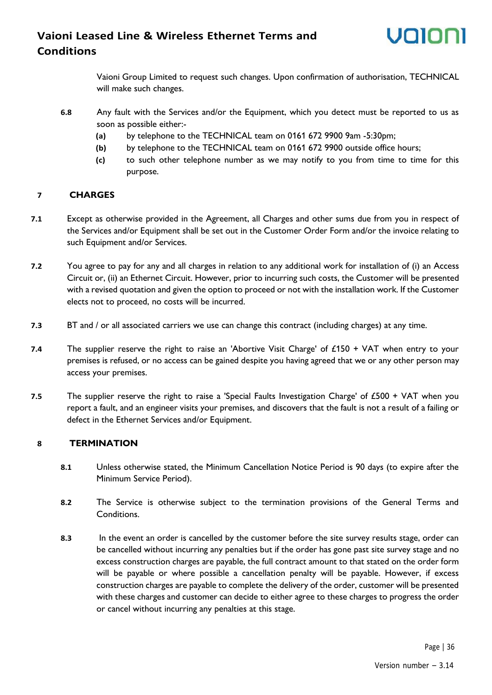### **Vaioni Leased Line & Wireless Ethernet Terms and Conditions**

Vaioni Group Limited to request such changes. Upon confirmation of authorisation, TECHNICAL will make such changes.

- **6.8** Any fault with the Services and/or the Equipment, which you detect must be reported to us as soon as possible either:-
	- **(a)** by telephone to the TECHNICAL team on 0161 672 9900 9am -5:30pm;
	- **(b)** by telephone to the TECHNICAL team on 0161 672 9900 outside office hours;
	- **(c)** to such other telephone number as we may notify to you from time to time for this purpose.

#### **7 CHARGES**

- **7.1** Except as otherwise provided in the Agreement, all Charges and other sums due from you in respect of the Services and/or Equipment shall be set out in the Customer Order Form and/or the invoice relating to such Equipment and/or Services.
- **7.2** You agree to pay for any and all charges in relation to any additional work for installation of (i) an Access Circuit or, (ii) an Ethernet Circuit. However, prior to incurring such costs, the Customer will be presented with a revised quotation and given the option to proceed or not with the installation work. If the Customer elects not to proceed, no costs will be incurred.
- **7.3** BT and / or all associated carriers we use can change this contract (including charges) at any time.
- **7.4** The supplier reserve the right to raise an 'Abortive Visit Charge' of £150 + VAT when entry to your premises is refused, or no access can be gained despite you having agreed that we or any other person may access your premises.
- **7.5** The supplier reserve the right to raise a 'Special Faults Investigation Charge' of £500 + VAT when you report a fault, and an engineer visits your premises, and discovers that the fault is not a result of a failing or defect in the Ethernet Services and/or Equipment.

#### **8 TERMINATION**

- **8.1** Unless otherwise stated, the Minimum Cancellation Notice Period is 90 days (to expire after the Minimum Service Period).
- **8.2** The Service is otherwise subject to the termination provisions of the General Terms and Conditions.
- **8.3** In the event an order is cancelled by the customer before the site survey results stage, order can be cancelled without incurring any penalties but if the order has gone past site survey stage and no excess construction charges are payable, the full contract amount to that stated on the order form will be payable or where possible a cancellation penalty will be payable. However, if excess construction charges are payable to complete the delivery of the order, customer will be presented with these charges and customer can decide to either agree to these charges to progress the order or cancel without incurring any penalties at this stage.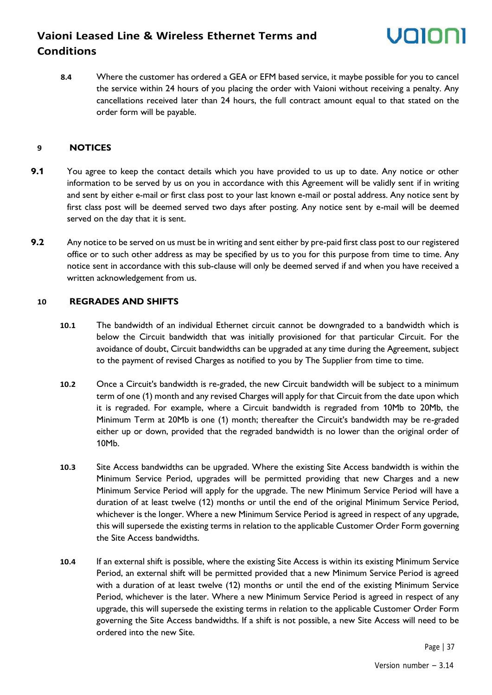### **Vaioni Leased Line & Wireless Ethernet Terms and Conditions**

**8.4** Where the customer has ordered a GEA or EFM based service, it maybe possible for you to cancel the service within 24 hours of you placing the order with Vaioni without receiving a penalty. Any cancellations received later than 24 hours, the full contract amount equal to that stated on the order form will be payable.

#### **9 NOTICES**

- **9.1** You agree to keep the contact details which you have provided to us up to date. Any notice or other information to be served by us on you in accordance with this Agreement will be validly sent if in writing and sent by either e-mail or first class post to your last known e-mail or postal address. Any notice sent by first class post will be deemed served two days after posting. Any notice sent by e-mail will be deemed served on the day that it is sent.
- **9.2** Any notice to be served on us must be in writing and sent either by pre-paid first class post to our registered office or to such other address as may be specified by us to you for this purpose from time to time. Any notice sent in accordance with this sub-clause will only be deemed served if and when you have received a written acknowledgement from us.

#### **10 REGRADES AND SHIFTS**

- **10.1** The bandwidth of an individual Ethernet circuit cannot be downgraded to a bandwidth which is below the Circuit bandwidth that was initially provisioned for that particular Circuit. For the avoidance of doubt, Circuit bandwidths can be upgraded at any time during the Agreement, subject to the payment of revised Charges as notified to you by The Supplier from time to time.
- **10.2** Once a Circuit's bandwidth is re-graded, the new Circuit bandwidth will be subject to a minimum term of one (1) month and any revised Charges will apply for that Circuit from the date upon which it is regraded. For example, where a Circuit bandwidth is regraded from 10Mb to 20Mb, the Minimum Term at 20Mb is one (1) month; thereafter the Circuit's bandwidth may be re-graded either up or down, provided that the regraded bandwidth is no lower than the original order of 10Mb.
- **10.3** Site Access bandwidths can be upgraded. Where the existing Site Access bandwidth is within the Minimum Service Period, upgrades will be permitted providing that new Charges and a new Minimum Service Period will apply for the upgrade. The new Minimum Service Period will have a duration of at least twelve (12) months or until the end of the original Minimum Service Period, whichever is the longer. Where a new Minimum Service Period is agreed in respect of any upgrade, this will supersede the existing terms in relation to the applicable Customer Order Form governing the Site Access bandwidths.
- **10.4** If an external shift is possible, where the existing Site Access is within its existing Minimum Service Period, an external shift will be permitted provided that a new Minimum Service Period is agreed with a duration of at least twelve (12) months or until the end of the existing Minimum Service Period, whichever is the later. Where a new Minimum Service Period is agreed in respect of any upgrade, this will supersede the existing terms in relation to the applicable Customer Order Form governing the Site Access bandwidths. If a shift is not possible, a new Site Access will need to be ordered into the new Site.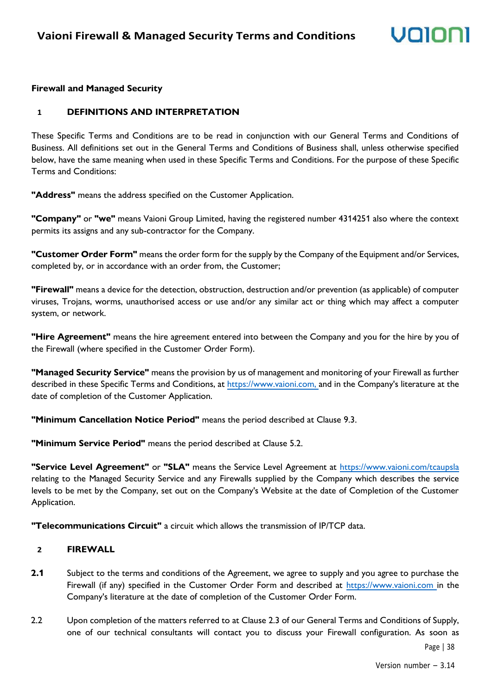### volo

#### **Firewall and Managed Security**

#### **1 DEFINITIONS AND INTERPRETATION**

These Specific Terms and Conditions are to be read in conjunction with our General Terms and Conditions of Business. All definitions set out in the General Terms and Conditions of Business shall, unless otherwise specified below, have the same meaning when used in these Specific Terms and Conditions. For the purpose of these Specific Terms and Conditions:

**"Address"** means the address specified on the Customer Application.

**"Company"** or **"we"** means Vaioni Group Limited, having the registered number 4314251 also where the context permits its assigns and any sub-contractor for the Company.

**"Customer Order Form"** means the order form for the supply by the Company of the Equipment and/or Services, completed by, or in accordance with an order from, the Customer;

**"Firewall"** means a device for the detection, obstruction, destruction and/or prevention (as applicable) of computer viruses, Trojans, worms, unauthorised access or use and/or any similar act or thing which may affect a computer system, or network.

**"Hire Agreement"** means the hire agreement entered into between the Company and you for the hire by you of the Firewall (where specified in the Customer Order Form).

**"Managed Security Service"** means the provision by us of management and monitoring of your Firewall as further described in these Specific Terms and Conditions, at [https://www.vaioni.com, a](https://www.vaioni.com,/)nd in the Company's literature at the date of completion of the Customer Application.

**"Minimum Cancellation Notice Period"** means the period described at Clause 9.3.

**"Minimum Service Period"** means the period described at Clause 5.2.

**"Service Level Agreement"** or **"SLA"** means the Service Level Agreement at<https://www.vaioni.com/tcaupsla> relating to the Managed Security Service and any Firewalls supplied by the Company which describes the service levels to be met by the Company, set out on the Company's Website at the date of Completion of the Customer Application.

**"Telecommunications Circuit"** a circuit which allows the transmission of IP/TCP data.

#### **2 FIREWALL**

- **2.1** Subject to the terms and conditions of the Agreement, we agree to supply and you agree to purchase the Firewall (if any) specified in the Customer Order Form and described at [https://www.vaioni.com i](https://www.vaioni.com/)n the Company's literature at the date of completion of the Customer Order Form.
- 2.2 Upon completion of the matters referred to at Clause 2.3 of our General Terms and Conditions of Supply, one of our technical consultants will contact you to discuss your Firewall configuration. As soon as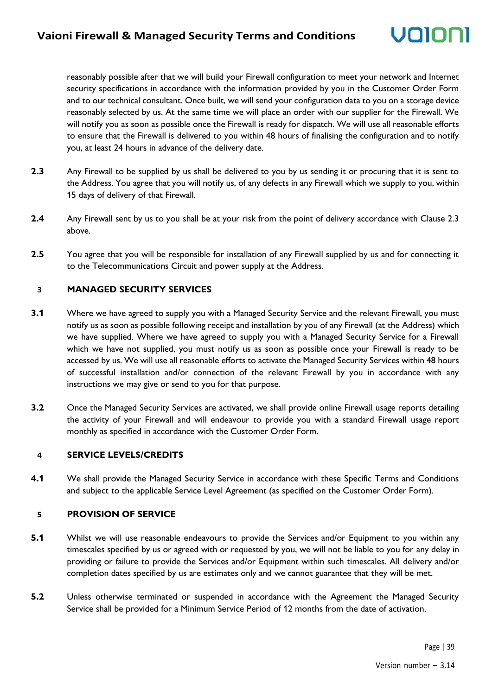### volol

reasonably possible after that we will build your Firewall configuration to meet your network and Internet security specifications in accordance with the information provided by you in the Customer Order Form and to our technical consultant. Once built, we will send your configuration data to you on a storage device reasonably selected by us. At the same time we will place an order with our supplier for the Firewall. We will notify you as soon as possible once the Firewall is ready for dispatch. We will use all reasonable efforts to ensure that the Firewall is delivered to you within 48 hours of finalising the configuration and to notify you, at least 24 hours in advance of the delivery date.

- **2.3** Any Firewall to be supplied by us shall be delivered to you by us sending it or procuring that it is sent to the Address. You agree that you will notify us, of any defects in any Firewall which we supply to you, within 15 days of delivery of that Firewall.
- **2.4** Any Firewall sent by us to you shall be at your risk from the point of delivery accordance with Clause 2.3 above.
- **2.5** You agree that you will be responsible for installation of any Firewall supplied by us and for connecting it to the Telecommunications Circuit and power supply at the Address.

#### **3 MANAGED SECURITY SERVICES**

- **3.1** Where we have agreed to supply you with a Managed Security Service and the relevant Firewall, you must notify us as soon as possible following receipt and installation by you of any Firewall (at the Address) which we have supplied. Where we have agreed to supply you with a Managed Security Service for a Firewall which we have not supplied, you must notify us as soon as possible once your Firewall is ready to be accessed by us. We will use all reasonable efforts to activate the Managed Security Services within 48 hours of successful installation and/or connection of the relevant Firewall by you in accordance with any instructions we may give or send to you for that purpose.
- **3.2** Once the Managed Security Services are activated, we shall provide online Firewall usage reports detailing the activity of your Firewall and will endeavour to provide you with a standard Firewall usage report monthly as specified in accordance with the Customer Order Form.

#### **4 SERVICE LEVELS/CREDITS**

**4.1** We shall provide the Managed Security Service in accordance with these Specific Terms and Conditions and subject to the applicable Service Level Agreement (as specified on the Customer Order Form).

#### **5 PROVISION OF SERVICE**

- **5.1** Whilst we will use reasonable endeavours to provide the Services and/or Equipment to you within any timescales specified by us or agreed with or requested by you, we will not be liable to you for any delay in providing or failure to provide the Services and/or Equipment within such timescales. All delivery and/or completion dates specified by us are estimates only and we cannot guarantee that they will be met.
- **5.2** Unless otherwise terminated or suspended in accordance with the Agreement the Managed Security Service shall be provided for a Minimum Service Period of 12 months from the date of activation.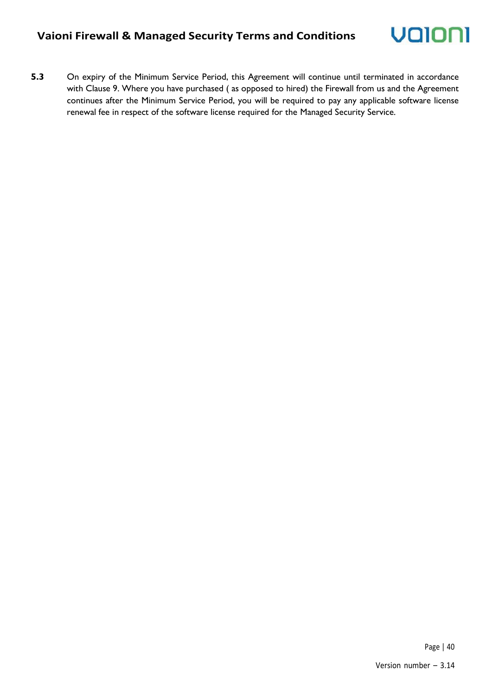- Valor
- **5.3** On expiry of the Minimum Service Period, this Agreement will continue until terminated in accordance with Clause 9. Where you have purchased ( as opposed to hired) the Firewall from us and the Agreement continues after the Minimum Service Period, you will be required to pay any applicable software license renewal fee in respect of the software license required for the Managed Security Service.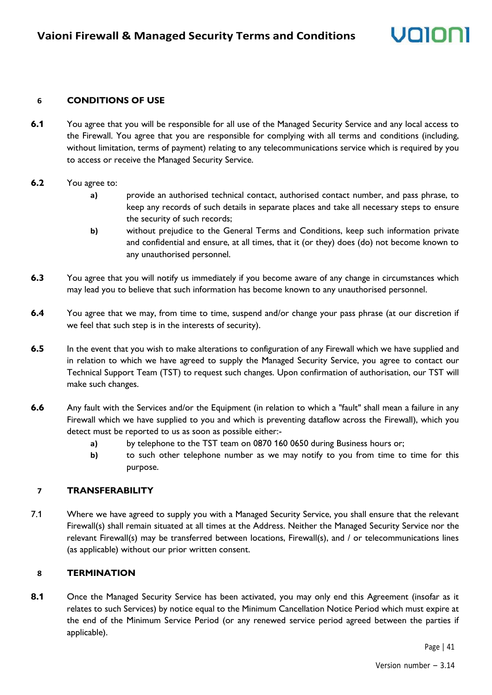#### **6 CONDITIONS OF USE**

**6.1** You agree that you will be responsible for all use of the Managed Security Service and any local access to the Firewall. You agree that you are responsible for complying with all terms and conditions (including, without limitation, terms of payment) relating to any telecommunications service which is required by you to access or receive the Managed Security Service.

#### **6.2** You agree to:

- **a)** provide an authorised technical contact, authorised contact number, and pass phrase, to keep any records of such details in separate places and take all necessary steps to ensure the security of such records;
- **b)** without prejudice to the General Terms and Conditions, keep such information private and confidential and ensure, at all times, that it (or they) does (do) not become known to any unauthorised personnel.
- **6.3** You agree that you will notify us immediately if you become aware of any change in circumstances which may lead you to believe that such information has become known to any unauthorised personnel.
- **6.4** You agree that we may, from time to time, suspend and/or change your pass phrase (at our discretion if we feel that such step is in the interests of security).
- **6.5** In the event that you wish to make alterations to configuration of any Firewall which we have supplied and in relation to which we have agreed to supply the Managed Security Service, you agree to contact our Technical Support Team (TST) to request such changes. Upon confirmation of authorisation, our TST will make such changes.
- **6.6** Any fault with the Services and/or the Equipment (in relation to which a "fault" shall mean a failure in any Firewall which we have supplied to you and which is preventing dataflow across the Firewall), which you detect must be reported to us as soon as possible either:
	- **a)** by telephone to the TST team on 0870 160 0650 during Business hours or;
	- **b)** to such other telephone number as we may notify to you from time to time for this purpose.

#### **7 TRANSFERABILITY**

7.1 Where we have agreed to supply you with a Managed Security Service, you shall ensure that the relevant Firewall(s) shall remain situated at all times at the Address. Neither the Managed Security Service nor the relevant Firewall(s) may be transferred between locations, Firewall(s), and / or telecommunications lines (as applicable) without our prior written consent.

#### **8 TERMINATION**

8.1 Once the Managed Security Service has been activated, you may only end this Agreement (insofar as it relates to such Services) by notice equal to the Minimum Cancellation Notice Period which must expire at the end of the Minimum Service Period (or any renewed service period agreed between the parties if applicable).

Volio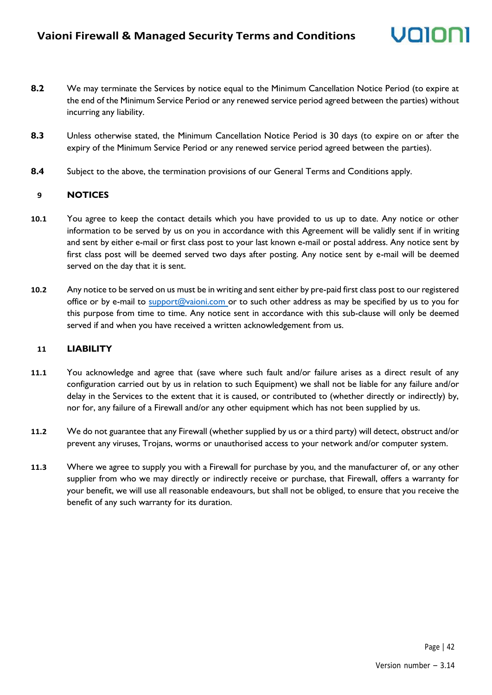- **8.2** We may terminate the Services by notice equal to the Minimum Cancellation Notice Period (to expire at the end of the Minimum Service Period or any renewed service period agreed between the parties) without incurring any liability.
- **8.3** Unless otherwise stated, the Minimum Cancellation Notice Period is 30 days (to expire on or after the expiry of the Minimum Service Period or any renewed service period agreed between the parties).
- **8.4** Subject to the above, the termination provisions of our General Terms and Conditions apply.

#### **9 NOTICES**

- **10.1** You agree to keep the contact details which you have provided to us up to date. Any notice or other information to be served by us on you in accordance with this Agreement will be validly sent if in writing and sent by either e-mail or first class post to your last known e-mail or postal address. Any notice sent by first class post will be deemed served two days after posting. Any notice sent by e-mail will be deemed served on the day that it is sent.
- **10.2** Any notice to be served on us must be in writing and sent either by pre-paid first class post to our registered office or by e-mail to [support@vaioni.com o](mailto:support@vaioni.com)r to such other address as may be specified by us to you for this purpose from time to time. Any notice sent in accordance with this sub-clause will only be deemed served if and when you have received a written acknowledgement from us.

#### **11 LIABILITY**

- **11.1** You acknowledge and agree that (save where such fault and/or failure arises as a direct result of any configuration carried out by us in relation to such Equipment) we shall not be liable for any failure and/or delay in the Services to the extent that it is caused, or contributed to (whether directly or indirectly) by, nor for, any failure of a Firewall and/or any other equipment which has not been supplied by us.
- **11.2** We do not guarantee that any Firewall (whether supplied by us or a third party) will detect, obstruct and/or prevent any viruses, Trojans, worms or unauthorised access to your network and/or computer system.
- **11.3** Where we agree to supply you with a Firewall for purchase by you, and the manufacturer of, or any other supplier from who we may directly or indirectly receive or purchase, that Firewall, offers a warranty for your benefit, we will use all reasonable endeavours, but shall not be obliged, to ensure that you receive the benefit of any such warranty for its duration.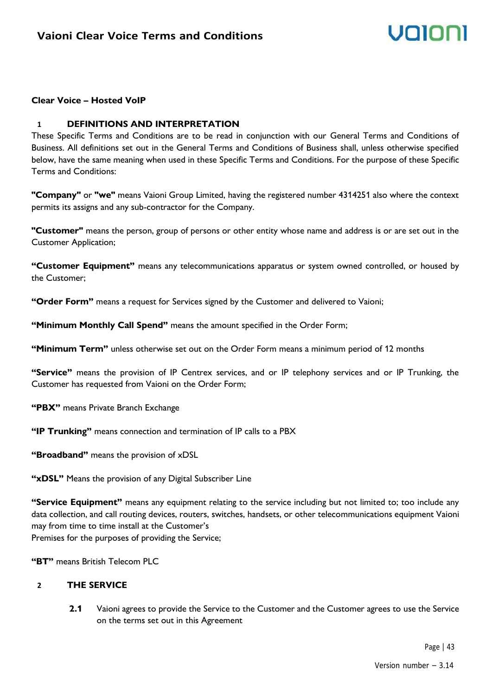#### **Clear Voice – Hosted VoIP**

#### **1 DEFINITIONS AND INTERPRETATION**

These Specific Terms and Conditions are to be read in conjunction with our General Terms and Conditions of Business. All definitions set out in the General Terms and Conditions of Business shall, unless otherwise specified below, have the same meaning when used in these Specific Terms and Conditions. For the purpose of these Specific Terms and Conditions:

**"Company"** or **"we"** means Vaioni Group Limited, having the registered number 4314251 also where the context permits its assigns and any sub-contractor for the Company.

**"Customer"** means the person, group of persons or other entity whose name and address is or are set out in the Customer Application;

**"Customer Equipment"** means any telecommunications apparatus or system owned controlled, or housed by the Customer;

**"Order Form"** means a request for Services signed by the Customer and delivered to Vaioni;

**"Minimum Monthly Call Spend"** means the amount specified in the Order Form;

**"Minimum Term"** unless otherwise set out on the Order Form means a minimum period of 12 months

**"Service"** means the provision of IP Centrex services, and or IP telephony services and or IP Trunking, the Customer has requested from Vaioni on the Order Form;

**"PBX"** means Private Branch Exchange

**"IP Trunking"** means connection and termination of IP calls to a PBX

**"Broadband"** means the provision of xDSL

**"xDSL"** Means the provision of any Digital Subscriber Line

**"Service Equipment"** means any equipment relating to the service including but not limited to; too include any data collection, and call routing devices, routers, switches, handsets, or other telecommunications equipment Vaioni may from time to time install at the Customer's Premises for the purposes of providing the Service;

**"BT"** means British Telecom PLC

#### **2 THE SERVICE**

**2.1** Vaioni agrees to provide the Service to the Customer and the Customer agrees to use the Service on the terms set out in this Agreement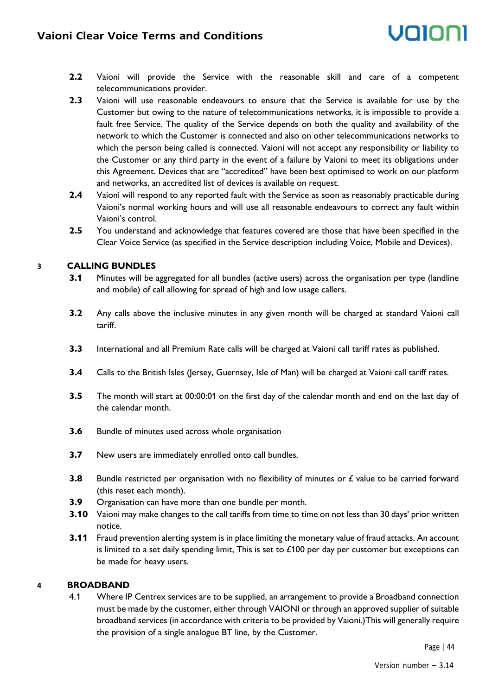# UNINI

- **2.2** Vaioni will provide the Service with the reasonable skill and care of a competent telecommunications provider.
- **2.3** Vaioni will use reasonable endeavours to ensure that the Service is available for use by the Customer but owing to the nature of telecommunications networks, it is impossible to provide a fault free Service. The quality of the Service depends on both the quality and availability of the network to which the Customer is connected and also on other telecommunications networks to which the person being called is connected. Vaioni will not accept any responsibility or liability to the Customer or any third party in the event of a failure by Vaioni to meet its obligations under this Agreement. Devices that are "accredited" have been best optimised to work on our platform and networks, an accredited list of devices is available on request.
- **2.4** Vaioni will respond to any reported fault with the Service as soon as reasonably practicable during Vaioni's normal working hours and will use all reasonable endeavours to correct any fault within Vaioni's control.
- **2.5** You understand and acknowledge that features covered are those that have been specified in the Clear Voice Service (as specified in the Service description including Voice, Mobile and Devices).

#### **3 CALLING BUNDLES**

- **3.1** Minutes will be aggregated for all bundles (active users) across the organisation per type (landline and mobile) of call allowing for spread of high and low usage callers.
- **3.2** Any calls above the inclusive minutes in any given month will be charged at standard Vaioni call tariff.
- **3.3** International and all Premium Rate calls will be charged at Vaioni call tariff rates as published.
- **3.4** Calls to the British Isles (Jersey, Guernsey, Isle of Man) will be charged at Vaioni call tariff rates.
- **3.5** The month will start at 00:00:01 on the first day of the calendar month and end on the last day of the calendar month.
- **3.6** Bundle of minutes used across whole organisation
- **3.7** New users are immediately enrolled onto call bundles.
- **3.8** Bundle restricted per organisation with no flexibility of minutes or £ value to be carried forward (this reset each month).
- **3.9** Organisation can have more than one bundle per month.
- **3.10** Vaioni may make changes to the call tariffs from time to time on not less than 30 days' prior written notice.
- **3.11** Fraud prevention alerting system is in place limiting the monetary value of fraud attacks. An account is limited to a set daily spending limit, This is set to  $£100$  per day per customer but exceptions can be made for heavy users.

#### **4 BROADBAND**

4.1 Where IP Centrex services are to be supplied, an arrangement to provide a Broadband connection must be made by the customer, either through VAIONI or through an approved supplier of suitable broadband services (in accordance with criteria to be provided by Vaioni.)This will generally require the provision of a single analogue BT line, by the Customer.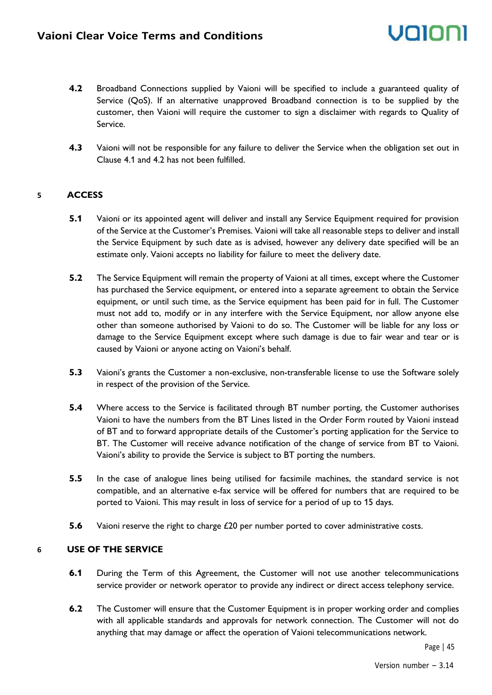

- **4.2** Broadband Connections supplied by Vaioni will be specified to include a guaranteed quality of Service (QoS). If an alternative unapproved Broadband connection is to be supplied by the customer, then Vaioni will require the customer to sign a disclaimer with regards to Quality of Service.
- **4.3** Vaioni will not be responsible for any failure to deliver the Service when the obligation set out in Clause 4.1 and 4.2 has not been fulfilled.

#### **5 ACCESS**

- **5.1** Vaioni or its appointed agent will deliver and install any Service Equipment required for provision of the Service at the Customer's Premises. Vaioni will take all reasonable steps to deliver and install the Service Equipment by such date as is advised, however any delivery date specified will be an estimate only. Vaioni accepts no liability for failure to meet the delivery date.
- **5.2** The Service Equipment will remain the property of Vaioni at all times, except where the Customer has purchased the Service equipment, or entered into a separate agreement to obtain the Service equipment, or until such time, as the Service equipment has been paid for in full. The Customer must not add to, modify or in any interfere with the Service Equipment, nor allow anyone else other than someone authorised by Vaioni to do so. The Customer will be liable for any loss or damage to the Service Equipment except where such damage is due to fair wear and tear or is caused by Vaioni or anyone acting on Vaioni's behalf.
- **5.3** Vaioni's grants the Customer a non-exclusive, non-transferable license to use the Software solely in respect of the provision of the Service.
- **5.4** Where access to the Service is facilitated through BT number porting, the Customer authorises Vaioni to have the numbers from the BT Lines listed in the Order Form routed by Vaioni instead of BT and to forward appropriate details of the Customer's porting application for the Service to BT. The Customer will receive advance notification of the change of service from BT to Vaioni. Vaioni's ability to provide the Service is subject to BT porting the numbers.
- **5.5** In the case of analogue lines being utilised for facsimile machines, the standard service is not compatible, and an alternative e-fax service will be offered for numbers that are required to be ported to Vaioni. This may result in loss of service for a period of up to 15 days.
- **5.6** Vaioni reserve the right to charge £20 per number ported to cover administrative costs.

#### **6 USE OF THE SERVICE**

- **6.1** During the Term of this Agreement, the Customer will not use another telecommunications service provider or network operator to provide any indirect or direct access telephony service.
- **6.2** The Customer will ensure that the Customer Equipment is in proper working order and complies with all applicable standards and approvals for network connection. The Customer will not do anything that may damage or affect the operation of Vaioni telecommunications network.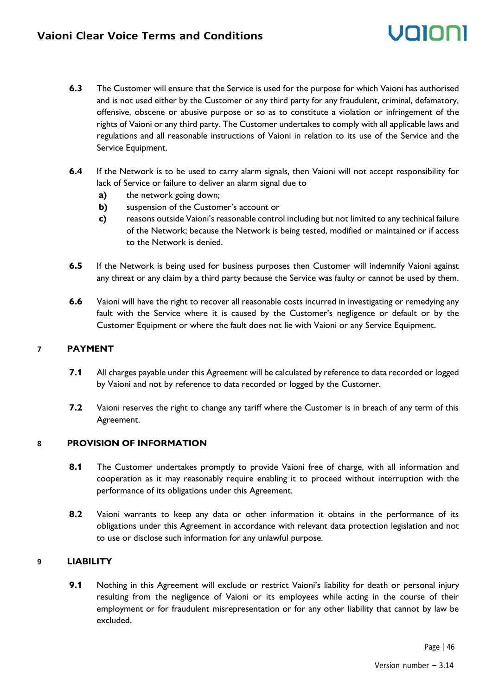- **6.3** The Customer will ensure that the Service is used for the purpose for which Vaioni has authorised and is not used either by the Customer or any third party for any fraudulent, criminal, defamatory, offensive, obscene or abusive purpose or so as to constitute a violation or infringement of the rights of Vaioni or any third party. The Customer undertakes to comply with all applicable laws and regulations and all reasonable instructions of Vaioni in relation to its use of the Service and the Service Equipment.
- **6.4** If the Network is to be used to carry alarm signals, then Vaioni will not accept responsibility for lack of Service or failure to deliver an alarm signal due to
	- **a)** the network going down;
	- **b)** suspension of the Customer's account or
	- **c)** reasons outside Vaioni's reasonable control including but not limited to any technical failure of the Network; because the Network is being tested, modified or maintained or if access to the Network is denied.
- **6.5** If the Network is being used for business purposes then Customer will indemnify Vaioni against any threat or any claim by a third party because the Service was faulty or cannot be used by them.
- **6.6** Vaioni will have the right to recover all reasonable costs incurred in investigating or remedying any fault with the Service where it is caused by the Customer's negligence or default or by the Customer Equipment or where the fault does not lie with Vaioni or any Service Equipment.

#### **7 PAYMENT**

- **7.1** All charges payable under this Agreement will be calculated by reference to data recorded or logged by Vaioni and not by reference to data recorded or logged by the Customer.
- **7.2** Vaioni reserves the right to change any tariff where the Customer is in breach of any term of this Agreement.

#### **8 PROVISION OF INFORMATION**

- 8.1 The Customer undertakes promptly to provide Vaioni free of charge, with all information and cooperation as it may reasonably require enabling it to proceed without interruption with the performance of its obligations under this Agreement.
- **8.2** Vaioni warrants to keep any data or other information it obtains in the performance of its obligations under this Agreement in accordance with relevant data protection legislation and not to use or disclose such information for any unlawful purpose.

#### **9 LIABILITY**

**9.1** Nothing in this Agreement will exclude or restrict Vaioni's liability for death or personal injury resulting from the negligence of Vaioni or its employees while acting in the course of their employment or for fraudulent misrepresentation or for any other liability that cannot by law be excluded.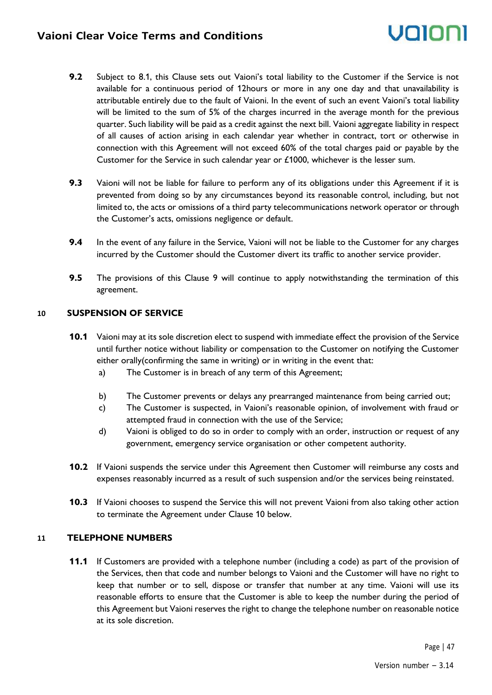- **9.2** Subject to 8.1, this Clause sets out Vaioni's total liability to the Customer if the Service is not available for a continuous period of 12hours or more in any one day and that unavailability is attributable entirely due to the fault of Vaioni. In the event of such an event Vaioni's total liability will be limited to the sum of 5% of the charges incurred in the average month for the previous quarter. Such liability will be paid as a credit against the next bill. Vaioni aggregate liability in respect of all causes of action arising in each calendar year whether in contract, tort or otherwise in connection with this Agreement will not exceed 60% of the total charges paid or payable by the Customer for the Service in such calendar year or £1000, whichever is the lesser sum.
- **9.3** Vaioni will not be liable for failure to perform any of its obligations under this Agreement if it is prevented from doing so by any circumstances beyond its reasonable control, including, but not limited to, the acts or omissions of a third party telecommunications network operator or through the Customer's acts, omissions negligence or default.
- **9.4** In the event of any failure in the Service, Vaioni will not be liable to the Customer for any charges incurred by the Customer should the Customer divert its traffic to another service provider.
- **9.5** The provisions of this Clause 9 will continue to apply notwithstanding the termination of this agreement.

#### **10 SUSPENSION OF SERVICE**

- **10.1** Vaioni may at its sole discretion elect to suspend with immediate effect the provision of the Service until further notice without liability or compensation to the Customer on notifying the Customer either orally(confirming the same in writing) or in writing in the event that:
	- a) The Customer is in breach of any term of this Agreement;
	- b) The Customer prevents or delays any prearranged maintenance from being carried out;
	- c) The Customer is suspected, in Vaioni's reasonable opinion, of involvement with fraud or attempted fraud in connection with the use of the Service;
	- d) Vaioni is obliged to do so in order to comply with an order, instruction or request of any government, emergency service organisation or other competent authority.
- **10.2** If Vaioni suspends the service under this Agreement then Customer will reimburse any costs and expenses reasonably incurred as a result of such suspension and/or the services being reinstated.
- **10.3** If Vaioni chooses to suspend the Service this will not prevent Vaioni from also taking other action to terminate the Agreement under Clause 10 below.

#### **11 TELEPHONE NUMBERS**

**11.1** If Customers are provided with a telephone number (including a code) as part of the provision of the Services, then that code and number belongs to Vaioni and the Customer will have no right to keep that number or to sell, dispose or transfer that number at any time. Vaioni will use its reasonable efforts to ensure that the Customer is able to keep the number during the period of this Agreement but Vaioni reserves the right to change the telephone number on reasonable notice at its sole discretion.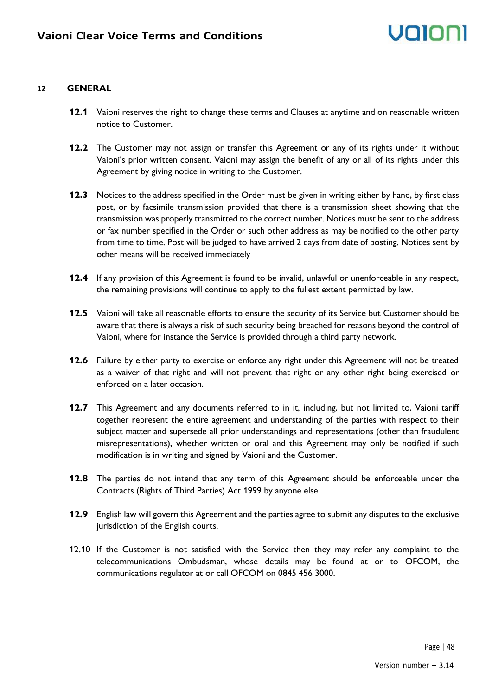#### **12 GENERAL**

- **12.1** Vaioni reserves the right to change these terms and Clauses at anytime and on reasonable written notice to Customer.
- **12.2** The Customer may not assign or transfer this Agreement or any of its rights under it without Vaioni's prior written consent. Vaioni may assign the benefit of any or all of its rights under this Agreement by giving notice in writing to the Customer.
- **12.3** Notices to the address specified in the Order must be given in writing either by hand, by first class post, or by facsimile transmission provided that there is a transmission sheet showing that the transmission was properly transmitted to the correct number. Notices must be sent to the address or fax number specified in the Order or such other address as may be notified to the other party from time to time. Post will be judged to have arrived 2 days from date of posting. Notices sent by other means will be received immediately
- **12.4** If any provision of this Agreement is found to be invalid, unlawful or unenforceable in any respect, the remaining provisions will continue to apply to the fullest extent permitted by law.
- **12.5** Vaioni will take all reasonable efforts to ensure the security of its Service but Customer should be aware that there is always a risk of such security being breached for reasons beyond the control of Vaioni, where for instance the Service is provided through a third party network.
- **12.6** Failure by either party to exercise or enforce any right under this Agreement will not be treated as a waiver of that right and will not prevent that right or any other right being exercised or enforced on a later occasion.
- **12.7** This Agreement and any documents referred to in it, including, but not limited to, Vaioni tariff together represent the entire agreement and understanding of the parties with respect to their subject matter and supersede all prior understandings and representations (other than fraudulent misrepresentations), whether written or oral and this Agreement may only be notified if such modification is in writing and signed by Vaioni and the Customer.
- **12.8** The parties do not intend that any term of this Agreement should be enforceable under the Contracts (Rights of Third Parties) Act 1999 by anyone else.
- **12.9** English law will govern this Agreement and the parties agree to submit any disputes to the exclusive jurisdiction of the English courts.
- 12.10 If the Customer is not satisfied with the Service then they may refer any complaint to the telecommunications Ombudsman, whose details may be found at or to OFCOM, the communications regulator at or call OFCOM on 0845 456 3000.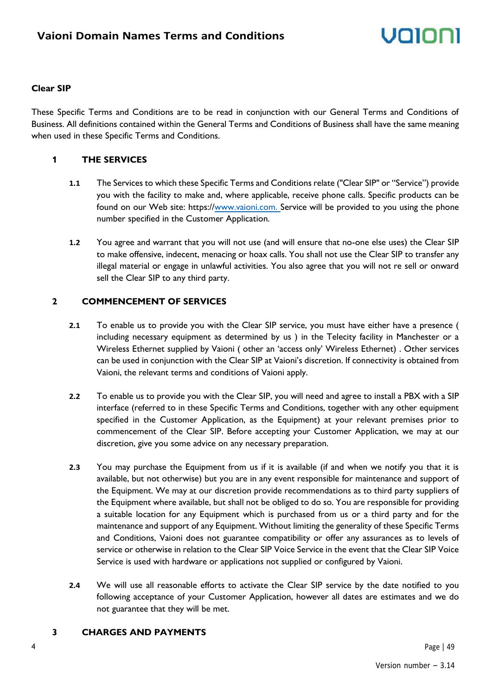#### **Clear SIP**

These Specific Terms and Conditions are to be read in conjunction with our General Terms and Conditions of Business. All definitions contained within the General Terms and Conditions of Business shall have the same meaning when used in these Specific Terms and Conditions.

#### **1 THE SERVICES**

- **1.1** The Services to which these Specific Terms and Conditions relate ("Clear SIP" or "Service") provide you with the facility to make and, where applicable, receive phone calls. Specific products can be found on our Web site: https:/[/www.vaioni.com. S](http://www.vaioni.com./)ervice will be provided to you using the phone number specified in the Customer Application.
- **1.2** You agree and warrant that you will not use (and will ensure that no-one else uses) the Clear SIP to make offensive, indecent, menacing or hoax calls. You shall not use the Clear SIP to transfer any illegal material or engage in unlawful activities. You also agree that you will not re sell or onward sell the Clear SIP to any third party.

#### **2 COMMENCEMENT OF SERVICES**

- **2.1** To enable us to provide you with the Clear SIP service, you must have either have a presence ( including necessary equipment as determined by us ) in the Telecity facility in Manchester or a Wireless Ethernet supplied by Vaioni ( other an 'access only' Wireless Ethernet) . Other services can be used in conjunction with the Clear SIP at Vaioni's discretion. If connectivity is obtained from Vaioni, the relevant terms and conditions of Vaioni apply.
- **2.2** To enable us to provide you with the Clear SIP, you will need and agree to install a PBX with a SIP interface (referred to in these Specific Terms and Conditions, together with any other equipment specified in the Customer Application, as the Equipment) at your relevant premises prior to commencement of the Clear SIP. Before accepting your Customer Application, we may at our discretion, give you some advice on any necessary preparation.
- **2.3** You may purchase the Equipment from us if it is available (if and when we notify you that it is available, but not otherwise) but you are in any event responsible for maintenance and support of the Equipment. We may at our discretion provide recommendations as to third party suppliers of the Equipment where available, but shall not be obliged to do so. You are responsible for providing a suitable location for any Equipment which is purchased from us or a third party and for the maintenance and support of any Equipment. Without limiting the generality of these Specific Terms and Conditions, Vaioni does not guarantee compatibility or offer any assurances as to levels of service or otherwise in relation to the Clear SIP Voice Service in the event that the Clear SIP Voice Service is used with hardware or applications not supplied or configured by Vaioni.
- **2.4** We will use all reasonable efforts to activate the Clear SIP service by the date notified to you following acceptance of your Customer Application, however all dates are estimates and we do not guarantee that they will be met.

#### **3 CHARGES AND PAYMENTS**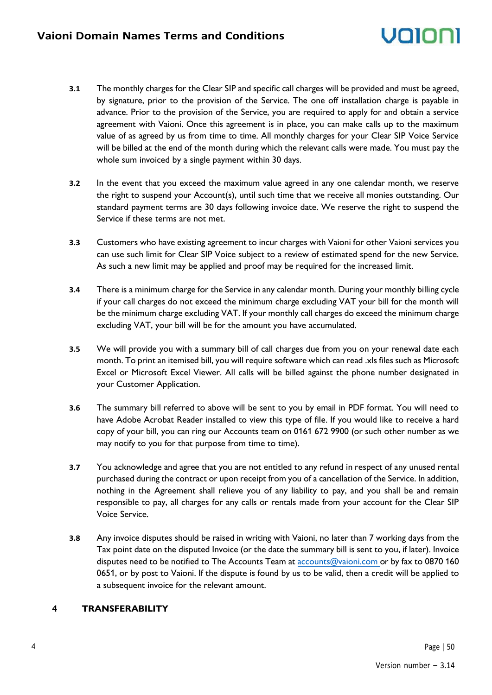### volol

- **3.1** The monthly charges for the Clear SIP and specific call charges will be provided and must be agreed, by signature, prior to the provision of the Service. The one off installation charge is payable in advance. Prior to the provision of the Service, you are required to apply for and obtain a service agreement with Vaioni. Once this agreement is in place, you can make calls up to the maximum value of as agreed by us from time to time. All monthly charges for your Clear SIP Voice Service will be billed at the end of the month during which the relevant calls were made. You must pay the whole sum invoiced by a single payment within 30 days.
- **3.2** In the event that you exceed the maximum value agreed in any one calendar month, we reserve the right to suspend your Account(s), until such time that we receive all monies outstanding. Our standard payment terms are 30 days following invoice date. We reserve the right to suspend the Service if these terms are not met.
- **3.3** Customers who have existing agreement to incur charges with Vaioni for other Vaioni services you can use such limit for Clear SIP Voice subject to a review of estimated spend for the new Service. As such a new limit may be applied and proof may be required for the increased limit.
- **3.4** There is a minimum charge for the Service in any calendar month. During your monthly billing cycle if your call charges do not exceed the minimum charge excluding VAT your bill for the month will be the minimum charge excluding VAT. If your monthly call charges do exceed the minimum charge excluding VAT, your bill will be for the amount you have accumulated.
- **3.5** We will provide you with a summary bill of call charges due from you on your renewal date each month. To print an itemised bill, you will require software which can read .xls files such as Microsoft Excel or Microsoft Excel Viewer. All calls will be billed against the phone number designated in your Customer Application.
- **3.6** The summary bill referred to above will be sent to you by email in PDF format. You will need to have Adobe Acrobat Reader installed to view this type of file. If you would like to receive a hard copy of your bill, you can ring our Accounts team on 0161 672 9900 (or such other number as we may notify to you for that purpose from time to time).
- **3.7** You acknowledge and agree that you are not entitled to any refund in respect of any unused rental purchased during the contract or upon receipt from you of a cancellation of the Service. In addition, nothing in the Agreement shall relieve you of any liability to pay, and you shall be and remain responsible to pay, all charges for any calls or rentals made from your account for the Clear SIP Voice Service.
- **3.8** Any invoice disputes should be raised in writing with Vaioni, no later than 7 working days from the Tax point date on the disputed Invoice (or the date the summary bill is sent to you, if later). Invoice disputes need to be notified to The Accounts Team at [accounts@vaioni.com o](mailto:accounts@vaioni.com)r by fax to 0870 160 0651, or by post to Vaioni. If the dispute is found by us to be valid, then a credit will be applied to a subsequent invoice for the relevant amount.

#### **4 TRANSFERABILITY**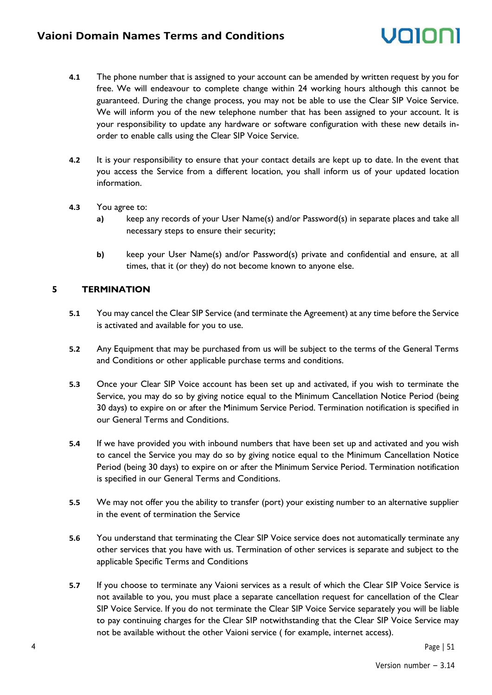### volor

- **4.1** The phone number that is assigned to your account can be amended by written request by you for free. We will endeavour to complete change within 24 working hours although this cannot be guaranteed. During the change process, you may not be able to use the Clear SIP Voice Service. We will inform you of the new telephone number that has been assigned to your account. It is your responsibility to update any hardware or software configuration with these new details inorder to enable calls using the Clear SIP Voice Service.
- **4.2** It is your responsibility to ensure that your contact details are kept up to date. In the event that you access the Service from a different location, you shall inform us of your updated location information.
- **4.3** You agree to:
	- **a)** keep any records of your User Name(s) and/or Password(s) in separate places and take all necessary steps to ensure their security;
	- **b)** keep your User Name(s) and/or Password(s) private and confidential and ensure, at all times, that it (or they) do not become known to anyone else.

#### **5 TERMINATION**

- **5.1** You may cancel the Clear SIP Service (and terminate the Agreement) at any time before the Service is activated and available for you to use.
- **5.2** Any Equipment that may be purchased from us will be subject to the terms of the General Terms and Conditions or other applicable purchase terms and conditions.
- **5.3** Once your Clear SIP Voice account has been set up and activated, if you wish to terminate the Service, you may do so by giving notice equal to the Minimum Cancellation Notice Period (being 30 days) to expire on or after the Minimum Service Period. Termination notification is specified in our General Terms and Conditions.
- **5.4** If we have provided you with inbound numbers that have been set up and activated and you wish to cancel the Service you may do so by giving notice equal to the Minimum Cancellation Notice Period (being 30 days) to expire on or after the Minimum Service Period. Termination notification is specified in our General Terms and Conditions.
- **5.5** We may not offer you the ability to transfer (port) your existing number to an alternative supplier in the event of termination the Service
- **5.6** You understand that terminating the Clear SIP Voice service does not automatically terminate any other services that you have with us. Termination of other services is separate and subject to the applicable Specific Terms and Conditions
- **5.7** If you choose to terminate any Vaioni services as a result of which the Clear SIP Voice Service is not available to you, you must place a separate cancellation request for cancellation of the Clear SIP Voice Service. If you do not terminate the Clear SIP Voice Service separately you will be liable to pay continuing charges for the Clear SIP notwithstanding that the Clear SIP Voice Service may not be available without the other Vaioni service ( for example, internet access).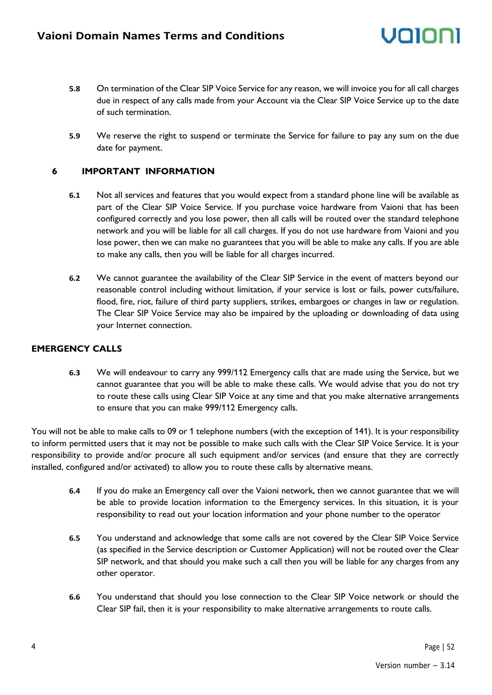- **5.8** On termination of the Clear SIP Voice Service for any reason, we will invoice you for all call charges due in respect of any calls made from your Account via the Clear SIP Voice Service up to the date of such termination.
- **5.9** We reserve the right to suspend or terminate the Service for failure to pay any sum on the due date for payment.

#### **6 IMPORTANT INFORMATION**

- **6.1** Not all services and features that you would expect from a standard phone line will be available as part of the Clear SIP Voice Service. If you purchase voice hardware from Vaioni that has been configured correctly and you lose power, then all calls will be routed over the standard telephone network and you will be liable for all call charges. If you do not use hardware from Vaioni and you lose power, then we can make no guarantees that you will be able to make any calls. If you are able to make any calls, then you will be liable for all charges incurred.
- **6.2** We cannot guarantee the availability of the Clear SIP Service in the event of matters beyond our reasonable control including without limitation, if your service is lost or fails, power cuts/failure, flood, fire, riot, failure of third party suppliers, strikes, embargoes or changes in law or regulation. The Clear SIP Voice Service may also be impaired by the uploading or downloading of data using your Internet connection.

#### **EMERGENCY CALLS**

**6.3** We will endeavour to carry any 999/112 Emergency calls that are made using the Service, but we cannot guarantee that you will be able to make these calls. We would advise that you do not try to route these calls using Clear SIP Voice at any time and that you make alternative arrangements to ensure that you can make 999/112 Emergency calls.

You will not be able to make calls to 09 or 1 telephone numbers (with the exception of 141). It is your responsibility to inform permitted users that it may not be possible to make such calls with the Clear SIP Voice Service. It is your responsibility to provide and/or procure all such equipment and/or services (and ensure that they are correctly installed, configured and/or activated) to allow you to route these calls by alternative means.

- **6.4** If you do make an Emergency call over the Vaioni network, then we cannot guarantee that we will be able to provide location information to the Emergency services. In this situation, it is your responsibility to read out your location information and your phone number to the operator
- **6.5** You understand and acknowledge that some calls are not covered by the Clear SIP Voice Service (as specified in the Service description or Customer Application) will not be routed over the Clear SIP network, and that should you make such a call then you will be liable for any charges from any other operator.
- **6.6** You understand that should you lose connection to the Clear SIP Voice network or should the Clear SIP fail, then it is your responsibility to make alternative arrangements to route calls.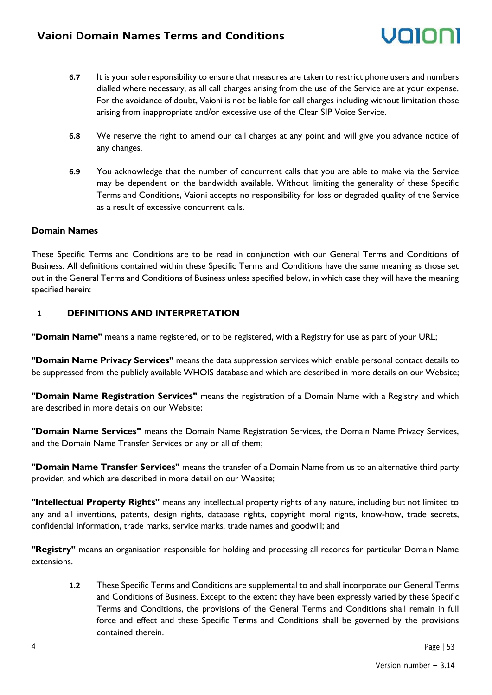- **6.7** It is your sole responsibility to ensure that measures are taken to restrict phone users and numbers dialled where necessary, as all call charges arising from the use of the Service are at your expense. For the avoidance of doubt, Vaioni is not be liable for call charges including without limitation those arising from inappropriate and/or excessive use of the Clear SIP Voice Service.
- **6.8** We reserve the right to amend our call charges at any point and will give you advance notice of any changes.
- **6.9** You acknowledge that the number of concurrent calls that you are able to make via the Service may be dependent on the bandwidth available. Without limiting the generality of these Specific Terms and Conditions, Vaioni accepts no responsibility for loss or degraded quality of the Service as a result of excessive concurrent calls.

#### **Domain Names**

These Specific Terms and Conditions are to be read in conjunction with our General Terms and Conditions of Business. All definitions contained within these Specific Terms and Conditions have the same meaning as those set out in the General Terms and Conditions of Business unless specified below, in which case they will have the meaning specified herein:

#### **1 DEFINITIONS AND INTERPRETATION**

**"Domain Name"** means a name registered, or to be registered, with a Registry for use as part of your URL;

**"Domain Name Privacy Services"** means the data suppression services which enable personal contact details to be suppressed from the publicly available WHOIS database and which are described in more details on our Website;

**"Domain Name Registration Services"** means the registration of a Domain Name with a Registry and which are described in more details on our Website;

**"Domain Name Services"** means the Domain Name Registration Services, the Domain Name Privacy Services, and the Domain Name Transfer Services or any or all of them;

**"Domain Name Transfer Services"** means the transfer of a Domain Name from us to an alternative third party provider, and which are described in more detail on our Website;

**"Intellectual Property Rights"** means any intellectual property rights of any nature, including but not limited to any and all inventions, patents, design rights, database rights, copyright moral rights, know-how, trade secrets, confidential information, trade marks, service marks, trade names and goodwill; and

**"Registry"** means an organisation responsible for holding and processing all records for particular Domain Name extensions.

**1.2** These Specific Terms and Conditions are supplemental to and shall incorporate our General Terms and Conditions of Business. Except to the extent they have been expressly varied by these Specific Terms and Conditions, the provisions of the General Terms and Conditions shall remain in full force and effect and these Specific Terms and Conditions shall be governed by the provisions contained therein.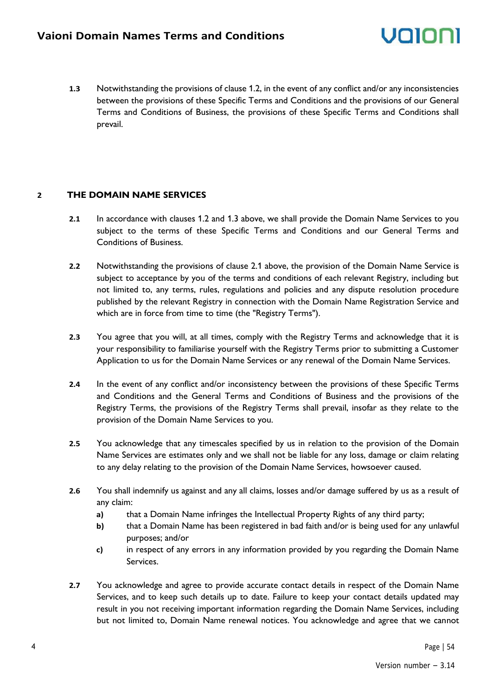**1.3** Notwithstanding the provisions of clause 1.2, in the event of any conflict and/or any inconsistencies between the provisions of these Specific Terms and Conditions and the provisions of our General Terms and Conditions of Business, the provisions of these Specific Terms and Conditions shall prevail.

#### **2 THE DOMAIN NAME SERVICES**

- **2.1** In accordance with clauses 1.2 and 1.3 above, we shall provide the Domain Name Services to you subject to the terms of these Specific Terms and Conditions and our General Terms and Conditions of Business.
- **2.2** Notwithstanding the provisions of clause 2.1 above, the provision of the Domain Name Service is subject to acceptance by you of the terms and conditions of each relevant Registry, including but not limited to, any terms, rules, regulations and policies and any dispute resolution procedure published by the relevant Registry in connection with the Domain Name Registration Service and which are in force from time to time (the "Registry Terms").
- **2.3** You agree that you will, at all times, comply with the Registry Terms and acknowledge that it is your responsibility to familiarise yourself with the Registry Terms prior to submitting a Customer Application to us for the Domain Name Services or any renewal of the Domain Name Services.
- **2.4** In the event of any conflict and/or inconsistency between the provisions of these Specific Terms and Conditions and the General Terms and Conditions of Business and the provisions of the Registry Terms, the provisions of the Registry Terms shall prevail, insofar as they relate to the provision of the Domain Name Services to you.
- **2.5** You acknowledge that any timescales specified by us in relation to the provision of the Domain Name Services are estimates only and we shall not be liable for any loss, damage or claim relating to any delay relating to the provision of the Domain Name Services, howsoever caused.
- **2.6** You shall indemnify us against and any all claims, losses and/or damage suffered by us as a result of any claim:
	- **a)** that a Domain Name infringes the Intellectual Property Rights of any third party;
	- **b)** that a Domain Name has been registered in bad faith and/or is being used for any unlawful purposes; and/or
	- **c)** in respect of any errors in any information provided by you regarding the Domain Name Services.
- **2.7** You acknowledge and agree to provide accurate contact details in respect of the Domain Name Services, and to keep such details up to date. Failure to keep your contact details updated may result in you not receiving important information regarding the Domain Name Services, including but not limited to, Domain Name renewal notices. You acknowledge and agree that we cannot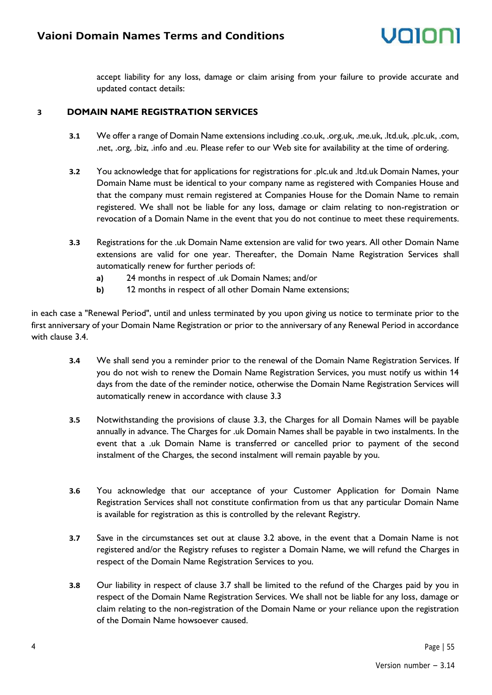accept liability for any loss, damage or claim arising from your failure to provide accurate and updated contact details:

#### **3 DOMAIN NAME REGISTRATION SERVICES**

- **3.1** We offer a range of Domain Name extensions including .co.uk, .org.uk, .me.uk, .ltd.uk, .plc.uk, .com, .net, .org, .biz, .info and .eu. Please refer to our Web site for availability at the time of ordering.
- **3.2** You acknowledge that for applications for registrations for .plc.uk and .ltd.uk Domain Names, your Domain Name must be identical to your company name as registered with Companies House and that the company must remain registered at Companies House for the Domain Name to remain registered. We shall not be liable for any loss, damage or claim relating to non-registration or revocation of a Domain Name in the event that you do not continue to meet these requirements.
- **3.3** Registrations for the .uk Domain Name extension are valid for two years. All other Domain Name extensions are valid for one year. Thereafter, the Domain Name Registration Services shall automatically renew for further periods of:
	- **a)** 24 months in respect of .uk Domain Names; and/or
	- **b)** 12 months in respect of all other Domain Name extensions;

in each case a "Renewal Period", until and unless terminated by you upon giving us notice to terminate prior to the first anniversary of your Domain Name Registration or prior to the anniversary of any Renewal Period in accordance with clause 3.4.

- **3.4** We shall send you a reminder prior to the renewal of the Domain Name Registration Services. If you do not wish to renew the Domain Name Registration Services, you must notify us within 14 days from the date of the reminder notice, otherwise the Domain Name Registration Services will automatically renew in accordance with clause 3.3
- **3.5** Notwithstanding the provisions of clause 3.3, the Charges for all Domain Names will be payable annually in advance. The Charges for .uk Domain Names shall be payable in two instalments. In the event that a .uk Domain Name is transferred or cancelled prior to payment of the second instalment of the Charges, the second instalment will remain payable by you.
- **3.6** You acknowledge that our acceptance of your Customer Application for Domain Name Registration Services shall not constitute confirmation from us that any particular Domain Name is available for registration as this is controlled by the relevant Registry.
- **3.7** Save in the circumstances set out at clause 3.2 above, in the event that a Domain Name is not registered and/or the Registry refuses to register a Domain Name, we will refund the Charges in respect of the Domain Name Registration Services to you.
- **3.8** Our liability in respect of clause 3.7 shall be limited to the refund of the Charges paid by you in respect of the Domain Name Registration Services. We shall not be liable for any loss, damage or claim relating to the non-registration of the Domain Name or your reliance upon the registration of the Domain Name howsoever caused.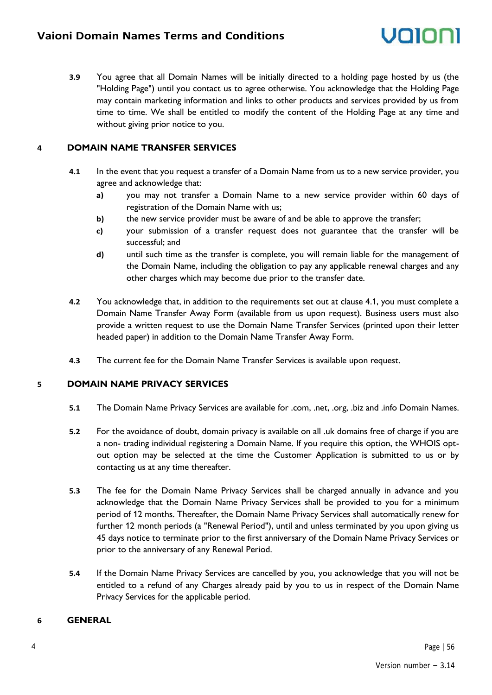**3.9** You agree that all Domain Names will be initially directed to a holding page hosted by us (the "Holding Page") until you contact us to agree otherwise. You acknowledge that the Holding Page may contain marketing information and links to other products and services provided by us from time to time. We shall be entitled to modify the content of the Holding Page at any time and without giving prior notice to you.

#### **4 DOMAIN NAME TRANSFER SERVICES**

- **4.1** In the event that you request a transfer of a Domain Name from us to a new service provider, you agree and acknowledge that:
	- **a)** you may not transfer a Domain Name to a new service provider within 60 days of registration of the Domain Name with us;
	- **b)** the new service provider must be aware of and be able to approve the transfer;
	- **c)** your submission of a transfer request does not guarantee that the transfer will be successful; and
	- **d)** until such time as the transfer is complete, you will remain liable for the management of the Domain Name, including the obligation to pay any applicable renewal charges and any other charges which may become due prior to the transfer date.
- **4.2** You acknowledge that, in addition to the requirements set out at clause 4.1, you must complete a Domain Name Transfer Away Form (available from us upon request). Business users must also provide a written request to use the Domain Name Transfer Services (printed upon their letter headed paper) in addition to the Domain Name Transfer Away Form.
- **4.3** The current fee for the Domain Name Transfer Services is available upon request.

#### **5 DOMAIN NAME PRIVACY SERVICES**

- **5.1** The Domain Name Privacy Services are available for .com, .net, .org, .biz and .info Domain Names.
- **5.2** For the avoidance of doubt, domain privacy is available on all .uk domains free of charge if you are a non- trading individual registering a Domain Name. If you require this option, the WHOIS optout option may be selected at the time the Customer Application is submitted to us or by contacting us at any time thereafter.
- **5.3** The fee for the Domain Name Privacy Services shall be charged annually in advance and you acknowledge that the Domain Name Privacy Services shall be provided to you for a minimum period of 12 months. Thereafter, the Domain Name Privacy Services shall automatically renew for further 12 month periods (a "Renewal Period"), until and unless terminated by you upon giving us 45 days notice to terminate prior to the first anniversary of the Domain Name Privacy Services or prior to the anniversary of any Renewal Period.
- **5.4** If the Domain Name Privacy Services are cancelled by you, you acknowledge that you will not be entitled to a refund of any Charges already paid by you to us in respect of the Domain Name Privacy Services for the applicable period.

#### **6 GENERAL**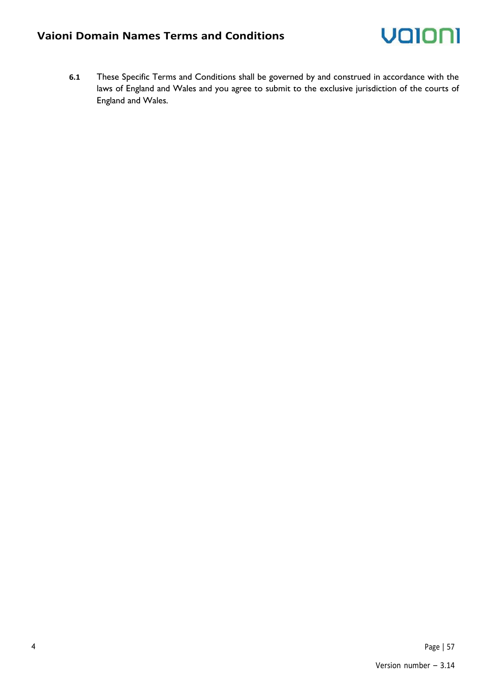### **Vaioni Domain Names Terms and Conditions**



**6.1** These Specific Terms and Conditions shall be governed by and construed in accordance with the laws of England and Wales and you agree to submit to the exclusive jurisdiction of the courts of England and Wales.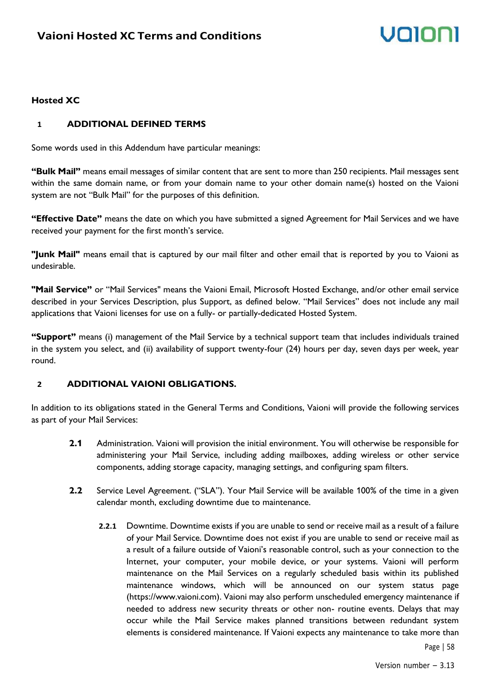# Volor

#### **Hosted XC**

#### **1 ADDITIONAL DEFINED TERMS**

Some words used in this Addendum have particular meanings:

**"Bulk Mail"** means email messages of similar content that are sent to more than 250 recipients. Mail messages sent within the same domain name, or from your domain name to your other domain name(s) hosted on the Vaioni system are not "Bulk Mail" for the purposes of this definition.

**"Effective Date"** means the date on which you have submitted a signed Agreement for Mail Services and we have received your payment for the first month's service.

**"Junk Mail"** means email that is captured by our mail filter and other email that is reported by you to Vaioni as undesirable.

**"Mail Service"** or "Mail Services" means the Vaioni Email, Microsoft Hosted Exchange, and/or other email service described in your Services Description, plus Support, as defined below. "Mail Services" does not include any mail applications that Vaioni licenses for use on a fully- or partially-dedicated Hosted System.

**"Support"** means (i) management of the Mail Service by a technical support team that includes individuals trained in the system you select, and (ii) availability of support twenty-four (24) hours per day, seven days per week, year round.

#### **2 ADDITIONAL VAIONI OBLIGATIONS.**

In addition to its obligations stated in the General Terms and Conditions, Vaioni will provide the following services as part of your Mail Services:

- **2.1** Administration. Vaioni will provision the initial environment. You will otherwise be responsible for administering your Mail Service, including adding mailboxes, adding wireless or other service components, adding storage capacity, managing settings, and configuring spam filters.
- **2.2** Service Level Agreement. ("SLA"). Your Mail Service will be available 100% of the time in a given calendar month, excluding downtime due to maintenance.
	- **2.2.1** Downtime. Downtime exists if you are unable to send or receive mail as a result of a failure of your Mail Service. Downtime does not exist if you are unable to send or receive mail as a result of a failure outside of Vaioni's reasonable control, such as your connection to the Internet, your computer, your mobile device, or your systems. Vaioni will perform maintenance on the Mail Services on a regularly scheduled basis within its published maintenance windows, which will be announced on our system status page (https://www.vaioni.com). Vaioni may also perform unscheduled emergency maintenance if needed to address new security threats or other non- routine events. Delays that may occur while the Mail Service makes planned transitions between redundant system elements is considered maintenance. If Vaioni expects any maintenance to take more than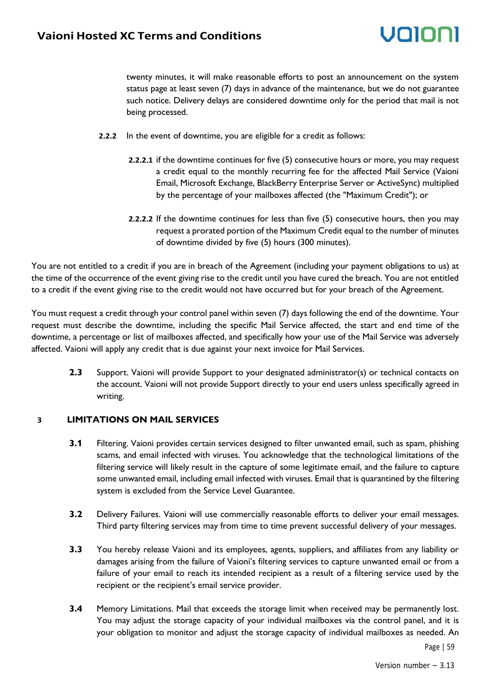# volor

twenty minutes, it will make reasonable efforts to post an announcement on the system status page at least seven (7) days in advance of the maintenance, but we do not guarantee such notice. Delivery delays are considered downtime only for the period that mail is not being processed.

- **2.2.2** In the event of downtime, you are eligible for a credit as follows:
	- **2.2.2.1** if the downtime continues for five (5) consecutive hours or more, you may request a credit equal to the monthly recurring fee for the affected Mail Service (Vaioni Email, Microsoft Exchange, BlackBerry Enterprise Server or ActiveSync) multiplied by the percentage of your mailboxes affected (the "Maximum Credit"); or
	- **2.2.2.2** If the downtime continues for less than five (5) consecutive hours, then you may request a prorated portion of the Maximum Credit equal to the number of minutes of downtime divided by five (5) hours (300 minutes).

You are not entitled to a credit if you are in breach of the Agreement (including your payment obligations to us) at the time of the occurrence of the event giving rise to the credit until you have cured the breach. You are not entitled to a credit if the event giving rise to the credit would not have occurred but for your breach of the Agreement.

You must request a credit through your control panel within seven (7) days following the end of the downtime. Your request must describe the downtime, including the specific Mail Service affected, the start and end time of the downtime, a percentage or list of mailboxes affected, and specifically how your use of the Mail Service was adversely affected. Vaioni will apply any credit that is due against your next invoice for Mail Services.

**2.3** Support. Vaioni will provide Support to your designated administrator(s) or technical contacts on the account. Vaioni will not provide Support directly to your end users unless specifically agreed in writing.

#### **3 LIMITATIONS ON MAIL SERVICES**

- **3.1** Filtering. Vaioni provides certain services designed to filter unwanted email, such as spam, phishing scams, and email infected with viruses. You acknowledge that the technological limitations of the filtering service will likely result in the capture of some legitimate email, and the failure to capture some unwanted email, including email infected with viruses. Email that is quarantined by the filtering system is excluded from the Service Level Guarantee.
- **3.2** Delivery Failures. Vaioni will use commercially reasonable efforts to deliver your email messages. Third party filtering services may from time to time prevent successful delivery of your messages.
- **3.3** You hereby release Vaioni and its employees, agents, suppliers, and affiliates from any liability or damages arising from the failure of Vaioni's filtering services to capture unwanted email or from a failure of your email to reach its intended recipient as a result of a filtering service used by the recipient or the recipient's email service provider.
- **3.4** Memory Limitations. Mail that exceeds the storage limit when received may be permanently lost. You may adjust the storage capacity of your individual mailboxes via the control panel, and it is your obligation to monitor and adjust the storage capacity of individual mailboxes as needed. An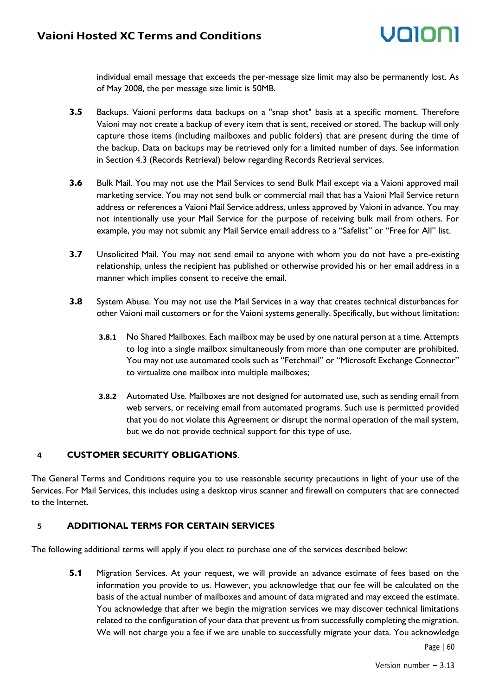individual email message that exceeds the per-message size limit may also be permanently lost. As of May 2008, the per message size limit is 50MB.

- **3.5** Backups. Vaioni performs data backups on a "snap shot" basis at a specific moment. Therefore Vaioni may not create a backup of every item that is sent, received or stored. The backup will only capture those items (including mailboxes and public folders) that are present during the time of the backup. Data on backups may be retrieved only for a limited number of days. See information in Section 4.3 (Records Retrieval) below regarding Records Retrieval services.
- **3.6** Bulk Mail. You may not use the Mail Services to send Bulk Mail except via a Vaioni approved mail marketing service. You may not send bulk or commercial mail that has a Vaioni Mail Service return address or references a Vaioni Mail Service address, unless approved by Vaioni in advance. You may not intentionally use your Mail Service for the purpose of receiving bulk mail from others. For example, you may not submit any Mail Service email address to a "Safelist" or "Free for All" list.
- **3.7** Unsolicited Mail. You may not send email to anyone with whom you do not have a pre-existing relationship, unless the recipient has published or otherwise provided his or her email address in a manner which implies consent to receive the email.
- **3.8** System Abuse. You may not use the Mail Services in a way that creates technical disturbances for other Vaioni mail customers or for the Vaioni systems generally. Specifically, but without limitation:
	- **3.8.1** No Shared Mailboxes. Each mailbox may be used by one natural person at a time. Attempts to log into a single mailbox simultaneously from more than one computer are prohibited. You may not use automated tools such as "Fetchmail" or "Microsoft Exchange Connector" to virtualize one mailbox into multiple mailboxes;
	- **3.8.2** Automated Use. Mailboxes are not designed for automated use, such as sending email from web servers, or receiving email from automated programs. Such use is permitted provided that you do not violate this Agreement or disrupt the normal operation of the mail system, but we do not provide technical support for this type of use.

#### **4 CUSTOMER SECURITY OBLIGATIONS**.

The General Terms and Conditions require you to use reasonable security precautions in light of your use of the Services. For Mail Services, this includes using a desktop virus scanner and firewall on computers that are connected to the Internet.

#### **5 ADDITIONAL TERMS FOR CERTAIN SERVICES**

The following additional terms will apply if you elect to purchase one of the services described below:

**5.1** Migration Services. At your request, we will provide an advance estimate of fees based on the information you provide to us. However, you acknowledge that our fee will be calculated on the basis of the actual number of mailboxes and amount of data migrated and may exceed the estimate. You acknowledge that after we begin the migration services we may discover technical limitations related to the configuration of your data that prevent us from successfully completing the migration. We will not charge you a fee if we are unable to successfully migrate your data. You acknowledge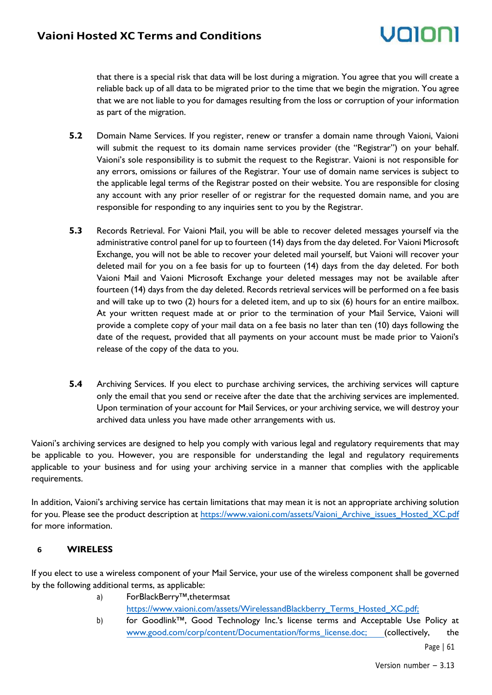that there is a special risk that data will be lost during a migration. You agree that you will create a reliable back up of all data to be migrated prior to the time that we begin the migration. You agree that we are not liable to you for damages resulting from the loss or corruption of your information as part of the migration.

- **5.2** Domain Name Services. If you register, renew or transfer a domain name through Vaioni, Vaioni will submit the request to its domain name services provider (the "Registrar") on your behalf. Vaioni's sole responsibility is to submit the request to the Registrar. Vaioni is not responsible for any errors, omissions or failures of the Registrar. Your use of domain name services is subject to the applicable legal terms of the Registrar posted on their website. You are responsible for closing any account with any prior reseller of or registrar for the requested domain name, and you are responsible for responding to any inquiries sent to you by the Registrar.
- **5.3** Records Retrieval. For Vaioni Mail, you will be able to recover deleted messages yourself via the administrative control panel for up to fourteen (14) days from the day deleted. For Vaioni Microsoft Exchange, you will not be able to recover your deleted mail yourself, but Vaioni will recover your deleted mail for you on a fee basis for up to fourteen (14) days from the day deleted. For both Vaioni Mail and Vaioni Microsoft Exchange your deleted messages may not be available after fourteen (14) days from the day deleted. Records retrieval services will be performed on a fee basis and will take up to two (2) hours for a deleted item, and up to six (6) hours for an entire mailbox. At your written request made at or prior to the termination of your Mail Service, Vaioni will provide a complete copy of your mail data on a fee basis no later than ten (10) days following the date of the request, provided that all payments on your account must be made prior to Vaioni's release of the copy of the data to you.
- **5.4** Archiving Services. If you elect to purchase archiving services, the archiving services will capture only the email that you send or receive after the date that the archiving services are implemented. Upon termination of your account for Mail Services, or your archiving service, we will destroy your archived data unless you have made other arrangements with us.

Vaioni's archiving services are designed to help you comply with various legal and regulatory requirements that may be applicable to you. However, you are responsible for understanding the legal and regulatory requirements applicable to your business and for using your archiving service in a manner that complies with the applicable requirements.

In addition, Vaioni's archiving service has certain limitations that may mean it is not an appropriate archiving solution for you. Please see the product description at [https://www.vaioni.com/assets/Vaioni\\_Archive\\_issues\\_Hosted\\_XC.pdf](https://www.vaioni.com/assets/Vaioni_Archive_issues_Hosted_XC.pdf)  for more information.

#### **6 WIRELESS**

If you elect to use a wireless component of your Mail Service, your use of the wireless component shall be governed by the following additional terms, as applicable:

- a) ForBlackBerry™,thetermsat [https://www.vaioni.com/assets/WirelessandBlackberry\\_Terms\\_Hosted\\_XC.pdf;](http://www.vaioni.com/assets/WirelessandBlackberry_Terms_Hosted_XC.pdf;)
- b) for Goodlink™, Good Technology Inc.'s license terms and Acceptable Use Policy at [www.good.com/corp/content/Documentation/forms\\_license.doc; \(](http://www.good.com/corp/content/Documentation/forms_license.doc)collectively, the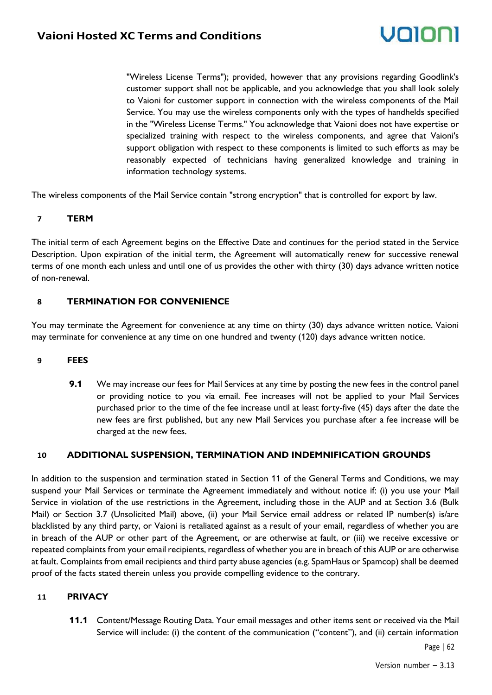"Wireless License Terms"); provided, however that any provisions regarding Goodlink's customer support shall not be applicable, and you acknowledge that you shall look solely to Vaioni for customer support in connection with the wireless components of the Mail Service. You may use the wireless components only with the types of handhelds specified in the "Wireless License Terms." You acknowledge that Vaioni does not have expertise or specialized training with respect to the wireless components, and agree that Vaioni's support obligation with respect to these components is limited to such efforts as may be reasonably expected of technicians having generalized knowledge and training in information technology systems.

The wireless components of the Mail Service contain "strong encryption" that is controlled for export by law.

#### **7 TERM**

The initial term of each Agreement begins on the Effective Date and continues for the period stated in the Service Description. Upon expiration of the initial term, the Agreement will automatically renew for successive renewal terms of one month each unless and until one of us provides the other with thirty (30) days advance written notice of non-renewal.

#### **8 TERMINATION FOR CONVENIENCE**

You may terminate the Agreement for convenience at any time on thirty (30) days advance written notice. Vaioni may terminate for convenience at any time on one hundred and twenty (120) days advance written notice.

#### **9 FEES**

**9.1** We may increase our fees for Mail Services at any time by posting the new fees in the control panel or providing notice to you via email. Fee increases will not be applied to your Mail Services purchased prior to the time of the fee increase until at least forty-five (45) days after the date the new fees are first published, but any new Mail Services you purchase after a fee increase will be charged at the new fees.

#### **10 ADDITIONAL SUSPENSION, TERMINATION AND INDEMNIFICATION GROUNDS**

In addition to the suspension and termination stated in Section 11 of the General Terms and Conditions, we may suspend your Mail Services or terminate the Agreement immediately and without notice if: (i) you use your Mail Service in violation of the use restrictions in the Agreement, including those in the AUP and at Section 3.6 (Bulk Mail) or Section 3.7 (Unsolicited Mail) above, (ii) your Mail Service email address or related IP number(s) is/are blacklisted by any third party, or Vaioni is retaliated against as a result of your email, regardless of whether you are in breach of the AUP or other part of the Agreement, or are otherwise at fault, or (iii) we receive excessive or repeated complaints from your email recipients, regardless of whether you are in breach of this AUP or are otherwise at fault. Complaints from email recipients and third party abuse agencies (e.g. SpamHaus or Spamcop) shall be deemed proof of the facts stated therein unless you provide compelling evidence to the contrary.

#### **11 PRIVACY**

**11.1** Content/Message Routing Data. Your email messages and other items sent or received via the Mail Service will include: (i) the content of the communication ("content"), and (ii) certain information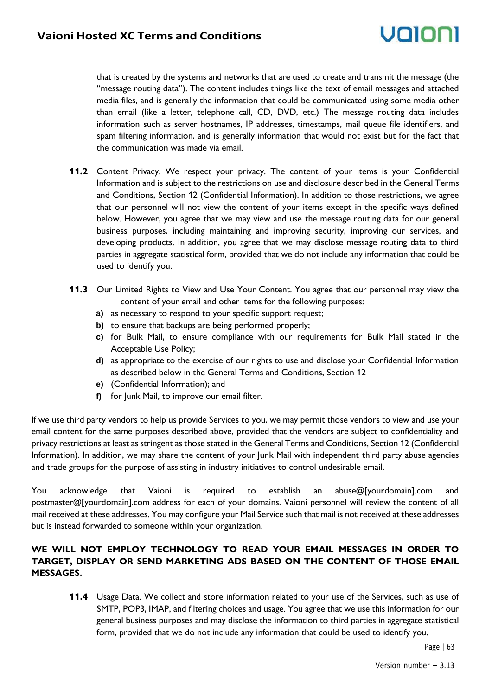# volor

that is created by the systems and networks that are used to create and transmit the message (the "message routing data"). The content includes things like the text of email messages and attached media files, and is generally the information that could be communicated using some media other than email (like a letter, telephone call, CD, DVD, etc.) The message routing data includes information such as server hostnames, IP addresses, timestamps, mail queue file identifiers, and spam filtering information, and is generally information that would not exist but for the fact that the communication was made via email.

- **11.2** Content Privacy. We respect your privacy. The content of your items is your Confidential Information and is subject to the restrictions on use and disclosure described in the General Terms and Conditions, Section 12 (Confidential Information). In addition to those restrictions, we agree that our personnel will not view the content of your items except in the specific ways defined below. However, you agree that we may view and use the message routing data for our general business purposes, including maintaining and improving security, improving our services, and developing products. In addition, you agree that we may disclose message routing data to third parties in aggregate statistical form, provided that we do not include any information that could be used to identify you.
- **11.3** Our Limited Rights to View and Use Your Content. You agree that our personnel may view the content of your email and other items for the following purposes:
	- **a)** as necessary to respond to your specific support request;
	- **b)** to ensure that backups are being performed properly;
	- **c)** for Bulk Mail, to ensure compliance with our requirements for Bulk Mail stated in the Acceptable Use Policy;
	- **d)** as appropriate to the exercise of our rights to use and disclose your Confidential Information as described below in the General Terms and Conditions, Section 12
	- **e)** (Confidential Information); and
	- **f)** for Junk Mail, to improve our email filter.

If we use third party vendors to help us provide Services to you, we may permit those vendors to view and use your email content for the same purposes described above, provided that the vendors are subject to confidentiality and privacy restrictions at least as stringent as those stated in the General Terms and Conditions, Section 12 (Confidential Information). In addition, we may share the content of your Junk Mail with independent third party abuse agencies and trade groups for the purpose of assisting in industry initiatives to control undesirable email.

You acknowledge that Vaioni is required to establish an abuse@[yourdomain].com and postmaster@[yourdomain].com address for each of your domains. Vaioni personnel will review the content of all mail received at these addresses. You may configure your Mail Service such that mail is not received at these addresses but is instead forwarded to someone within your organization.

#### **WE WILL NOT EMPLOY TECHNOLOGY TO READ YOUR EMAIL MESSAGES IN ORDER TO TARGET, DISPLAY OR SEND MARKETING ADS BASED ON THE CONTENT OF THOSE EMAIL MESSAGES.**

**11.4** Usage Data. We collect and store information related to your use of the Services, such as use of SMTP, POP3, IMAP, and filtering choices and usage. You agree that we use this information for our general business purposes and may disclose the information to third parties in aggregate statistical form, provided that we do not include any information that could be used to identify you.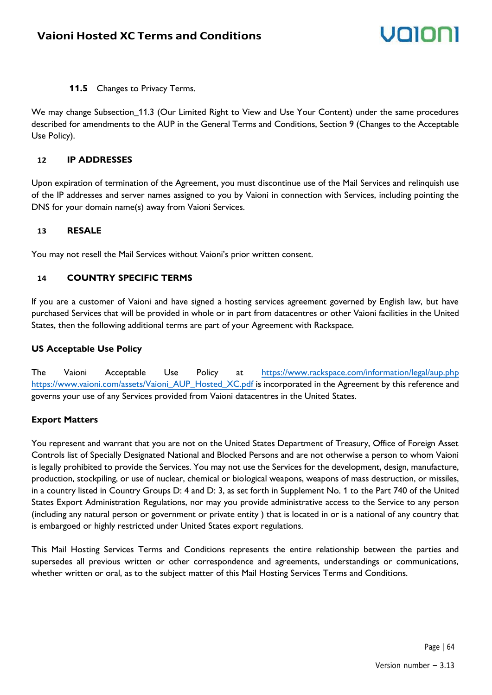**11.5** Changes to Privacy Terms.

We may change Subsection\_11.3 (Our Limited Right to View and Use Your Content) under the same procedures described for amendments to the AUP in the General Terms and Conditions, Section 9 (Changes to the Acceptable Use Policy).

#### **12 IP ADDRESSES**

Upon expiration of termination of the Agreement, you must discontinue use of the Mail Services and relinquish use of the IP addresses and server names assigned to you by Vaioni in connection with Services, including pointing the DNS for your domain name(s) away from Vaioni Services.

#### **13 RESALE**

You may not resell the Mail Services without Vaioni's prior written consent.

#### **14 COUNTRY SPECIFIC TERMS**

If you are a customer of Vaioni and have signed a hosting services agreement governed by English law, but have purchased Services that will be provided in whole or in part from datacentres or other Vaioni facilities in the United States, then the following additional terms are part of your Agreement with Rackspace.

#### **US Acceptable Use Policy**

The Vaioni Acceptable Use Policy at [https://www.rackspace.com/information/legal/aup.php](http://www.rackspace.com/information/legal/aup.php) [https://www.vaioni.com/assets/Vaioni\\_AUP\\_Hosted\\_XC.pdf i](http://www.vaioni.com/assets/Vaioni_AUP_Hosted_XC.pdf)s incorporated in the Agreement by this reference and governs your use of any Services provided from Vaioni datacentres in the United States.

#### **Export Matters**

You represent and warrant that you are not on the United States Department of Treasury, Office of Foreign Asset Controls list of Specially Designated National and Blocked Persons and are not otherwise a person to whom Vaioni is legally prohibited to provide the Services. You may not use the Services for the development, design, manufacture, production, stockpiling, or use of nuclear, chemical or biological weapons, weapons of mass destruction, or missiles, in a country listed in Country Groups D: 4 and D: 3, as set forth in Supplement No. 1 to the Part 740 of the United States Export Administration Regulations, nor may you provide administrative access to the Service to any person (including any natural person or government or private entity ) that is located in or is a national of any country that is embargoed or highly restricted under United States export regulations.

This Mail Hosting Services Terms and Conditions represents the entire relationship between the parties and supersedes all previous written or other correspondence and agreements, understandings or communications, whether written or oral, as to the subject matter of this Mail Hosting Services Terms and Conditions.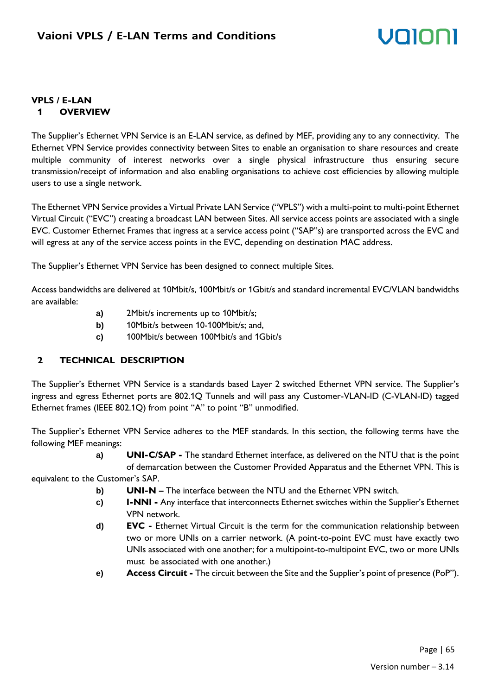#### **VPLS / E-LAN 1 OVERVIEW**

The Supplier's Ethernet VPN Service is an E-LAN service, as defined by MEF, providing any to any connectivity. The Ethernet VPN Service provides connectivity between Sites to enable an organisation to share resources and create multiple community of interest networks over a single physical infrastructure thus ensuring secure transmission/receipt of information and also enabling organisations to achieve cost efficiencies by allowing multiple users to use a single network.

The Ethernet VPN Service provides a Virtual Private LAN Service ("VPLS") with a multi-point to multi-point Ethernet Virtual Circuit ("EVC") creating a broadcast LAN between Sites. All service access points are associated with a single EVC. Customer Ethernet Frames that ingress at a service access point ("SAP"s) are transported across the EVC and will egress at any of the service access points in the EVC, depending on destination MAC address.

The Supplier's Ethernet VPN Service has been designed to connect multiple Sites.

Access bandwidths are delivered at 10Mbit/s, 100Mbit/s or 1Gbit/s and standard incremental EVC/VLAN bandwidths are available:

- **a)** 2Mbit/s increments up to 10Mbit/s;
- **b)** 10Mbit/s between 10-100Mbit/s; and,
- **c)** 100Mbit/s between 100Mbit/s and 1Gbit/s

### **2 TECHNICAL DESCRIPTION**

The Supplier's Ethernet VPN Service is a standards based Layer 2 switched Ethernet VPN service. The Supplier's ingress and egress Ethernet ports are 802.1Q Tunnels and will pass any Customer-VLAN-ID (C-VLAN-ID) tagged Ethernet frames (IEEE 802.1Q) from point "A" to point "B" unmodified.

The Supplier's Ethernet VPN Service adheres to the MEF standards. In this section, the following terms have the following MEF meanings:

> **a) UNI-C/SAP -** The standard Ethernet interface, as delivered on the NTU that is the point of demarcation between the Customer Provided Apparatus and the Ethernet VPN. This is

equivalent to the Customer's SAP.

- **b) UNI-N –** The interface between the NTU and the Ethernet VPN switch.
- **c) I-NNI -** Any interface that interconnects Ethernet switches within the Supplier's Ethernet VPN network.
- **d) EVC -** Ethernet Virtual Circuit is the term for the communication relationship between two or more UNIs on a carrier network. (A point-to-point EVC must have exactly two UNIs associated with one another; for a multipoint-to-multipoint EVC, two or more UNIs must be associated with one another.)
- **e) Access Circuit -** The circuit between the Site and the Supplier's point of presence (PoP").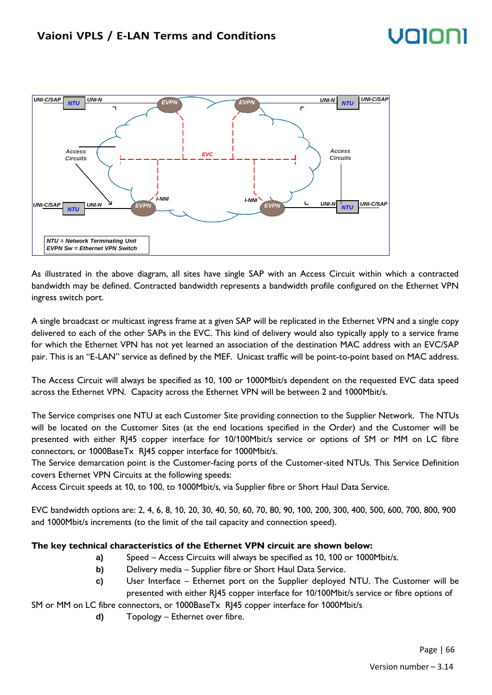

As illustrated in the above diagram, all sites have single SAP with an Access Circuit within which a contracted bandwidth may be defined. Contracted bandwidth represents a bandwidth profile configured on the Ethernet VPN ingress switch port.

A single broadcast or multicast ingress frame at a given SAP will be replicated in the Ethernet VPN and a single copy delivered to each of the other SAPs in the EVC. This kind of delivery would also typically apply to a service frame for which the Ethernet VPN has not yet learned an association of the destination MAC address with an EVC/SAP pair. This is an "E-LAN" service as defined by the MEF. Unicast traffic will be point-to-point based on MAC address.

The Access Circuit will always be specified as 10, 100 or 1000Mbit/s dependent on the requested EVC data speed across the Ethernet VPN. Capacity across the Ethernet VPN will be between 2 and 1000Mbit/s.

The Service comprises one NTU at each Customer Site providing connection to the Supplier Network. The NTUs will be located on the Customer Sites (at the end locations specified in the Order) and the Customer will be presented with either RJ45 copper interface for 10/100Mbit/s service or options of SM or MM on LC fibre connectors, or 1000BaseTx RJ45 copper interface for 1000Mbit/s.

The Service demarcation point is the Customer-facing ports of the Customer-sited NTUs. This Service Definition covers Ethernet VPN Circuits at the following speeds:

Access Circuit speeds at 10, to 100, to 1000Mbit/s, via Supplier fibre or Short Haul Data Service.

EVC bandwidth options are: 2, 4, 6, 8, 10, 20, 30, 40, 50, 60, 70, 80, 90, 100, 200, 300, 400, 500, 600, 700, 800, 900 and 1000Mbit/s increments (to the limit of the tail capacity and connection speed).

#### **The key technical characteristics of the Ethernet VPN circuit are shown below:**

- **a)** Speed Access Circuits will always be specified as 10, 100 or 1000Mbit/s.
- **b)** Delivery media Supplier fibre or Short Haul Data Service.
- **c)** User Interface Ethernet port on the Supplier deployed NTU. The Customer will be presented with either RJ45 copper interface for 10/100Mbit/s service or fibre options of

SM or MM on LC fibre connectors, or 1000BaseTx RJ45 copper interface for 1000Mbit/s

**d)** Topology – Ethernet over fibre.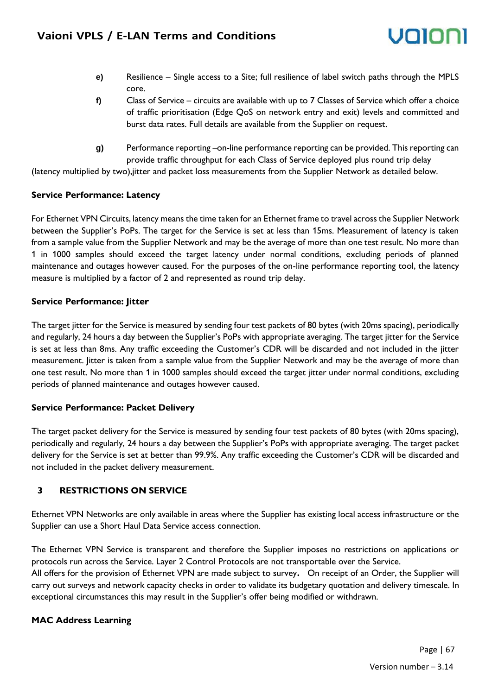- **e)** Resilience Single access to a Site; full resilience of label switch paths through the MPLS core.
- **f)** Class of Service circuits are available with up to 7 Classes of Service which offer a choice of traffic prioritisation (Edge QoS on network entry and exit) levels and committed and burst data rates. Full details are available from the Supplier on request.
- **g)** Performance reporting –on-line performance reporting can be provided. This reporting can provide traffic throughput for each Class of Service deployed plus round trip delay

(latency multiplied by two),jitter and packet loss measurements from the Supplier Network as detailed below.

#### **Service Performance: Latency**

For Ethernet VPN Circuits, latency means the time taken for an Ethernet frame to travel across the Supplier Network between the Supplier's PoPs. The target for the Service is set at less than 15ms. Measurement of latency is taken from a sample value from the Supplier Network and may be the average of more than one test result. No more than 1 in 1000 samples should exceed the target latency under normal conditions, excluding periods of planned maintenance and outages however caused. For the purposes of the on-line performance reporting tool, the latency measure is multiplied by a factor of 2 and represented as round trip delay.

#### **Service Performance: Jitter**

The target jitter for the Service is measured by sending four test packets of 80 bytes (with 20ms spacing), periodically and regularly, 24 hours a day between the Supplier's PoPs with appropriate averaging. The target jitter for the Service is set at less than 8ms. Any traffic exceeding the Customer's CDR will be discarded and not included in the jitter measurement. Jitter is taken from a sample value from the Supplier Network and may be the average of more than one test result. No more than 1 in 1000 samples should exceed the target jitter under normal conditions, excluding periods of planned maintenance and outages however caused.

#### **Service Performance: Packet Delivery**

The target packet delivery for the Service is measured by sending four test packets of 80 bytes (with 20ms spacing), periodically and regularly, 24 hours a day between the Supplier's PoPs with appropriate averaging. The target packet delivery for the Service is set at better than 99.9%. Any traffic exceeding the Customer's CDR will be discarded and not included in the packet delivery measurement.

#### **3 RESTRICTIONS ON SERVICE**

Ethernet VPN Networks are only available in areas where the Supplier has existing local access infrastructure or the Supplier can use a Short Haul Data Service access connection.

The Ethernet VPN Service is transparent and therefore the Supplier imposes no restrictions on applications or protocols run across the Service. Layer 2 Control Protocols are not transportable over the Service. All offers for the provision of Ethernet VPN are made subject to survey**.** On receipt of an Order, the Supplier will carry out surveys and network capacity checks in order to validate its budgetary quotation and delivery timescale. In exceptional circumstances this may result in the Supplier's offer being modified or withdrawn.

#### **MAC Address Learning**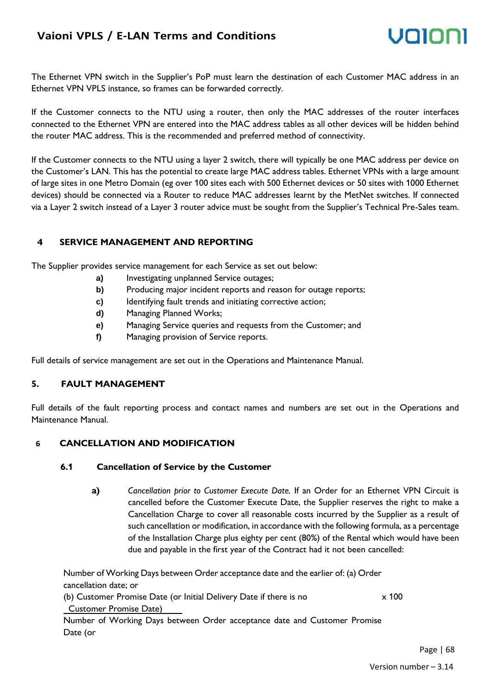### **Vaioni VPLS / E-LAN Terms and Conditions**



The Ethernet VPN switch in the Supplier's PoP must learn the destination of each Customer MAC address in an Ethernet VPN VPLS instance, so frames can be forwarded correctly.

If the Customer connects to the NTU using a router, then only the MAC addresses of the router interfaces connected to the Ethernet VPN are entered into the MAC address tables as all other devices will be hidden behind the router MAC address. This is the recommended and preferred method of connectivity.

If the Customer connects to the NTU using a layer 2 switch, there will typically be one MAC address per device on the Customer's LAN. This has the potential to create large MAC address tables. Ethernet VPNs with a large amount of large sites in one Metro Domain (eg over 100 sites each with 500 Ethernet devices or 50 sites with 1000 Ethernet devices) should be connected via a Router to reduce MAC addresses learnt by the MetNet switches. If connected via a Layer 2 switch instead of a Layer 3 router advice must be sought from the Supplier's Technical Pre-Sales team.

#### **4 SERVICE MANAGEMENT AND REPORTING**

The Supplier provides service management for each Service as set out below:

- a) Investigating unplanned Service outages;
- **b)** Producing major incident reports and reason for outage reports;
- **c)** Identifying fault trends and initiating corrective action;
- **d)** Managing Planned Works;
- **e)** Managing Service queries and requests from the Customer; and
- **f)** Managing provision of Service reports.

Full details of service management are set out in the Operations and Maintenance Manual.

#### **5. FAULT MANAGEMENT**

Full details of the fault reporting process and contact names and numbers are set out in the Operations and Maintenance Manual.

#### **6 CANCELLATION AND MODIFICATION**

#### **6.1 Cancellation of Service by the Customer**

**a)** *Cancellation prior to Customer Execute Date.* If an Order for an Ethernet VPN Circuit is cancelled before the Customer Execute Date, the Supplier reserves the right to make a Cancellation Charge to cover all reasonable costs incurred by the Supplier as a result of such cancellation or modification, in accordance with the following formula, as a percentage of the Installation Charge plus eighty per cent (80%) of the Rental which would have been due and payable in the first year of the Contract had it not been cancelled:

Number of Working Days between Order acceptance date and the earlier of: (a) Order cancellation date; or

(b) Customer Promise Date (or Initial Delivery Date if there is no Customer Promise Date) x 100

Number of Working Days between Order acceptance date and Customer Promise Date (or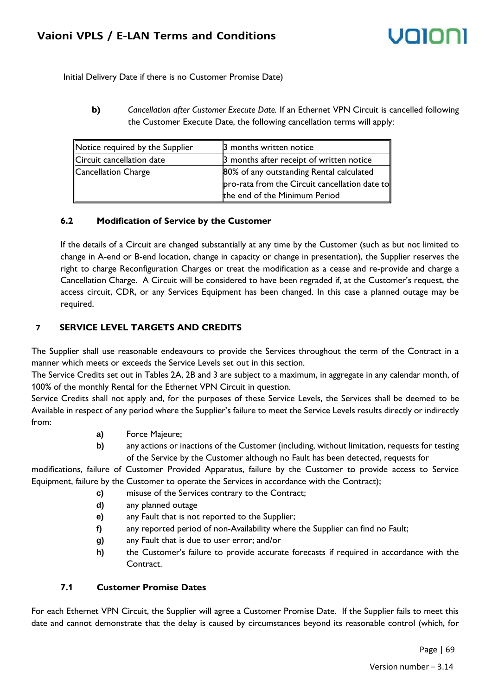Initial Delivery Date if there is no Customer Promise Date)

**b)** *Cancellation after Customer Execute Date.* If an Ethernet VPN Circuit is cancelled following the Customer Execute Date, the following cancellation terms will apply:

| Notice required by the Supplier | 3 months written notice                        |
|---------------------------------|------------------------------------------------|
| Circuit cancellation date       | 3 months after receipt of written notice       |
| Cancellation Charge             | 80% of any outstanding Rental calculated       |
|                                 | pro-rata from the Circuit cancellation date to |
|                                 | the end of the Minimum Period                  |

#### **6.2 Modification of Service by the Customer**

If the details of a Circuit are changed substantially at any time by the Customer (such as but not limited to change in A-end or B-end location, change in capacity or change in presentation), the Supplier reserves the right to charge Reconfiguration Charges or treat the modification as a cease and re-provide and charge a Cancellation Charge. A Circuit will be considered to have been regraded if, at the Customer's request, the access circuit, CDR, or any Services Equipment has been changed. In this case a planned outage may be required.

#### **7 SERVICE LEVEL TARGETS AND CREDITS**

The Supplier shall use reasonable endeavours to provide the Services throughout the term of the Contract in a manner which meets or exceeds the Service Levels set out in this section.

The Service Credits set out in Tables 2A, 2B and 3 are subject to a maximum, in aggregate in any calendar month, of 100% of the monthly Rental for the Ethernet VPN Circuit in question.

Service Credits shall not apply and, for the purposes of these Service Levels, the Services shall be deemed to be Available in respect of any period where the Supplier's failure to meet the Service Levels results directly or indirectly from:

- **a)** Force Majeure;
- **b)** any actions or inactions of the Customer (including, without limitation, requests for testing of the Service by the Customer although no Fault has been detected, requests for

modifications, failure of Customer Provided Apparatus, failure by the Customer to provide access to Service Equipment, failure by the Customer to operate the Services in accordance with the Contract);

- **c)** misuse of the Services contrary to the Contract;
- **d)** any planned outage
- **e)** any Fault that is not reported to the Supplier;
- **f)** any reported period of non-Availability where the Supplier can find no Fault;
- **g)** any Fault that is due to user error; and/or
- **h)** the Customer's failure to provide accurate forecasts if required in accordance with the Contract.

#### **7.1 Customer Promise Dates**

For each Ethernet VPN Circuit, the Supplier will agree a Customer Promise Date. If the Supplier fails to meet this date and cannot demonstrate that the delay is caused by circumstances beyond its reasonable control (which, for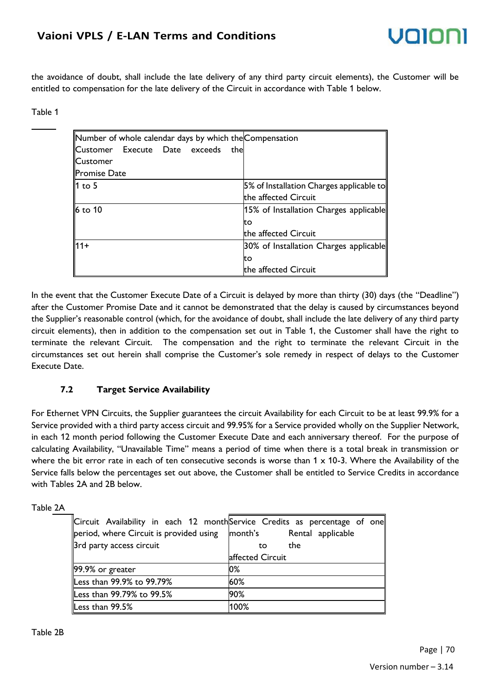### **Vaioni VPLS / E-LAN Terms and Conditions**

the avoidance of doubt, shall include the late delivery of any third party circuit elements), the Customer will be entitled to compensation for the late delivery of the Circuit in accordance with Table 1 below.

#### Table 1

| Number of whole calendar days by which the Compensation |                                          |
|---------------------------------------------------------|------------------------------------------|
| Customer Execute Date exceeds                           | the                                      |
| <b>Customer</b>                                         |                                          |
| <b>Promise Date</b>                                     |                                          |
| $1$ to 5                                                | 5% of Installation Charges applicable to |
|                                                         | the affected Circuit                     |
| 6 to 10                                                 | 15% of Installation Charges applicable   |
|                                                         | to                                       |
|                                                         | the affected Circuit                     |
| ll11+                                                   | 30% of Installation Charges applicable   |
|                                                         | tο                                       |
|                                                         | the affected Circuit                     |

In the event that the Customer Execute Date of a Circuit is delayed by more than thirty (30) days (the "Deadline") after the Customer Promise Date and it cannot be demonstrated that the delay is caused by circumstances beyond the Supplier's reasonable control (which, for the avoidance of doubt, shall include the late delivery of any third party circuit elements), then in addition to the compensation set out in Table 1, the Customer shall have the right to terminate the relevant Circuit. The compensation and the right to terminate the relevant Circuit in the circumstances set out herein shall comprise the Customer's sole remedy in respect of delays to the Customer Execute Date.

#### **7.2 Target Service Availability**

For Ethernet VPN Circuits, the Supplier guarantees the circuit Availability for each Circuit to be at least 99.9% for a Service provided with a third party access circuit and 99.95% for a Service provided wholly on the Supplier Network, in each 12 month period following the Customer Execute Date and each anniversary thereof. For the purpose of calculating Availability, "Unavailable Time" means a period of time when there is a total break in transmission or where the bit error rate in each of ten consecutive seconds is worse than  $1 \times 10$ -3. Where the Availability of the Service falls below the percentages set out above, the Customer shall be entitled to Service Credits in accordance with Tables 2A and 2B below.

#### Table 2A

|                                         | Circuit Availability in each 12 monthService Credits as percentage of one |
|-----------------------------------------|---------------------------------------------------------------------------|
| period, where Circuit is provided using | month's Rental applicable                                                 |
| 3rd party access circuit                | the<br>to.                                                                |
|                                         | affected Circuit                                                          |
| $\vert$ 99.9% or greater                | $0\%$                                                                     |
| Less than 99.9% to 99.79%               | 60%                                                                       |
| Less than 99.79% to 99.5%               | 90%                                                                       |
| Less than 99.5%                         | 100%                                                                      |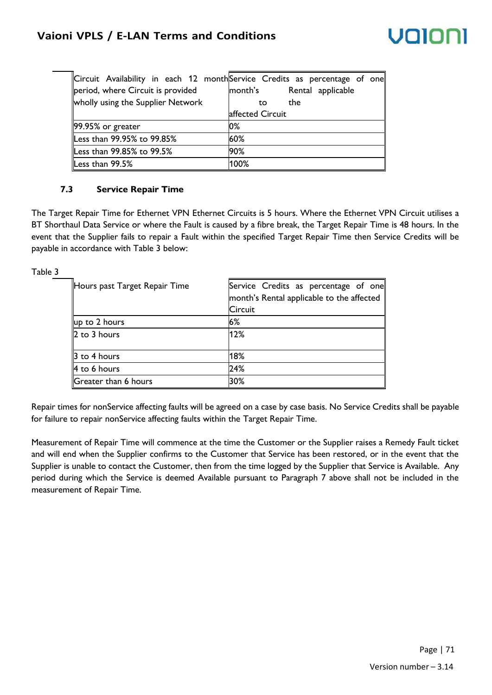| period, where Circuit is provided<br>wholly using the Supplier Network | Circuit Availability in each 12 month $\mathsf{S}$ ervice Credits as percentage of one<br>month's<br>Rental applicable<br>the<br>to |
|------------------------------------------------------------------------|-------------------------------------------------------------------------------------------------------------------------------------|
|                                                                        | affected Circuit                                                                                                                    |
| 99.95% or greater                                                      | 0%                                                                                                                                  |
| Less than 99.95% to 99.85%                                             | 60%                                                                                                                                 |
| Less than 99.85% to 99.5%                                              | 90%                                                                                                                                 |
| Less than 99.5%                                                        | 100%                                                                                                                                |

#### **7.3 Service Repair Time**

Table 3

The Target Repair Time for Ethernet VPN Ethernet Circuits is 5 hours. Where the Ethernet VPN Circuit utilises a BT Shorthaul Data Service or where the Fault is caused by a fibre break, the Target Repair Time is 48 hours. In the event that the Supplier fails to repair a Fault within the specified Target Repair Time then Service Credits will be payable in accordance with Table 3 below:

Hours past Target Repair Time Service Credits as percentage of one month's Rental applicable to the affected **Circuit** up to 2 hours  $\vert 6\% \vert$ 2 to 3 hours 12% 3 to 4 hours 18% 4 to 6 hours 24% Greater than 6 hours 30%

Repair times for nonService affecting faults will be agreed on a case by case basis. No Service Credits shall be payable for failure to repair nonService affecting faults within the Target Repair Time.

Measurement of Repair Time will commence at the time the Customer or the Supplier raises a Remedy Fault ticket and will end when the Supplier confirms to the Customer that Service has been restored, or in the event that the Supplier is unable to contact the Customer, then from the time logged by the Supplier that Service is Available. Any period during which the Service is deemed Available pursuant to Paragraph 7 above shall not be included in the measurement of Repair Time.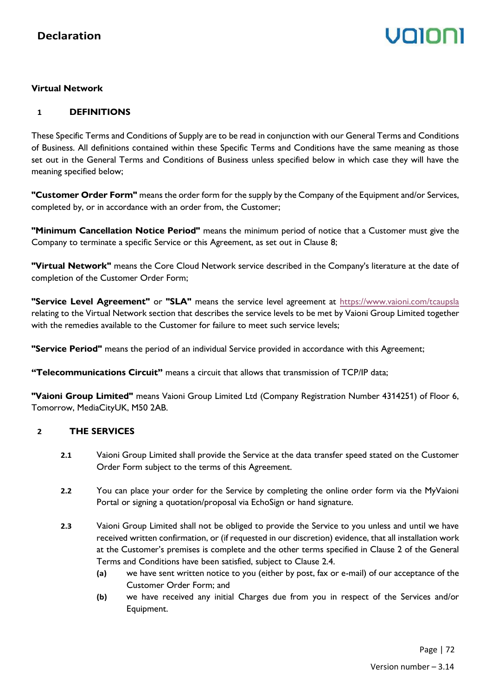# Volor

#### **Virtual Network**

#### **1 DEFINITIONS**

These Specific Terms and Conditions of Supply are to be read in conjunction with our General Terms and Conditions of Business. All definitions contained within these Specific Terms and Conditions have the same meaning as those set out in the General Terms and Conditions of Business unless specified below in which case they will have the meaning specified below;

**"Customer Order Form"** means the order form for the supply by the Company of the Equipment and/or Services, completed by, or in accordance with an order from, the Customer;

**"Minimum Cancellation Notice Period"** means the minimum period of notice that a Customer must give the Company to terminate a specific Service or this Agreement, as set out in Clause 8;

**"Virtual Network"** means the Core Cloud Network service described in the Company's literature at the date of completion of the Customer Order Form;

**"Service Level Agreement"** or **"SLA"** means the service level agreement at<https://www.vaioni.com/tcaupsla> relating to the Virtual Network section that describes the service levels to be met by Vaioni Group Limited together with the remedies available to the Customer for failure to meet such service levels;

**"Service Period"** means the period of an individual Service provided in accordance with this Agreement;

**"Telecommunications Circuit"** means a circuit that allows that transmission of TCP/IP data;

**"Vaioni Group Limited"** means Vaioni Group Limited Ltd (Company Registration Number 4314251) of Floor 6, Tomorrow, MediaCityUK, M50 2AB.

#### **2 THE SERVICES**

- **2.1** Vaioni Group Limited shall provide the Service at the data transfer speed stated on the Customer Order Form subject to the terms of this Agreement.
- **2.2** You can place your order for the Service by completing the online order form via the MyVaioni Portal or signing a quotation/proposal via EchoSign or hand signature.
- **2.3** Vaioni Group Limited shall not be obliged to provide the Service to you unless and until we have received written confirmation, or (if requested in our discretion) evidence, that all installation work at the Customer's premises is complete and the other terms specified in Clause 2 of the General Terms and Conditions have been satisfied, subject to Clause 2.4.
	- **(a)** we have sent written notice to you (either by post, fax or e-mail) of our acceptance of the Customer Order Form; and
	- **(b)** we have received any initial Charges due from you in respect of the Services and/or Equipment.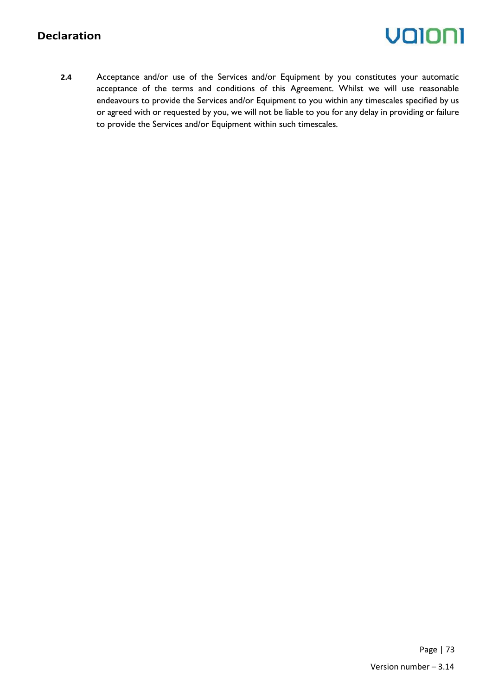## **Declaration**

# valoni

**2.4** Acceptance and/or use of the Services and/or Equipment by you constitutes your automatic acceptance of the terms and conditions of this Agreement. Whilst we will use reasonable endeavours to provide the Services and/or Equipment to you within any timescales specified by us or agreed with or requested by you, we will not be liable to you for any delay in providing or failure to provide the Services and/or Equipment within such timescales.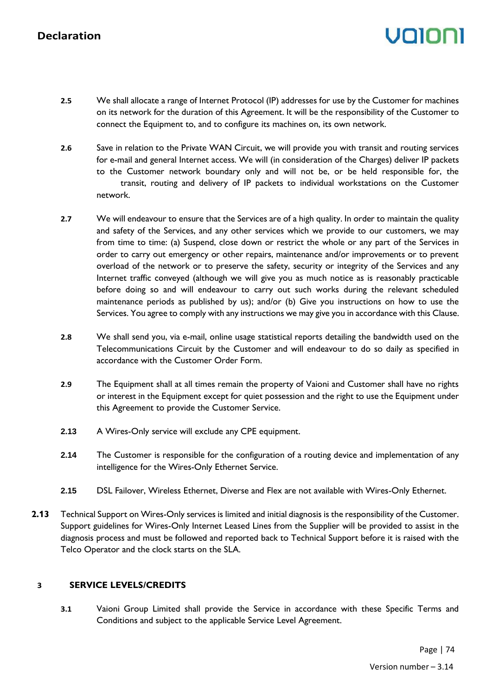# Volor

- **2.5** We shall allocate a range of Internet Protocol (IP) addresses for use by the Customer for machines on its network for the duration of this Agreement. It will be the responsibility of the Customer to connect the Equipment to, and to configure its machines on, its own network.
- **2.6** Save in relation to the Private WAN Circuit, we will provide you with transit and routing services for e-mail and general Internet access. We will (in consideration of the Charges) deliver IP packets to the Customer network boundary only and will not be, or be held responsible for, the transit, routing and delivery of IP packets to individual workstations on the Customer network.
- **2.7** We will endeavour to ensure that the Services are of a high quality. In order to maintain the quality and safety of the Services, and any other services which we provide to our customers, we may from time to time: (a) Suspend, close down or restrict the whole or any part of the Services in order to carry out emergency or other repairs, maintenance and/or improvements or to prevent overload of the network or to preserve the safety, security or integrity of the Services and any Internet traffic conveyed (although we will give you as much notice as is reasonably practicable before doing so and will endeavour to carry out such works during the relevant scheduled maintenance periods as published by us); and/or (b) Give you instructions on how to use the Services. You agree to comply with any instructions we may give you in accordance with this Clause.
- **2.8** We shall send you, via e-mail, online usage statistical reports detailing the bandwidth used on the Telecommunications Circuit by the Customer and will endeavour to do so daily as specified in accordance with the Customer Order Form.
- **2.9** The Equipment shall at all times remain the property of Vaioni and Customer shall have no rights or interest in the Equipment except for quiet possession and the right to use the Equipment under this Agreement to provide the Customer Service.
- **2.13** A Wires-Only service will exclude any CPE equipment.
- **2.14** The Customer is responsible for the configuration of a routing device and implementation of any intelligence for the Wires-Only Ethernet Service.
- **2.15** DSL Failover, Wireless Ethernet, Diverse and Flex are not available with Wires-Only Ethernet.
- **2.13** Technical Support on Wires-Only services is limited and initial diagnosis is the responsibility of the Customer. Support guidelines for Wires-Only Internet Leased Lines from the Supplier will be provided to assist in the diagnosis process and must be followed and reported back to Technical Support before it is raised with the Telco Operator and the clock starts on the SLA.

### **3 SERVICE LEVELS/CREDITS**

**3.1** Vaioni Group Limited shall provide the Service in accordance with these Specific Terms and Conditions and subject to the applicable Service Level Agreement.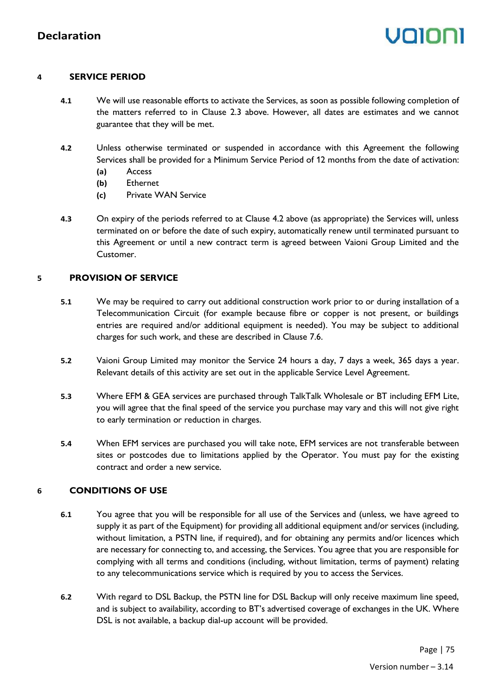### **4 SERVICE PERIOD**

- **4.1** We will use reasonable efforts to activate the Services, as soon as possible following completion of the matters referred to in Clause 2.3 above. However, all dates are estimates and we cannot guarantee that they will be met.
- **4.2** Unless otherwise terminated or suspended in accordance with this Agreement the following Services shall be provided for a Minimum Service Period of 12 months from the date of activation:
	- **(a)** Access
	- **(b)** Ethernet
	- **(c)** Private WAN Service
- **4.3** On expiry of the periods referred to at Clause 4.2 above (as appropriate) the Services will, unless terminated on or before the date of such expiry, automatically renew until terminated pursuant to this Agreement or until a new contract term is agreed between Vaioni Group Limited and the Customer.

## **5 PROVISION OF SERVICE**

- **5.1** We may be required to carry out additional construction work prior to or during installation of a Telecommunication Circuit (for example because fibre or copper is not present, or buildings entries are required and/or additional equipment is needed). You may be subject to additional charges for such work, and these are described in Clause 7.6.
- **5.2** Vaioni Group Limited may monitor the Service 24 hours a day, 7 days a week, 365 days a year. Relevant details of this activity are set out in the applicable Service Level Agreement.
- **5.3** Where EFM & GEA services are purchased through TalkTalk Wholesale or BT including EFM Lite, you will agree that the final speed of the service you purchase may vary and this will not give right to early termination or reduction in charges.
- **5.4** When EFM services are purchased you will take note, EFM services are not transferable between sites or postcodes due to limitations applied by the Operator. You must pay for the existing contract and order a new service.

## **6 CONDITIONS OF USE**

- **6.1** You agree that you will be responsible for all use of the Services and (unless, we have agreed to supply it as part of the Equipment) for providing all additional equipment and/or services (including, without limitation, a PSTN line, if required), and for obtaining any permits and/or licences which are necessary for connecting to, and accessing, the Services. You agree that you are responsible for complying with all terms and conditions (including, without limitation, terms of payment) relating to any telecommunications service which is required by you to access the Services.
- **6.2** With regard to DSL Backup, the PSTN line for DSL Backup will only receive maximum line speed, and is subject to availability, according to BT's advertised coverage of exchanges in the UK. Where DSL is not available, a backup dial-up account will be provided.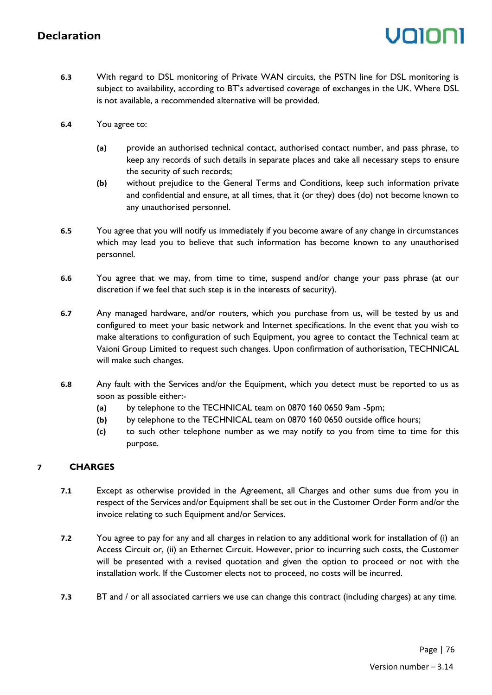- **6.3** With regard to DSL monitoring of Private WAN circuits, the PSTN line for DSL monitoring is subject to availability, according to BT's advertised coverage of exchanges in the UK. Where DSL is not available, a recommended alternative will be provided.
- **6.4** You agree to:
	- **(a)** provide an authorised technical contact, authorised contact number, and pass phrase, to keep any records of such details in separate places and take all necessary steps to ensure the security of such records;
	- **(b)** without prejudice to the General Terms and Conditions, keep such information private and confidential and ensure, at all times, that it (or they) does (do) not become known to any unauthorised personnel.
- **6.5** You agree that you will notify us immediately if you become aware of any change in circumstances which may lead you to believe that such information has become known to any unauthorised personnel.
- **6.6** You agree that we may, from time to time, suspend and/or change your pass phrase (at our discretion if we feel that such step is in the interests of security).
- **6.7** Any managed hardware, and/or routers, which you purchase from us, will be tested by us and configured to meet your basic network and Internet specifications. In the event that you wish to make alterations to configuration of such Equipment, you agree to contact the Technical team at Vaioni Group Limited to request such changes. Upon confirmation of authorisation, TECHNICAL will make such changes.
- **6.8** Any fault with the Services and/or the Equipment, which you detect must be reported to us as soon as possible either:-
	- **(a)** by telephone to the TECHNICAL team on 0870 160 0650 9am -5pm;
	- **(b)** by telephone to the TECHNICAL team on 0870 160 0650 outside office hours;
	- **(c)** to such other telephone number as we may notify to you from time to time for this purpose.

## **7 CHARGES**

- **7.1** Except as otherwise provided in the Agreement, all Charges and other sums due from you in respect of the Services and/or Equipment shall be set out in the Customer Order Form and/or the invoice relating to such Equipment and/or Services.
- **7.2** You agree to pay for any and all charges in relation to any additional work for installation of (i) an Access Circuit or, (ii) an Ethernet Circuit. However, prior to incurring such costs, the Customer will be presented with a revised quotation and given the option to proceed or not with the installation work. If the Customer elects not to proceed, no costs will be incurred.
- **7.3** BT and / or all associated carriers we use can change this contract (including charges) at any time.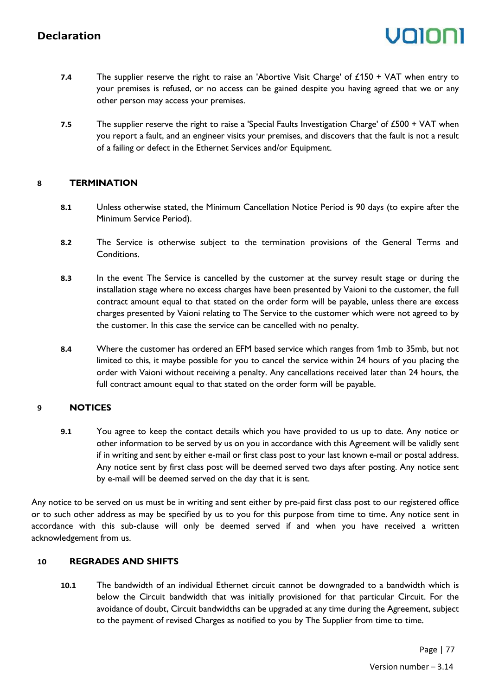- **7.4** The supplier reserve the right to raise an 'Abortive Visit Charge' of £150 + VAT when entry to your premises is refused, or no access can be gained despite you having agreed that we or any other person may access your premises.
- **7.5** The supplier reserve the right to raise a 'Special Faults Investigation Charge' of £500 + VAT when you report a fault, and an engineer visits your premises, and discovers that the fault is not a result of a failing or defect in the Ethernet Services and/or Equipment.

## **8 TERMINATION**

- **8.1** Unless otherwise stated, the Minimum Cancellation Notice Period is 90 days (to expire after the Minimum Service Period).
- **8.2** The Service is otherwise subject to the termination provisions of the General Terms and Conditions.
- **8.3** In the event The Service is cancelled by the customer at the survey result stage or during the installation stage where no excess charges have been presented by Vaioni to the customer, the full contract amount equal to that stated on the order form will be payable, unless there are excess charges presented by Vaioni relating to The Service to the customer which were not agreed to by the customer. In this case the service can be cancelled with no penalty.
- **8.4** Where the customer has ordered an EFM based service which ranges from 1mb to 35mb, but not limited to this, it maybe possible for you to cancel the service within 24 hours of you placing the order with Vaioni without receiving a penalty. Any cancellations received later than 24 hours, the full contract amount equal to that stated on the order form will be payable.

### **9 NOTICES**

**9.1** You agree to keep the contact details which you have provided to us up to date. Any notice or other information to be served by us on you in accordance with this Agreement will be validly sent if in writing and sent by either e-mail or first class post to your last known e-mail or postal address. Any notice sent by first class post will be deemed served two days after posting. Any notice sent by e-mail will be deemed served on the day that it is sent.

Any notice to be served on us must be in writing and sent either by pre-paid first class post to our registered office or to such other address as may be specified by us to you for this purpose from time to time. Any notice sent in accordance with this sub-clause will only be deemed served if and when you have received a written acknowledgement from us.

### **10 REGRADES AND SHIFTS**

**10.1** The bandwidth of an individual Ethernet circuit cannot be downgraded to a bandwidth which is below the Circuit bandwidth that was initially provisioned for that particular Circuit. For the avoidance of doubt, Circuit bandwidths can be upgraded at any time during the Agreement, subject to the payment of revised Charges as notified to you by The Supplier from time to time.